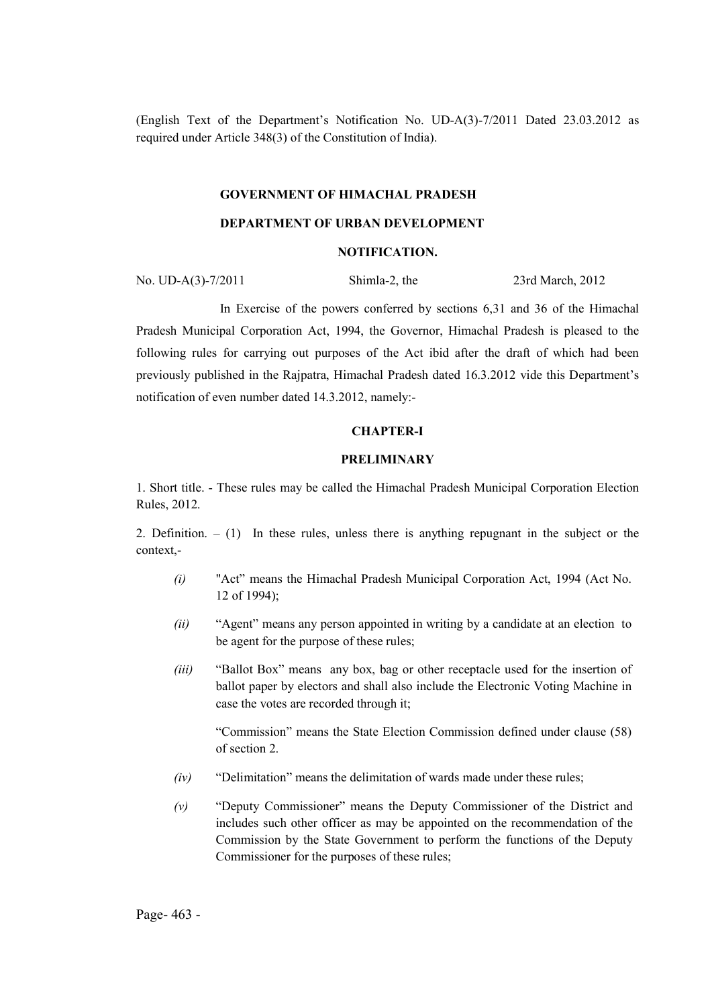(English Text of the Department's Notification No. UD-A(3)-7/2011 Dated 23.03.2012 as required under Article 348(3) of the Constitution of India).

#### GOVERNMENT OF HIMACHAL PRADESH

### DEPARTMENT OF URBAN DEVELOPMENT

#### NOTIFICATION.

No. UD-A(3)-7/2011 Shimla-2, the 23rd March, 2012

In Exercise of the powers conferred by sections 6,31 and 36 of the Himachal Pradesh Municipal Corporation Act, 1994, the Governor, Himachal Pradesh is pleased to the following rules for carrying out purposes of the Act ibid after the draft of which had been previously published in the Rajpatra, Himachal Pradesh dated 16.3.2012 vide this Department's notification of even number dated 14.3.2012, namely:-

#### CHAPTER-I

#### PRELIMINARY

1. Short title. - These rules may be called the Himachal Pradesh Municipal Corporation Election Rules, 2012.

2. Definition. – (1) In these rules, unless there is anything repugnant in the subject or the context,-

- *(i)* "Act" means the Himachal Pradesh Municipal Corporation Act, 1994 (Act No. 12 of 1994);
- *(ii)* "Agent" means any person appointed in writing by a candidate at an election to be agent for the purpose of these rules;
- *(iii)* "Ballot Box" means any box, bag or other receptacle used for the insertion of ballot paper by electors and shall also include the Electronic Voting Machine in case the votes are recorded through it;

"Commission" means the State Election Commission defined under clause (58) of section 2.

- *(iv)* "Delimitation" means the delimitation of wards made under these rules;
- *(v)* "Deputy Commissioner" means the Deputy Commissioner of the District and includes such other officer as may be appointed on the recommendation of the Commission by the State Government to perform the functions of the Deputy Commissioner for the purposes of these rules;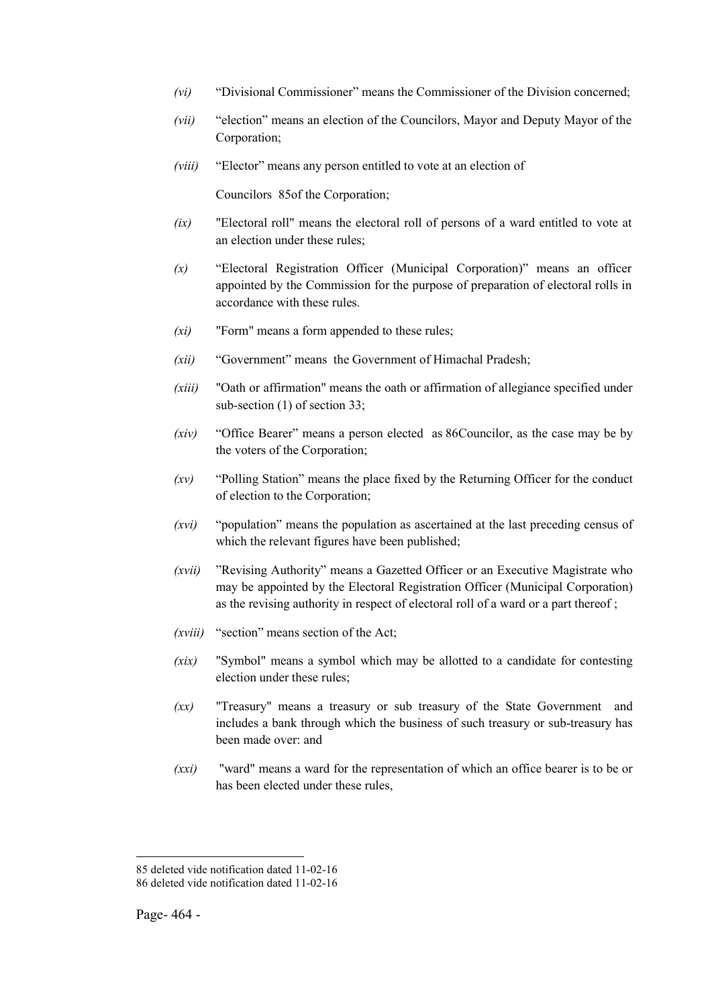- *(vi)* "Divisional Commissioner" means the Commissioner of the Division concerned;
- *(vii)* "election" means an election of the Councilors, Mayor and Deputy Mayor of the Corporation;
- *(viii)* "Elector" means any person entitled to vote at an election of

Councilors 85of the Corporation;

- *(ix)* "Electoral roll" means the electoral roll of persons of a ward entitled to vote at an election under these rules;
- *(x)* "Electoral Registration Officer (Municipal Corporation)" means an officer appointed by the Commission for the purpose of preparation of electoral rolls in accordance with these rules.
- *(xi)* "Form" means a form appended to these rules;
- *(xii)* "Government" means the Government of Himachal Pradesh;
- *(xiii)* "Oath or affirmation" means the oath or affirmation of allegiance specified under sub-section (1) of section 33;
- *(xiv)* "Office Bearer" means a person elected as 86Councilor, as the case may be by the voters of the Corporation;
- *(xv)* "Polling Station" means the place fixed by the Returning Officer for the conduct of election to the Corporation;
- *(xvi)* "population" means the population as ascertained at the last preceding census of which the relevant figures have been published;
- *(xvii)* "Revising Authority" means a Gazetted Officer or an Executive Magistrate who may be appointed by the Electoral Registration Officer (Municipal Corporation) as the revising authority in respect of electoral roll of a ward or a part thereof ;
- *(xviii)* "section" means section of the Act;
- *(xix)* "Symbol" means a symbol which may be allotted to a candidate for contesting election under these rules:
- *(xx)* "Treasury" means a treasury or sub treasury of the State Government and includes a bank through which the business of such treasury or sub-treasury has been made over: and
- *(xxi)* "ward" means a ward for the representation of which an office bearer is to be or has been elected under these rules,

<sup>85</sup> deleted vide notification dated 11-02-16 86 deleted vide notification dated 11-02-16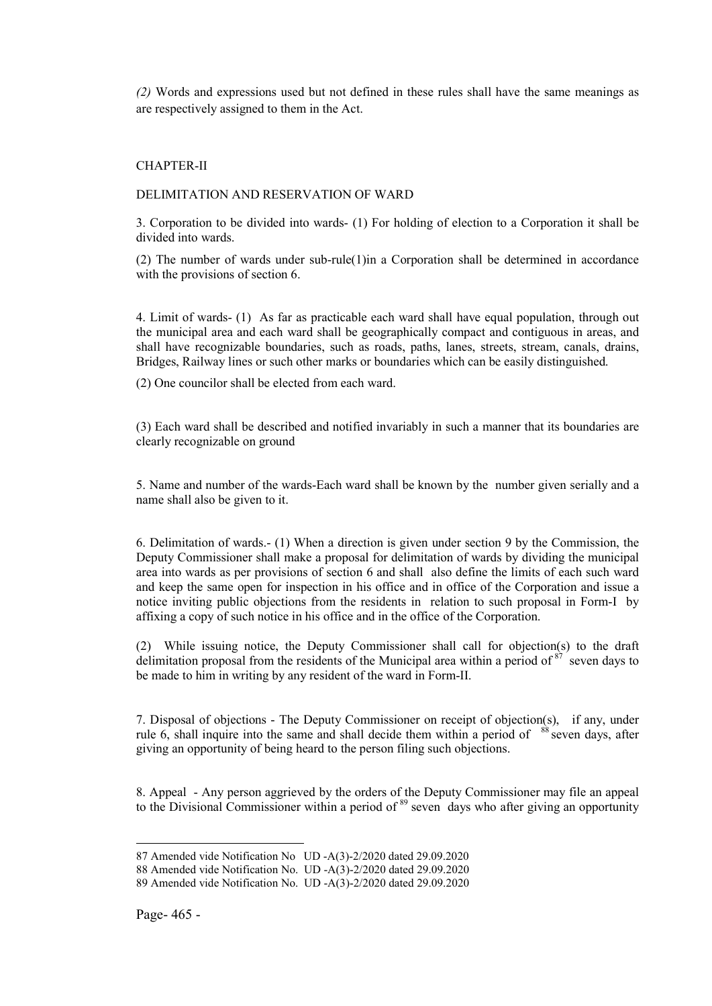*(2)* Words and expressions used but not defined in these rules shall have the same meanings as are respectively assigned to them in the Act.

## CHAPTER-II

#### DELIMITATION AND RESERVATION OF WARD

3. Corporation to be divided into wards- (1) For holding of election to a Corporation it shall be divided into wards.

(2) The number of wards under sub-rule(1)in a Corporation shall be determined in accordance with the provisions of section 6.

4. Limit of wards- (1) As far as practicable each ward shall have equal population, through out the municipal area and each ward shall be geographically compact and contiguous in areas, and shall have recognizable boundaries, such as roads, paths, lanes, streets, stream, canals, drains, Bridges, Railway lines or such other marks or boundaries which can be easily distinguished.

(2) One councilor shall be elected from each ward.

(3) Each ward shall be described and notified invariably in such a manner that its boundaries are clearly recognizable on ground

5. Name and number of the wards-Each ward shall be known by the number given serially and a name shall also be given to it.

6. Delimitation of wards.- (1) When a direction is given under section 9 by the Commission, the Deputy Commissioner shall make a proposal for delimitation of wards by dividing the municipal area into wards as per provisions of section 6 and shall also define the limits of each such ward and keep the same open for inspection in his office and in office of the Corporation and issue a notice inviting public objections from the residents in relation to such proposal in Form-I by affixing a copy of such notice in his office and in the office of the Corporation.

(2) While issuing notice, the Deputy Commissioner shall call for objection(s) to the draft delimitation proposal from the residents of the Municipal area within a period of  $87$  seven days to be made to him in writing by any resident of the ward in Form-II.

7. Disposal of objections - The Deputy Commissioner on receipt of objection(s), if any, under rule 6, shall inquire into the same and shall decide them within a period of  $88$  seven days, after giving an opportunity of being heard to the person filing such objections.

8. Appeal - Any person aggrieved by the orders of the Deputy Commissioner may file an appeal to the Divisional Commissioner within a period of <sup>89</sup> seven days who after giving an opportunity

<sup>1</sup> 87 Amended vide Notification No UD -A(3)-2/2020 dated 29.09.2020

<sup>88</sup> Amended vide Notification No. UD -A(3)-2/2020 dated 29.09.2020

<sup>89</sup> Amended vide Notification No. UD -A(3)-2/2020 dated 29.09.2020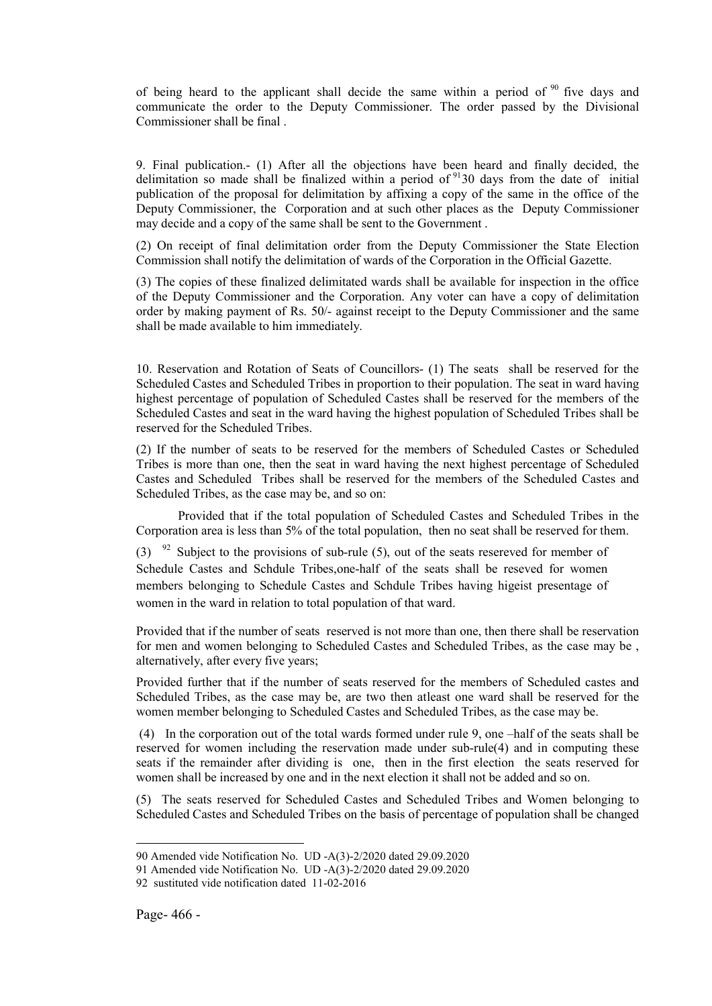of being heard to the applicant shall decide the same within a period of  $90$  five days and communicate the order to the Deputy Commissioner. The order passed by the Divisional Commissioner shall be final .

9. Final publication.- (1) After all the objections have been heard and finally decided, the delimitation so made shall be finalized within a period of  $9130$  days from the date of initial publication of the proposal for delimitation by affixing a copy of the same in the office of the Deputy Commissioner, the Corporation and at such other places as the Deputy Commissioner may decide and a copy of the same shall be sent to the Government .

(2) On receipt of final delimitation order from the Deputy Commissioner the State Election Commission shall notify the delimitation of wards of the Corporation in the Official Gazette.

(3) The copies of these finalized delimitated wards shall be available for inspection in the office of the Deputy Commissioner and the Corporation. Any voter can have a copy of delimitation order by making payment of Rs. 50/- against receipt to the Deputy Commissioner and the same shall be made available to him immediately.

10. Reservation and Rotation of Seats of Councillors- (1) The seats shall be reserved for the Scheduled Castes and Scheduled Tribes in proportion to their population. The seat in ward having highest percentage of population of Scheduled Castes shall be reserved for the members of the Scheduled Castes and seat in the ward having the highest population of Scheduled Tribes shall be reserved for the Scheduled Tribes.

(2) If the number of seats to be reserved for the members of Scheduled Castes or Scheduled Tribes is more than one, then the seat in ward having the next highest percentage of Scheduled Castes and Scheduled Tribes shall be reserved for the members of the Scheduled Castes and Scheduled Tribes, as the case may be, and so on:

Provided that if the total population of Scheduled Castes and Scheduled Tribes in the Corporation area is less than 5% of the total population, then no seat shall be reserved for them.

(3)  $92$  Subject to the provisions of sub-rule (5), out of the seats resereved for member of Schedule Castes and Schdule Tribes,one-half of the seats shall be reseved for women members belonging to Schedule Castes and Schdule Tribes having higeist presentage of women in the ward in relation to total population of that ward.

Provided that if the number of seats reserved is not more than one, then there shall be reservation for men and women belonging to Scheduled Castes and Scheduled Tribes, as the case may be , alternatively, after every five years;

Provided further that if the number of seats reserved for the members of Scheduled castes and Scheduled Tribes, as the case may be, are two then atleast one ward shall be reserved for the women member belonging to Scheduled Castes and Scheduled Tribes, as the case may be.

(4) In the corporation out of the total wards formed under rule 9, one –half of the seats shall be reserved for women including the reservation made under sub-rule(4) and in computing these seats if the remainder after dividing is one, then in the first election the seats reserved for women shall be increased by one and in the next election it shall not be added and so on.

(5) The seats reserved for Scheduled Castes and Scheduled Tribes and Women belonging to Scheduled Castes and Scheduled Tribes on the basis of percentage of population shall be changed

<sup>90</sup> Amended vide Notification No. UD -A(3)-2/2020 dated 29.09.2020

<sup>91</sup> Amended vide Notification No. UD -A(3)-2/2020 dated 29.09.2020

<sup>92</sup> sustituted vide notification dated 11-02-2016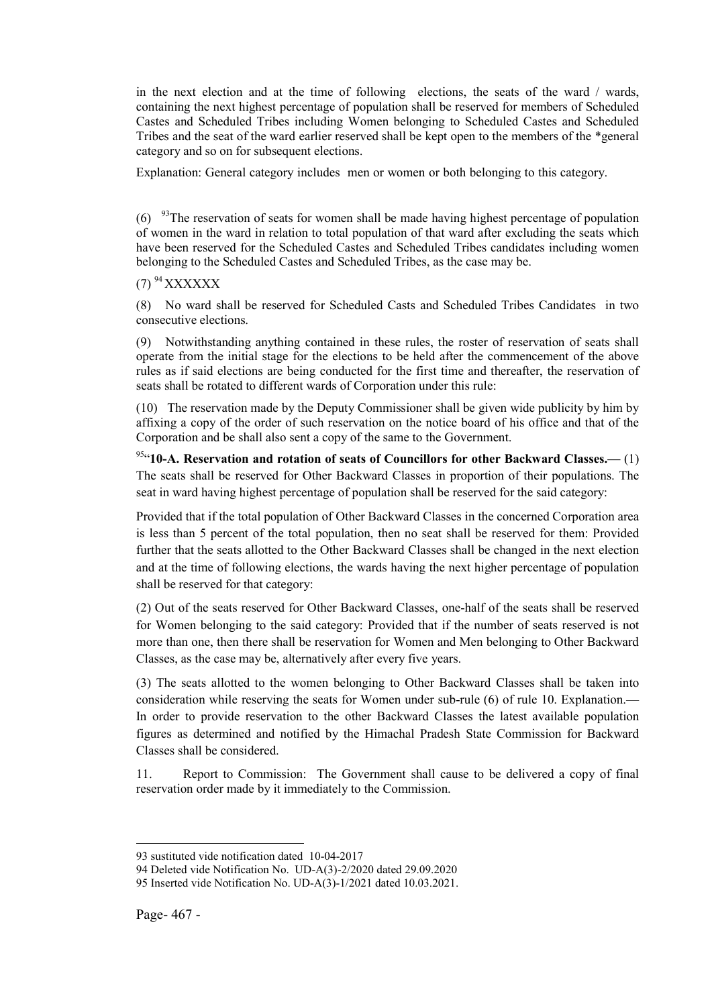in the next election and at the time of following elections, the seats of the ward / wards, containing the next highest percentage of population shall be reserved for members of Scheduled Castes and Scheduled Tribes including Women belonging to Scheduled Castes and Scheduled Tribes and the seat of the ward earlier reserved shall be kept open to the members of the \*general category and so on for subsequent elections.

Explanation: General category includes men or women or both belonging to this category.

 $(6)$  <sup>93</sup>The reservation of seats for women shall be made having highest percentage of population of women in the ward in relation to total population of that ward after excluding the seats which have been reserved for the Scheduled Castes and Scheduled Tribes candidates including women belonging to the Scheduled Castes and Scheduled Tribes, as the case may be.

# $(7)$ <sup>94</sup> XXXXXX

(8) No ward shall be reserved for Scheduled Casts and Scheduled Tribes Candidates in two consecutive elections.

(9) Notwithstanding anything contained in these rules, the roster of reservation of seats shall operate from the initial stage for the elections to be held after the commencement of the above rules as if said elections are being conducted for the first time and thereafter, the reservation of seats shall be rotated to different wards of Corporation under this rule:

(10) The reservation made by the Deputy Commissioner shall be given wide publicity by him by affixing a copy of the order of such reservation on the notice board of his office and that of the Corporation and be shall also sent a copy of the same to the Government.

 $954$  10-A. Reservation and rotation of seats of Councillors for other Backward Classes.— (1) The seats shall be reserved for Other Backward Classes in proportion of their populations. The seat in ward having highest percentage of population shall be reserved for the said category:

Provided that if the total population of Other Backward Classes in the concerned Corporation area is less than 5 percent of the total population, then no seat shall be reserved for them: Provided further that the seats allotted to the Other Backward Classes shall be changed in the next election and at the time of following elections, the wards having the next higher percentage of population shall be reserved for that category:

(2) Out of the seats reserved for Other Backward Classes, one-half of the seats shall be reserved for Women belonging to the said category: Provided that if the number of seats reserved is not more than one, then there shall be reservation for Women and Men belonging to Other Backward Classes, as the case may be, alternatively after every five years.

(3) The seats allotted to the women belonging to Other Backward Classes shall be taken into consideration while reserving the seats for Women under sub-rule (6) of rule 10. Explanation.— In order to provide reservation to the other Backward Classes the latest available population figures as determined and notified by the Himachal Pradesh State Commission for Backward Classes shall be considered.

11. Report to Commission: The Government shall cause to be delivered a copy of final reservation order made by it immediately to the Commission.

<sup>93</sup> sustituted vide notification dated 10-04-2017

<sup>94</sup> Deleted vide Notification No. UD-A(3)-2/2020 dated 29.09.2020

<sup>95</sup> Inserted vide Notification No. UD-A(3)-1/2021 dated 10.03.2021.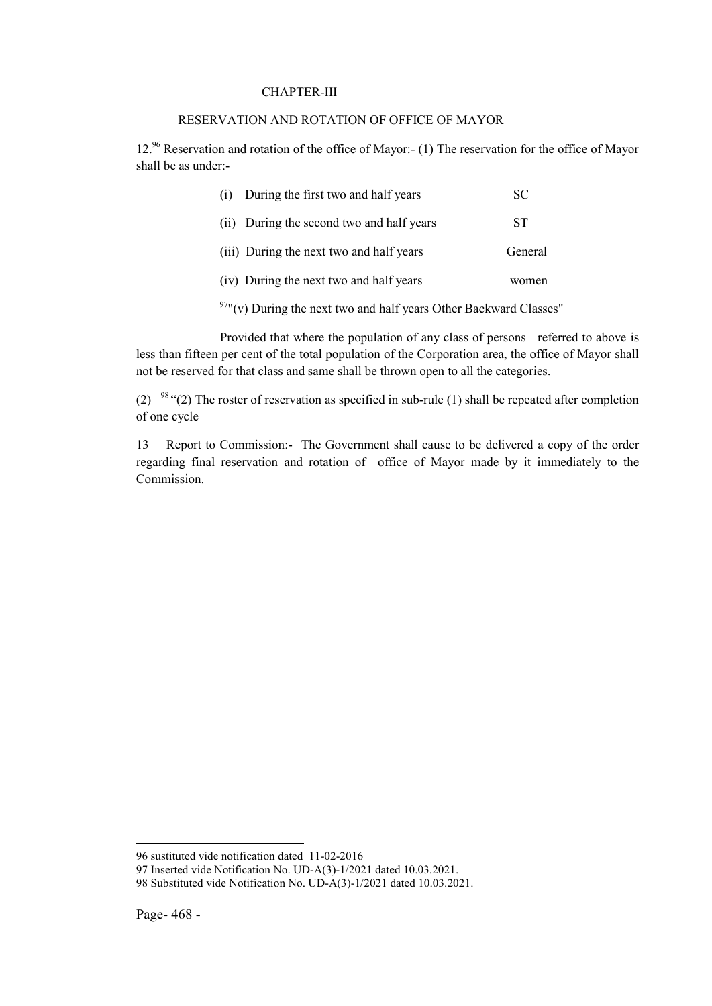#### CHAPTER-III

#### RESERVATION AND ROTATION OF OFFICE OF MAYOR

12.96 Reservation and rotation of the office of Mayor:- (1) The reservation for the office of Mayor shall be as under:-

| During the first two and half years<br>(1) | SС      |
|--------------------------------------------|---------|
| (ii) During the second two and half years  | SТ      |
| (iii) During the next two and half years   | General |
| (iv) During the next two and half years    | women   |
| $07$ $-$                                   |         |

 $97''(v)$  During the next two and half years Other Backward Classes"

Provided that where the population of any class of persons referred to above is less than fifteen per cent of the total population of the Corporation area, the office of Mayor shall not be reserved for that class and same shall be thrown open to all the categories.

(2) <sup>98</sup> "(2) The roster of reservation as specified in sub-rule (1) shall be repeated after completion of one cycle

13 Report to Commission:- The Government shall cause to be delivered a copy of the order regarding final reservation and rotation of office of Mayor made by it immediately to the Commission.

<sup>96</sup> sustituted vide notification dated 11-02-2016

<sup>97</sup> Inserted vide Notification No. UD-A(3)-1/2021 dated 10.03.2021.

<sup>98</sup> Substituted vide Notification No. UD-A(3)-1/2021 dated 10.03.2021.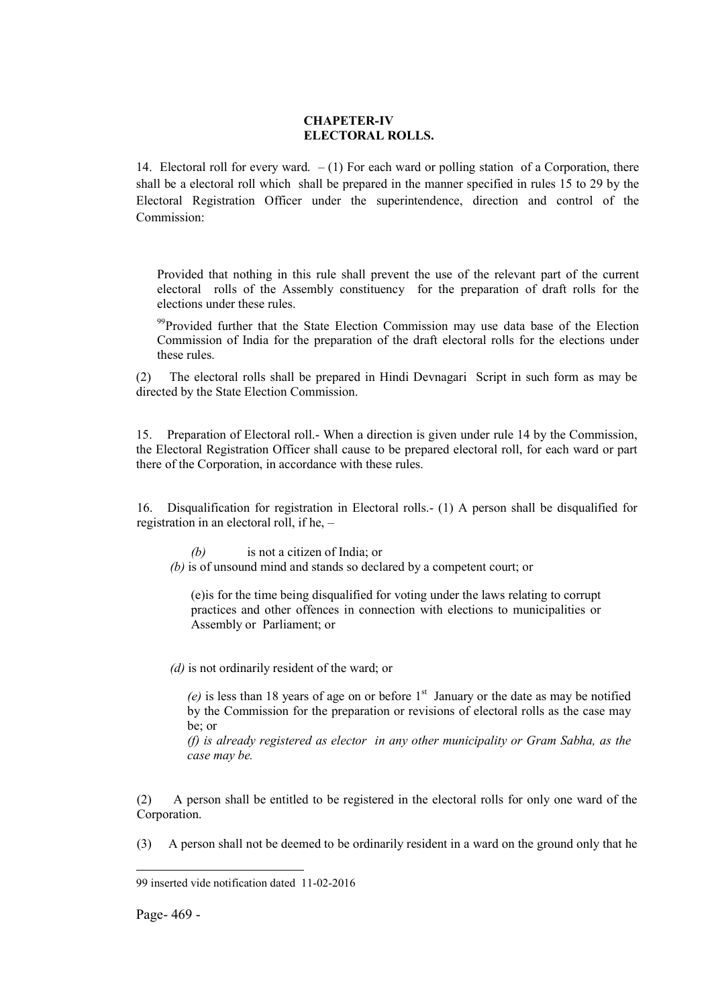#### CHAPETER-IV ELECTORAL ROLLS.

14. Electoral roll for every ward.  $- (1)$  For each ward or polling station of a Corporation, there shall be a electoral roll which shall be prepared in the manner specified in rules 15 to 29 by the Electoral Registration Officer under the superintendence, direction and control of the Commission:

Provided that nothing in this rule shall prevent the use of the relevant part of the current electoral rolls of the Assembly constituency for the preparation of draft rolls for the elections under these rules.

<sup>99</sup>Provided further that the State Election Commission may use data base of the Election Commission of India for the preparation of the draft electoral rolls for the elections under these rules.

(2) The electoral rolls shall be prepared in Hindi Devnagari Script in such form as may be directed by the State Election Commission.

15. Preparation of Electoral roll.- When a direction is given under rule 14 by the Commission, the Electoral Registration Officer shall cause to be prepared electoral roll, for each ward or part there of the Corporation, in accordance with these rules.

16. Disqualification for registration in Electoral rolls.- (1) A person shall be disqualified for registration in an electoral roll, if he, –

*(b)* is not a citizen of India; or

*(b)* is of unsound mind and stands so declared by a competent court; or

(e)is for the time being disqualified for voting under the laws relating to corrupt practices and other offences in connection with elections to municipalities or Assembly or Parliament; or

*(d)* is not ordinarily resident of the ward; or

 $(e)$  is less than 18 years of age on or before  $1<sup>st</sup>$  January or the date as may be notified by the Commission for the preparation or revisions of electoral rolls as the case may be; or

*(f) is already registered as elector in any other municipality or Gram Sabha, as the case may be.*

(2) A person shall be entitled to be registered in the electoral rolls for only one ward of the Corporation.

(3) A person shall not be deemed to be ordinarily resident in a ward on the ground only that he

Page- 469 -

<sup>99</sup> inserted vide notification dated 11-02-2016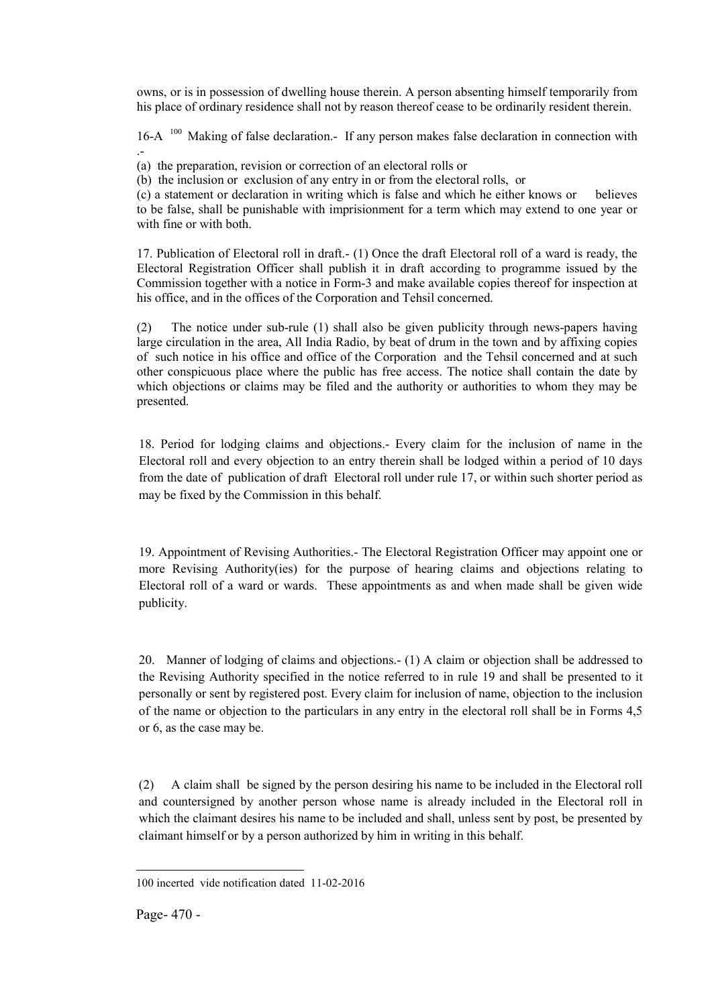owns, or is in possession of dwelling house therein. A person absenting himself temporarily from his place of ordinary residence shall not by reason thereof cease to be ordinarily resident therein.

16-A <sup>100</sup> Making of false declaration.- If any person makes false declaration in connection with .-

(a) the preparation, revision or correction of an electoral rolls or

(b) the inclusion or exclusion of any entry in or from the electoral rolls, or

(c) a statement or declaration in writing which is false and which he either knows or believes to be false, shall be punishable with imprisionment for a term which may extend to one year or with fine or with both.

17. Publication of Electoral roll in draft.- (1) Once the draft Electoral roll of a ward is ready, the Electoral Registration Officer shall publish it in draft according to programme issued by the Commission together with a notice in Form-3 and make available copies thereof for inspection at his office, and in the offices of the Corporation and Tehsil concerned.

(2) The notice under sub-rule (1) shall also be given publicity through news-papers having large circulation in the area, All India Radio, by beat of drum in the town and by affixing copies of such notice in his office and office of the Corporation and the Tehsil concerned and at such other conspicuous place where the public has free access. The notice shall contain the date by which objections or claims may be filed and the authority or authorities to whom they may be presented.

18. Period for lodging claims and objections.- Every claim for the inclusion of name in the Electoral roll and every objection to an entry therein shall be lodged within a period of 10 days from the date of publication of draft Electoral roll under rule 17, or within such shorter period as may be fixed by the Commission in this behalf.

19. Appointment of Revising Authorities.- The Electoral Registration Officer may appoint one or more Revising Authority(ies) for the purpose of hearing claims and objections relating to Electoral roll of a ward or wards. These appointments as and when made shall be given wide publicity.

20. Manner of lodging of claims and objections.- (1) A claim or objection shall be addressed to the Revising Authority specified in the notice referred to in rule 19 and shall be presented to it personally or sent by registered post. Every claim for inclusion of name, objection to the inclusion of the name or objection to the particulars in any entry in the electoral roll shall be in Forms 4,5 or 6, as the case may be.

(2) A claim shall be signed by the person desiring his name to be included in the Electoral roll and countersigned by another person whose name is already included in the Electoral roll in which the claimant desires his name to be included and shall, unless sent by post, be presented by claimant himself or by a person authorized by him in writing in this behalf.

<sup>1</sup> 100 incerted vide notification dated 11-02-2016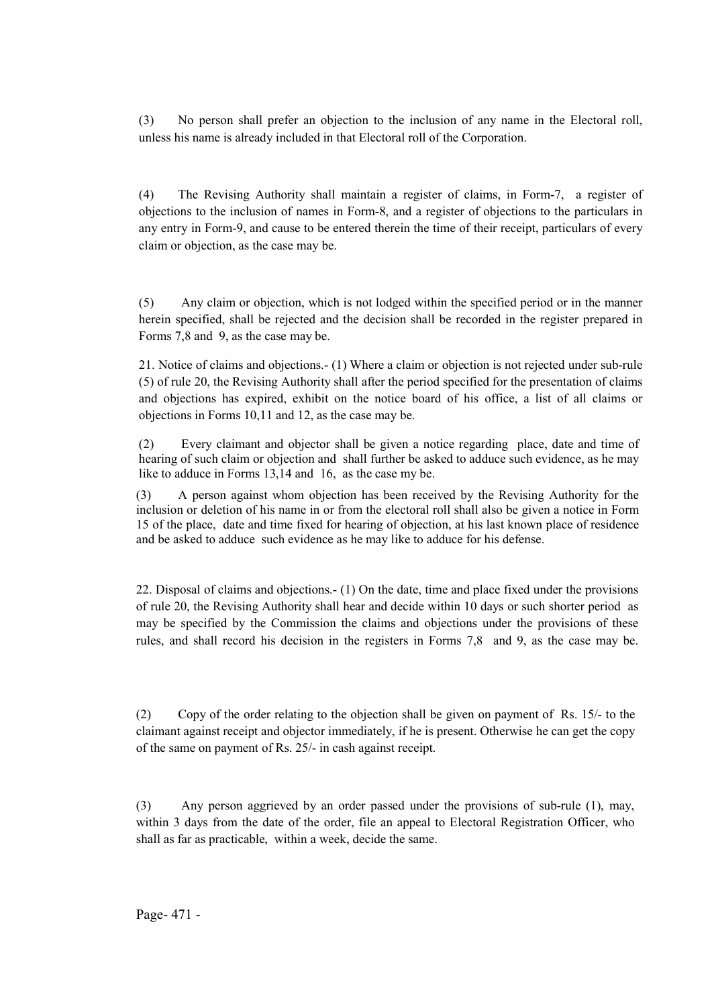(3) No person shall prefer an objection to the inclusion of any name in the Electoral roll, unless his name is already included in that Electoral roll of the Corporation.

(4) The Revising Authority shall maintain a register of claims, in Form-7, a register of objections to the inclusion of names in Form-8, and a register of objections to the particulars in any entry in Form-9, and cause to be entered therein the time of their receipt, particulars of every claim or objection, as the case may be.

(5) Any claim or objection, which is not lodged within the specified period or in the manner herein specified, shall be rejected and the decision shall be recorded in the register prepared in Forms 7,8 and 9, as the case may be.

21. Notice of claims and objections.- (1) Where a claim or objection is not rejected under sub-rule (5) of rule 20, the Revising Authority shall after the period specified for the presentation of claims and objections has expired, exhibit on the notice board of his office, a list of all claims or objections in Forms 10,11 and 12, as the case may be.

(2) Every claimant and objector shall be given a notice regarding place, date and time of hearing of such claim or objection and shall further be asked to adduce such evidence, as he may like to adduce in Forms 13,14 and 16, as the case my be.

(3) A person against whom objection has been received by the Revising Authority for the inclusion or deletion of his name in or from the electoral roll shall also be given a notice in Form 15 of the place, date and time fixed for hearing of objection, at his last known place of residence and be asked to adduce such evidence as he may like to adduce for his defense.

22. Disposal of claims and objections.- (1) On the date, time and place fixed under the provisions of rule 20, the Revising Authority shall hear and decide within 10 days or such shorter period as may be specified by the Commission the claims and objections under the provisions of these rules, and shall record his decision in the registers in Forms 7,8 and 9, as the case may be.

(2) Copy of the order relating to the objection shall be given on payment of Rs. 15/- to the claimant against receipt and objector immediately, if he is present. Otherwise he can get the copy of the same on payment of Rs. 25/- in cash against receipt.

(3) Any person aggrieved by an order passed under the provisions of sub-rule (1), may, within 3 days from the date of the order, file an appeal to Electoral Registration Officer, who shall as far as practicable, within a week, decide the same.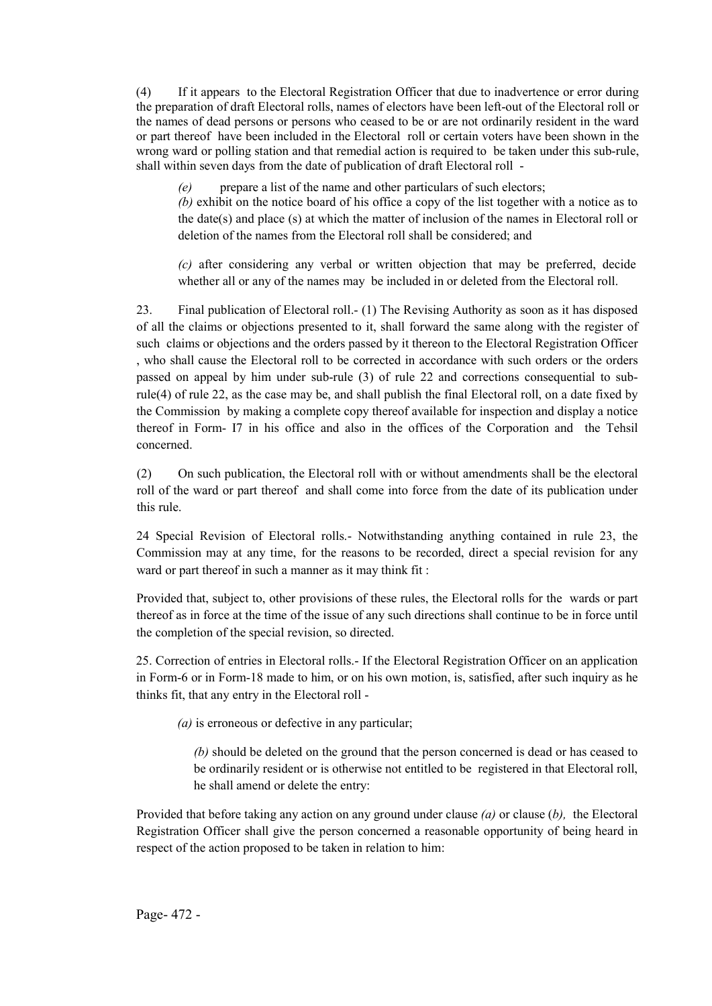(4) If it appears to the Electoral Registration Officer that due to inadvertence or error during the preparation of draft Electoral rolls, names of electors have been left-out of the Electoral roll or the names of dead persons or persons who ceased to be or are not ordinarily resident in the ward or part thereof have been included in the Electoral roll or certain voters have been shown in the wrong ward or polling station and that remedial action is required to be taken under this sub-rule, shall within seven days from the date of publication of draft Electoral roll -

*(e)* prepare a list of the name and other particulars of such electors;

*(b)* exhibit on the notice board of his office a copy of the list together with a notice as to the date(s) and place (s) at which the matter of inclusion of the names in Electoral roll or deletion of the names from the Electoral roll shall be considered; and

*(c)* after considering any verbal or written objection that may be preferred, decide whether all or any of the names may be included in or deleted from the Electoral roll.

23. Final publication of Electoral roll.- (1) The Revising Authority as soon as it has disposed of all the claims or objections presented to it, shall forward the same along with the register of such claims or objections and the orders passed by it thereon to the Electoral Registration Officer , who shall cause the Electoral roll to be corrected in accordance with such orders or the orders passed on appeal by him under sub-rule (3) of rule 22 and corrections consequential to subrule(4) of rule 22, as the case may be, and shall publish the final Electoral roll, on a date fixed by the Commission by making a complete copy thereof available for inspection and display a notice thereof in Form- I7 in his office and also in the offices of the Corporation and the Tehsil concerned.

(2) On such publication, the Electoral roll with or without amendments shall be the electoral roll of the ward or part thereof and shall come into force from the date of its publication under this rule.

24 Special Revision of Electoral rolls.- Notwithstanding anything contained in rule 23, the Commission may at any time, for the reasons to be recorded, direct a special revision for any ward or part thereof in such a manner as it may think fit :

Provided that, subject to, other provisions of these rules, the Electoral rolls for the wards or part thereof as in force at the time of the issue of any such directions shall continue to be in force until the completion of the special revision, so directed.

25. Correction of entries in Electoral rolls.- If the Electoral Registration Officer on an application in Form-6 or in Form-18 made to him, or on his own motion, is, satisfied, after such inquiry as he thinks fit, that any entry in the Electoral roll -

*(a)* is erroneous or defective in any particular;

*(b)* should be deleted on the ground that the person concerned is dead or has ceased to be ordinarily resident or is otherwise not entitled to be registered in that Electoral roll, he shall amend or delete the entry:

Provided that before taking any action on any ground under clause *(a)* or clause (*b),* the Electoral Registration Officer shall give the person concerned a reasonable opportunity of being heard in respect of the action proposed to be taken in relation to him: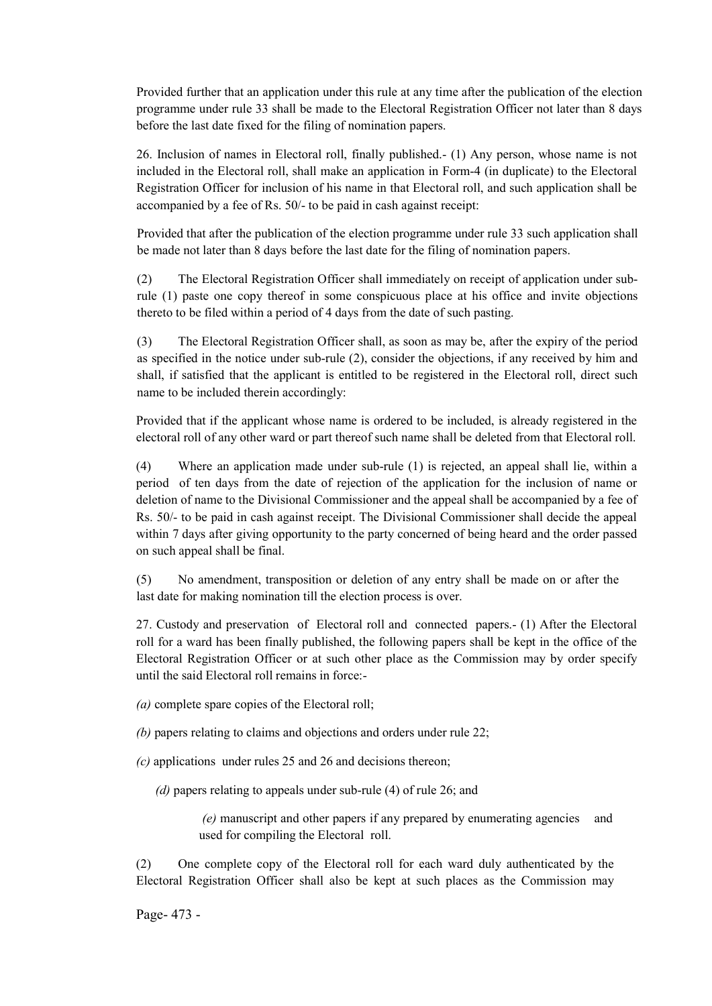Provided further that an application under this rule at any time after the publication of the election programme under rule 33 shall be made to the Electoral Registration Officer not later than 8 days before the last date fixed for the filing of nomination papers.

26. Inclusion of names in Electoral roll, finally published.- (1) Any person, whose name is not included in the Electoral roll, shall make an application in Form-4 (in duplicate) to the Electoral Registration Officer for inclusion of his name in that Electoral roll, and such application shall be accompanied by a fee of Rs. 50/- to be paid in cash against receipt:

Provided that after the publication of the election programme under rule 33 such application shall be made not later than 8 days before the last date for the filing of nomination papers.

(2) The Electoral Registration Officer shall immediately on receipt of application under subrule (1) paste one copy thereof in some conspicuous place at his office and invite objections thereto to be filed within a period of 4 days from the date of such pasting.

(3) The Electoral Registration Officer shall, as soon as may be, after the expiry of the period as specified in the notice under sub-rule (2), consider the objections, if any received by him and shall, if satisfied that the applicant is entitled to be registered in the Electoral roll, direct such name to be included therein accordingly:

Provided that if the applicant whose name is ordered to be included, is already registered in the electoral roll of any other ward or part thereof such name shall be deleted from that Electoral roll.

(4) Where an application made under sub-rule (1) is rejected, an appeal shall lie, within a period of ten days from the date of rejection of the application for the inclusion of name or deletion of name to the Divisional Commissioner and the appeal shall be accompanied by a fee of Rs. 50/- to be paid in cash against receipt. The Divisional Commissioner shall decide the appeal within 7 days after giving opportunity to the party concerned of being heard and the order passed on such appeal shall be final.

(5) No amendment, transposition or deletion of any entry shall be made on or after the last date for making nomination till the election process is over.

27. Custody and preservation of Electoral roll and connected papers.- (1) After the Electoral roll for a ward has been finally published, the following papers shall be kept in the office of the Electoral Registration Officer or at such other place as the Commission may by order specify until the said Electoral roll remains in force:-

*(a)* complete spare copies of the Electoral roll;

*(b)* papers relating to claims and objections and orders under rule 22;

*(c)* applications under rules 25 and 26 and decisions thereon;

 *(d)* papers relating to appeals under sub-rule (4) of rule 26; and

*(e)* manuscript and other papers if any prepared by enumerating agencies and used for compiling the Electoral roll.

(2) One complete copy of the Electoral roll for each ward duly authenticated by the Electoral Registration Officer shall also be kept at such places as the Commission may

Page- 473 -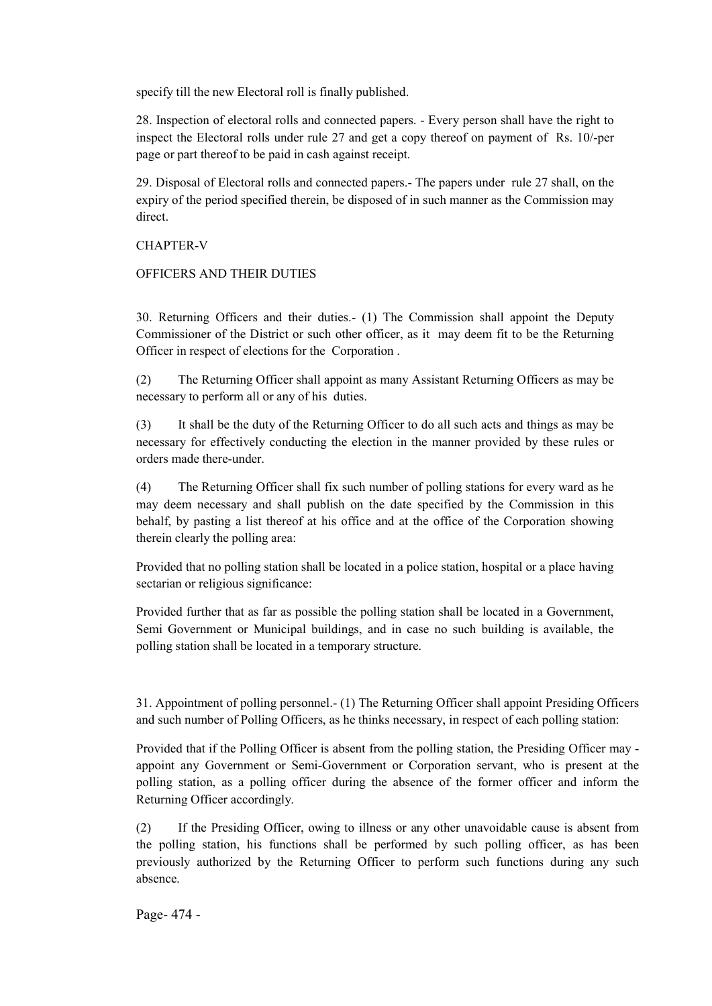specify till the new Electoral roll is finally published.

28. Inspection of electoral rolls and connected papers. - Every person shall have the right to inspect the Electoral rolls under rule 27 and get a copy thereof on payment of Rs. 10/-per page or part thereof to be paid in cash against receipt.

29. Disposal of Electoral rolls and connected papers.- The papers under rule 27 shall, on the expiry of the period specified therein, be disposed of in such manner as the Commission may direct.

## CHAPTER-V

## OFFICERS AND THEIR DUTIES

30. Returning Officers and their duties.- (1) The Commission shall appoint the Deputy Commissioner of the District or such other officer, as it may deem fit to be the Returning Officer in respect of elections for the Corporation .

(2) The Returning Officer shall appoint as many Assistant Returning Officers as may be necessary to perform all or any of his duties.

(3) It shall be the duty of the Returning Officer to do all such acts and things as may be necessary for effectively conducting the election in the manner provided by these rules or orders made there-under.

(4) The Returning Officer shall fix such number of polling stations for every ward as he may deem necessary and shall publish on the date specified by the Commission in this behalf, by pasting a list thereof at his office and at the office of the Corporation showing therein clearly the polling area:

Provided that no polling station shall be located in a police station, hospital or a place having sectarian or religious significance:

Provided further that as far as possible the polling station shall be located in a Government, Semi Government or Municipal buildings, and in case no such building is available, the polling station shall be located in a temporary structure.

31. Appointment of polling personnel.- (1) The Returning Officer shall appoint Presiding Officers and such number of Polling Officers, as he thinks necessary, in respect of each polling station:

Provided that if the Polling Officer is absent from the polling station, the Presiding Officer may appoint any Government or Semi-Government or Corporation servant, who is present at the polling station, as a polling officer during the absence of the former officer and inform the Returning Officer accordingly.

(2) If the Presiding Officer, owing to illness or any other unavoidable cause is absent from the polling station, his functions shall be performed by such polling officer, as has been previously authorized by the Returning Officer to perform such functions during any such absence.

Page- 474 -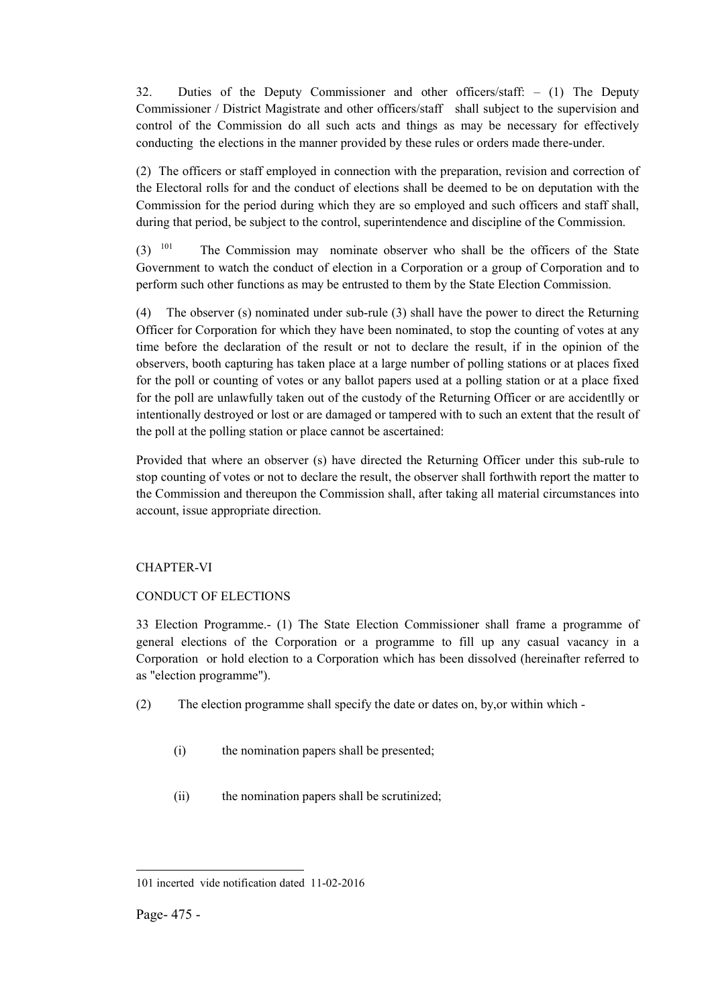32. Duties of the Deputy Commissioner and other officers/staff: – (1) The Deputy Commissioner / District Magistrate and other officers/staff shall subject to the supervision and control of the Commission do all such acts and things as may be necessary for effectively conducting the elections in the manner provided by these rules or orders made there-under.

(2) The officers or staff employed in connection with the preparation, revision and correction of the Electoral rolls for and the conduct of elections shall be deemed to be on deputation with the Commission for the period during which they are so employed and such officers and staff shall, during that period, be subject to the control, superintendence and discipline of the Commission.

 $(3)$  <sup>101</sup> The Commission may nominate observer who shall be the officers of the State Government to watch the conduct of election in a Corporation or a group of Corporation and to perform such other functions as may be entrusted to them by the State Election Commission.

(4) The observer (s) nominated under sub-rule (3) shall have the power to direct the Returning Officer for Corporation for which they have been nominated, to stop the counting of votes at any time before the declaration of the result or not to declare the result, if in the opinion of the observers, booth capturing has taken place at a large number of polling stations or at places fixed for the poll or counting of votes or any ballot papers used at a polling station or at a place fixed for the poll are unlawfully taken out of the custody of the Returning Officer or are accidentlly or intentionally destroyed or lost or are damaged or tampered with to such an extent that the result of the poll at the polling station or place cannot be ascertained:

Provided that where an observer (s) have directed the Returning Officer under this sub-rule to stop counting of votes or not to declare the result, the observer shall forthwith report the matter to the Commission and thereupon the Commission shall, after taking all material circumstances into account, issue appropriate direction.

## CHAPTER-VI

## CONDUCT OF ELECTIONS

33 Election Programme.- (1) The State Election Commissioner shall frame a programme of general elections of the Corporation or a programme to fill up any casual vacancy in a Corporation or hold election to a Corporation which has been dissolved (hereinafter referred to as "election programme").

- (2) The election programme shall specify the date or dates on, by,or within which
	- (i) the nomination papers shall be presented;
	- (ii) the nomination papers shall be scrutinized;

<sup>1</sup> 101 incerted vide notification dated 11-02-2016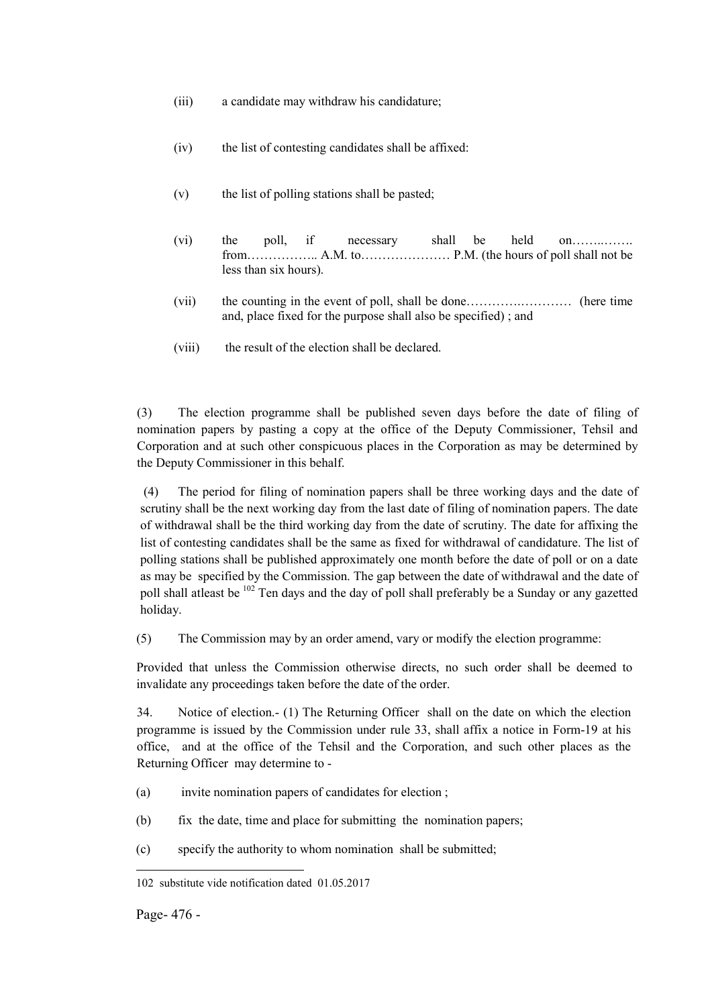- (iii) a candidate may withdraw his candidature;
- (iv) the list of contesting candidates shall be affixed:
- (v) the list of polling stations shall be pasted;
- (vi) the poll, if necessary shall be held on……..……. from…………….. A.M. to………………… P.M. (the hours of poll shall not be less than six hours).
- (vii) the counting in the event of poll, shall be done………….………… (here time and, place fixed for the purpose shall also be specified) ; and
- (viii) the result of the election shall be declared.

(3) The election programme shall be published seven days before the date of filing of nomination papers by pasting a copy at the office of the Deputy Commissioner, Tehsil and Corporation and at such other conspicuous places in the Corporation as may be determined by the Deputy Commissioner in this behalf.

(4) The period for filing of nomination papers shall be three working days and the date of scrutiny shall be the next working day from the last date of filing of nomination papers. The date of withdrawal shall be the third working day from the date of scrutiny. The date for affixing the list of contesting candidates shall be the same as fixed for withdrawal of candidature. The list of polling stations shall be published approximately one month before the date of poll or on a date as may be specified by the Commission. The gap between the date of withdrawal and the date of poll shall atleast be <sup>102</sup> Ten days and the day of poll shall preferably be a Sunday or any gazetted holiday.

(5) The Commission may by an order amend, vary or modify the election programme:

Provided that unless the Commission otherwise directs, no such order shall be deemed to invalidate any proceedings taken before the date of the order.

34. Notice of election.- (1) The Returning Officer shall on the date on which the election programme is issued by the Commission under rule 33, shall affix a notice in Form-19 at his office, and at the office of the Tehsil and the Corporation, and such other places as the Returning Officer may determine to -

- (a) invite nomination papers of candidates for election ;
- (b) fix the date, time and place for submitting the nomination papers;
- (c) specify the authority to whom nomination shall be submitted;

<sup>102</sup> substitute vide notification dated 01.05.2017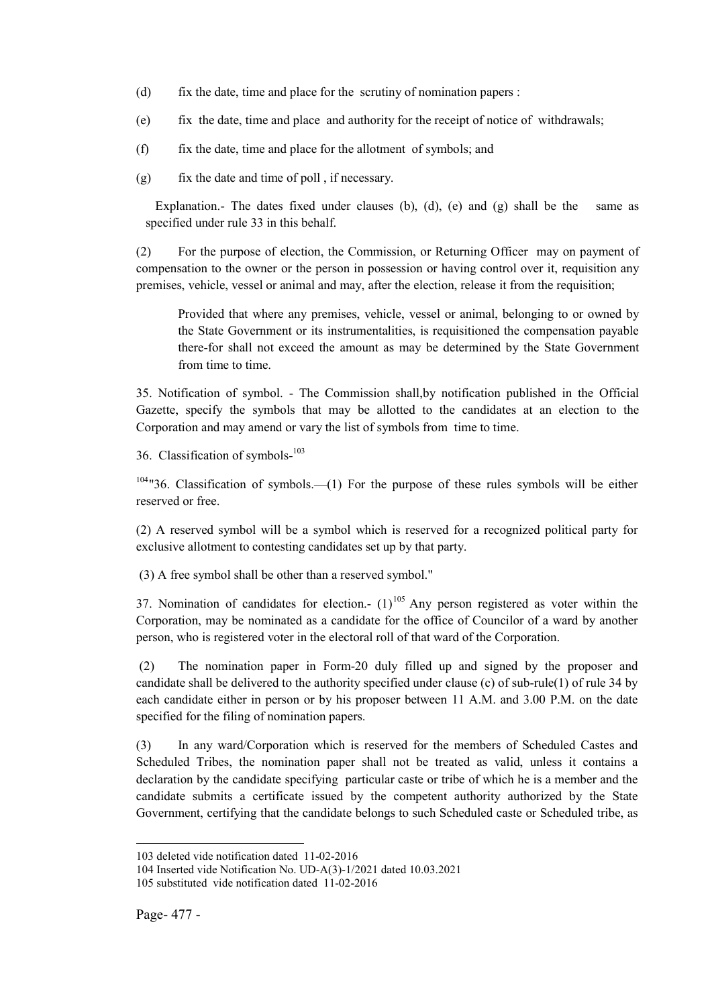- (d) fix the date, time and place for the scrutiny of nomination papers :
- (e) fix the date, time and place and authority for the receipt of notice of withdrawals;
- (f) fix the date, time and place for the allotment of symbols; and
- (g) fix the date and time of poll , if necessary.

Explanation.- The dates fixed under clauses (b), (d), (e) and (g) shall be the same as specified under rule 33 in this behalf.

(2) For the purpose of election, the Commission, or Returning Officer may on payment of compensation to the owner or the person in possession or having control over it, requisition any premises, vehicle, vessel or animal and may, after the election, release it from the requisition;

Provided that where any premises, vehicle, vessel or animal, belonging to or owned by the State Government or its instrumentalities, is requisitioned the compensation payable there-for shall not exceed the amount as may be determined by the State Government from time to time.

35. Notification of symbol. - The Commission shall,by notification published in the Official Gazette, specify the symbols that may be allotted to the candidates at an election to the Corporation and may amend or vary the list of symbols from time to time.

36. Classification of symbols-<sup>103</sup>

 $104"36$ . Classification of symbols.—(1) For the purpose of these rules symbols will be either reserved or free.

(2) A reserved symbol will be a symbol which is reserved for a recognized political party for exclusive allotment to contesting candidates set up by that party.

(3) A free symbol shall be other than a reserved symbol."

37. Nomination of candidates for election.-  $(1)^{105}$  Any person registered as voter within the Corporation, may be nominated as a candidate for the office of Councilor of a ward by another person, who is registered voter in the electoral roll of that ward of the Corporation.

(2) The nomination paper in Form-20 duly filled up and signed by the proposer and candidate shall be delivered to the authority specified under clause (c) of sub-rule(1) of rule 34 by each candidate either in person or by his proposer between 11 A.M. and 3.00 P.M. on the date specified for the filing of nomination papers.

(3) In any ward/Corporation which is reserved for the members of Scheduled Castes and Scheduled Tribes, the nomination paper shall not be treated as valid, unless it contains a declaration by the candidate specifying particular caste or tribe of which he is a member and the candidate submits a certificate issued by the competent authority authorized by the State Government, certifying that the candidate belongs to such Scheduled caste or Scheduled tribe, as

<sup>1</sup> 103 deleted vide notification dated 11-02-2016

<sup>104</sup> Inserted vide Notification No. UD-A(3)-1/2021 dated 10.03.2021 105 substituted vide notification dated 11-02-2016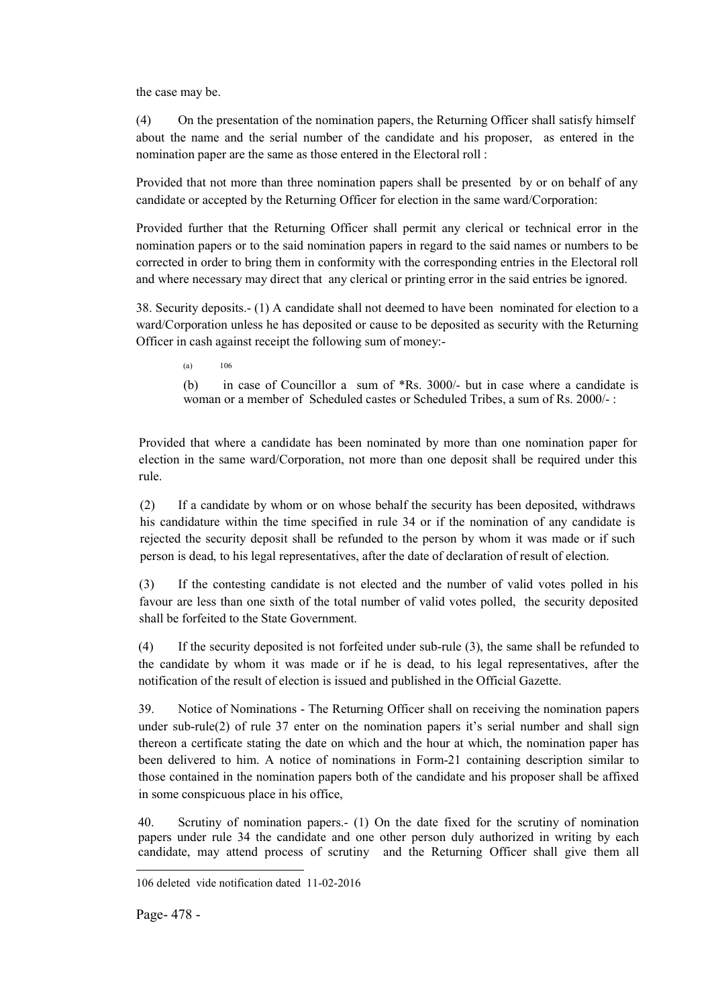the case may be.

(4) On the presentation of the nomination papers, the Returning Officer shall satisfy himself about the name and the serial number of the candidate and his proposer, as entered in the nomination paper are the same as those entered in the Electoral roll :

Provided that not more than three nomination papers shall be presented by or on behalf of any candidate or accepted by the Returning Officer for election in the same ward/Corporation:

Provided further that the Returning Officer shall permit any clerical or technical error in the nomination papers or to the said nomination papers in regard to the said names or numbers to be corrected in order to bring them in conformity with the corresponding entries in the Electoral roll and where necessary may direct that any clerical or printing error in the said entries be ignored.

38. Security deposits.- (1) A candidate shall not deemed to have been nominated for election to a ward/Corporation unless he has deposited or cause to be deposited as security with the Returning Officer in cash against receipt the following sum of money:-

(a) 106

(b) in case of Councillor a sum of \*Rs. 3000/- but in case where a candidate is woman or a member of Scheduled castes or Scheduled Tribes, a sum of Rs. 2000/- :

Provided that where a candidate has been nominated by more than one nomination paper for election in the same ward/Corporation, not more than one deposit shall be required under this rule.

(2) If a candidate by whom or on whose behalf the security has been deposited, withdraws his candidature within the time specified in rule 34 or if the nomination of any candidate is rejected the security deposit shall be refunded to the person by whom it was made or if such person is dead, to his legal representatives, after the date of declaration of result of election.

(3) If the contesting candidate is not elected and the number of valid votes polled in his favour are less than one sixth of the total number of valid votes polled, the security deposited shall be forfeited to the State Government.

(4) If the security deposited is not forfeited under sub-rule (3), the same shall be refunded to the candidate by whom it was made or if he is dead, to his legal representatives, after the notification of the result of election is issued and published in the Official Gazette.

39. Notice of Nominations - The Returning Officer shall on receiving the nomination papers under sub-rule(2) of rule 37 enter on the nomination papers it's serial number and shall sign thereon a certificate stating the date on which and the hour at which, the nomination paper has been delivered to him. A notice of nominations in Form-21 containing description similar to those contained in the nomination papers both of the candidate and his proposer shall be affixed in some conspicuous place in his office,

40. Scrutiny of nomination papers.- (1) On the date fixed for the scrutiny of nomination papers under rule 34 the candidate and one other person duly authorized in writing by each candidate, may attend process of scrutiny and the Returning Officer shall give them all

<sup>106</sup> deleted vide notification dated 11-02-2016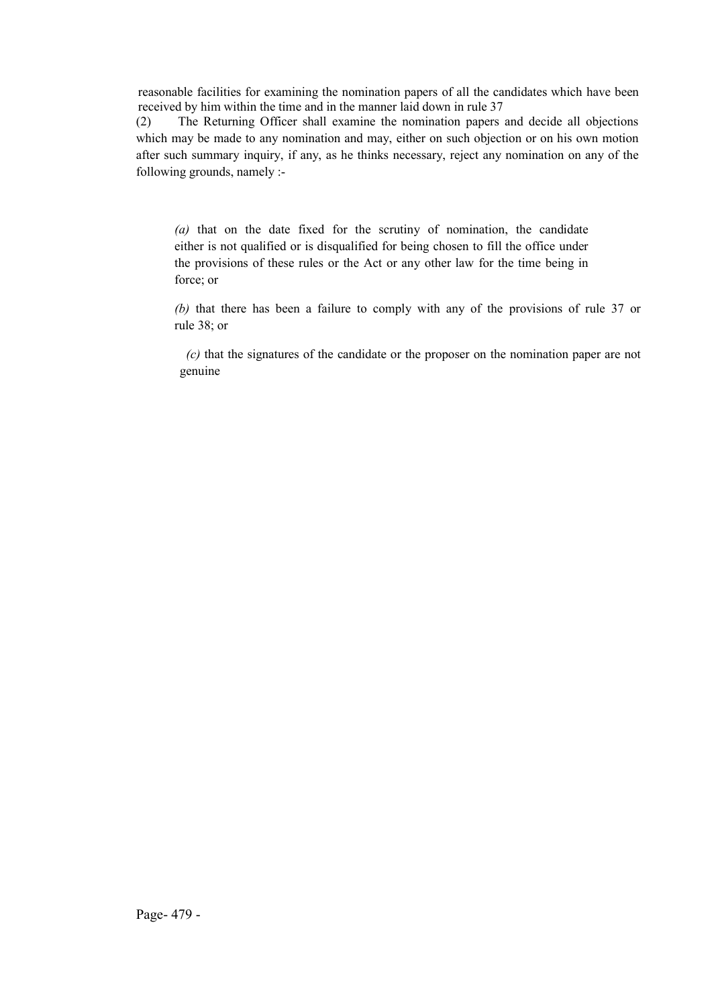reasonable facilities for examining the nomination papers of all the candidates which have been received by him within the time and in the manner laid down in rule 37

(2) The Returning Officer shall examine the nomination papers and decide all objections which may be made to any nomination and may, either on such objection or on his own motion after such summary inquiry, if any, as he thinks necessary, reject any nomination on any of the following grounds, namely :-

*(a)* that on the date fixed for the scrutiny of nomination, the candidate either is not qualified or is disqualified for being chosen to fill the office under the provisions of these rules or the Act or any other law for the time being in force; or

*(b)* that there has been a failure to comply with any of the provisions of rule 37 or rule 38; or

 *(c)* that the signatures of the candidate or the proposer on the nomination paper are not genuine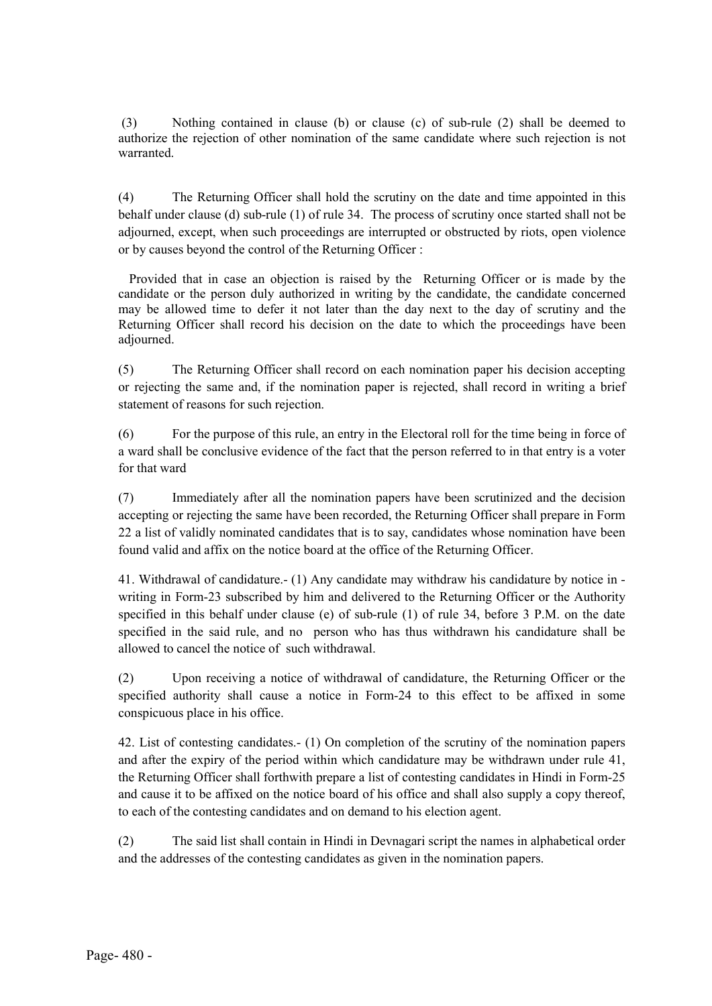(3) Nothing contained in clause (b) or clause (c) of sub-rule (2) shall be deemed to authorize the rejection of other nomination of the same candidate where such rejection is not warranted.

(4) The Returning Officer shall hold the scrutiny on the date and time appointed in this behalf under clause (d) sub-rule (1) of rule 34. The process of scrutiny once started shall not be adjourned, except, when such proceedings are interrupted or obstructed by riots, open violence or by causes beyond the control of the Returning Officer :

Provided that in case an objection is raised by the Returning Officer or is made by the candidate or the person duly authorized in writing by the candidate, the candidate concerned may be allowed time to defer it not later than the day next to the day of scrutiny and the Returning Officer shall record his decision on the date to which the proceedings have been adjourned.

(5) The Returning Officer shall record on each nomination paper his decision accepting or rejecting the same and, if the nomination paper is rejected, shall record in writing a brief statement of reasons for such rejection.

(6) For the purpose of this rule, an entry in the Electoral roll for the time being in force of a ward shall be conclusive evidence of the fact that the person referred to in that entry is a voter for that ward

(7) Immediately after all the nomination papers have been scrutinized and the decision accepting or rejecting the same have been recorded, the Returning Officer shall prepare in Form 22 a list of validly nominated candidates that is to say, candidates whose nomination have been found valid and affix on the notice board at the office of the Returning Officer.

41. Withdrawal of candidature.- (1) Any candidate may withdraw his candidature by notice in writing in Form-23 subscribed by him and delivered to the Returning Officer or the Authority specified in this behalf under clause (e) of sub-rule (1) of rule 34, before 3 P.M. on the date specified in the said rule, and no person who has thus withdrawn his candidature shall be allowed to cancel the notice of such withdrawal.

(2) Upon receiving a notice of withdrawal of candidature, the Returning Officer or the specified authority shall cause a notice in Form-24 to this effect to be affixed in some conspicuous place in his office.

42. List of contesting candidates.- (1) On completion of the scrutiny of the nomination papers and after the expiry of the period within which candidature may be withdrawn under rule 41, the Returning Officer shall forthwith prepare a list of contesting candidates in Hindi in Form-25 and cause it to be affixed on the notice board of his office and shall also supply a copy thereof, to each of the contesting candidates and on demand to his election agent.

(2) The said list shall contain in Hindi in Devnagari script the names in alphabetical order and the addresses of the contesting candidates as given in the nomination papers.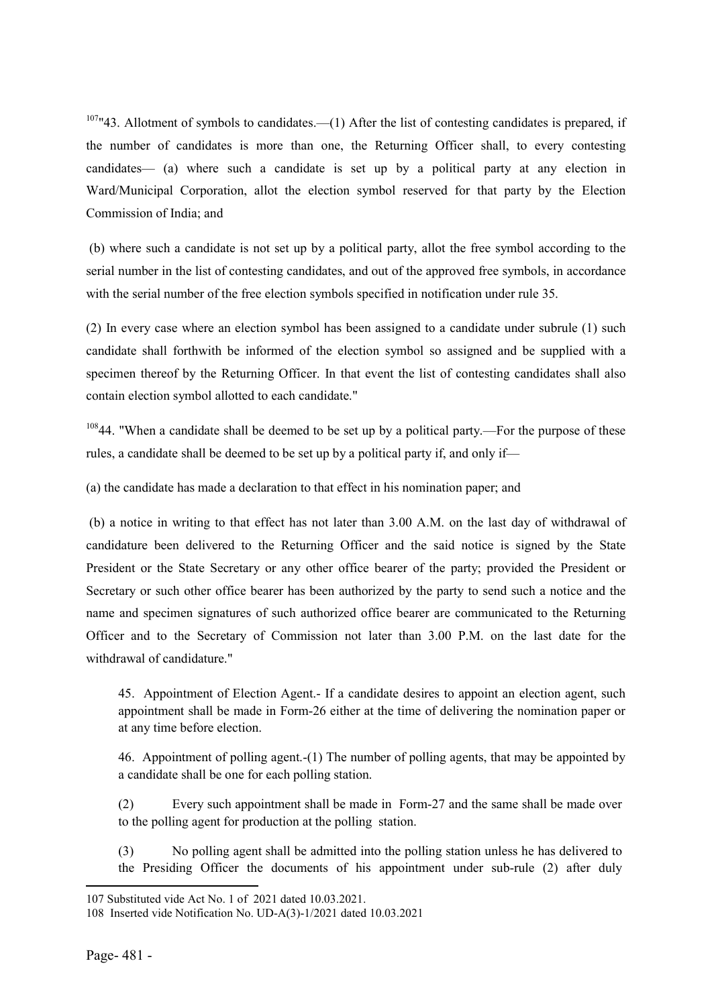107"43. Allotment of symbols to candidates.—(1) After the list of contesting candidates is prepared, if the number of candidates is more than one, the Returning Officer shall, to every contesting candidates— (a) where such a candidate is set up by a political party at any election in Ward/Municipal Corporation, allot the election symbol reserved for that party by the Election Commission of India; and

(b) where such a candidate is not set up by a political party, allot the free symbol according to the serial number in the list of contesting candidates, and out of the approved free symbols, in accordance with the serial number of the free election symbols specified in notification under rule 35.

(2) In every case where an election symbol has been assigned to a candidate under subrule (1) such candidate shall forthwith be informed of the election symbol so assigned and be supplied with a specimen thereof by the Returning Officer. In that event the list of contesting candidates shall also contain election symbol allotted to each candidate."

<sup>108</sup>44. "When a candidate shall be deemed to be set up by a political party.—For the purpose of these rules, a candidate shall be deemed to be set up by a political party if, and only if—

(a) the candidate has made a declaration to that effect in his nomination paper; and

(b) a notice in writing to that effect has not later than 3.00 A.M. on the last day of withdrawal of candidature been delivered to the Returning Officer and the said notice is signed by the State President or the State Secretary or any other office bearer of the party; provided the President or Secretary or such other office bearer has been authorized by the party to send such a notice and the name and specimen signatures of such authorized office bearer are communicated to the Returning Officer and to the Secretary of Commission not later than 3.00 P.M. on the last date for the withdrawal of candidature."

45. Appointment of Election Agent.- If a candidate desires to appoint an election agent, such appointment shall be made in Form-26 either at the time of delivering the nomination paper or at any time before election.

46. Appointment of polling agent.-(1) The number of polling agents, that may be appointed by a candidate shall be one for each polling station.

(2) Every such appointment shall be made in Form-27 and the same shall be made over to the polling agent for production at the polling station.

(3) No polling agent shall be admitted into the polling station unless he has delivered to the Presiding Officer the documents of his appointment under sub-rule (2) after duly

**.** 

<sup>107</sup> Substituted vide Act No. 1 of 2021 dated 10.03.2021.

<sup>108</sup> Inserted vide Notification No. UD-A(3)-1/2021 dated 10.03.2021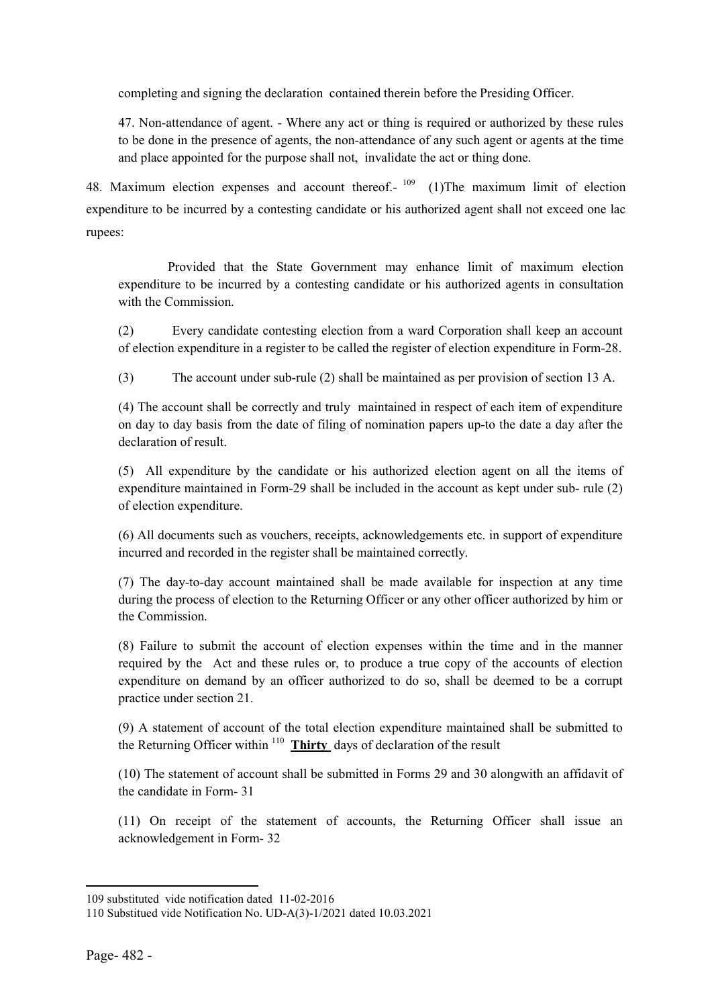completing and signing the declaration contained therein before the Presiding Officer.

47. Non-attendance of agent. - Where any act or thing is required or authorized by these rules to be done in the presence of agents, the non-attendance of any such agent or agents at the time and place appointed for the purpose shall not, invalidate the act or thing done.

48. Maximum election expenses and account thereof.- <sup>109</sup> (1)The maximum limit of election expenditure to be incurred by a contesting candidate or his authorized agent shall not exceed one lac rupees:

 Provided that the State Government may enhance limit of maximum election expenditure to be incurred by a contesting candidate or his authorized agents in consultation with the Commission.

(2) Every candidate contesting election from a ward Corporation shall keep an account of election expenditure in a register to be called the register of election expenditure in Form-28.

(3) The account under sub-rule (2) shall be maintained as per provision of section 13 A.

(4) The account shall be correctly and truly maintained in respect of each item of expenditure on day to day basis from the date of filing of nomination papers up-to the date a day after the declaration of result.

(5) All expenditure by the candidate or his authorized election agent on all the items of expenditure maintained in Form-29 shall be included in the account as kept under sub- rule (2) of election expenditure.

(6) All documents such as vouchers, receipts, acknowledgements etc. in support of expenditure incurred and recorded in the register shall be maintained correctly.

(7) The day-to-day account maintained shall be made available for inspection at any time during the process of election to the Returning Officer or any other officer authorized by him or the Commission.

(8) Failure to submit the account of election expenses within the time and in the manner required by the Act and these rules or, to produce a true copy of the accounts of election expenditure on demand by an officer authorized to do so, shall be deemed to be a corrupt practice under section 21.

(9) A statement of account of the total election expenditure maintained shall be submitted to the Returning Officer within  $110$  Thirty days of declaration of the result

(10) The statement of account shall be submitted in Forms 29 and 30 alongwith an affidavit of the candidate in Form- 31

(11) On receipt of the statement of accounts, the Returning Officer shall issue an acknowledgement in Form- 32

**.** 

<sup>109</sup> substituted vide notification dated 11-02-2016

<sup>110</sup> Substitued vide Notification No. UD-A(3)-1/2021 dated 10.03.2021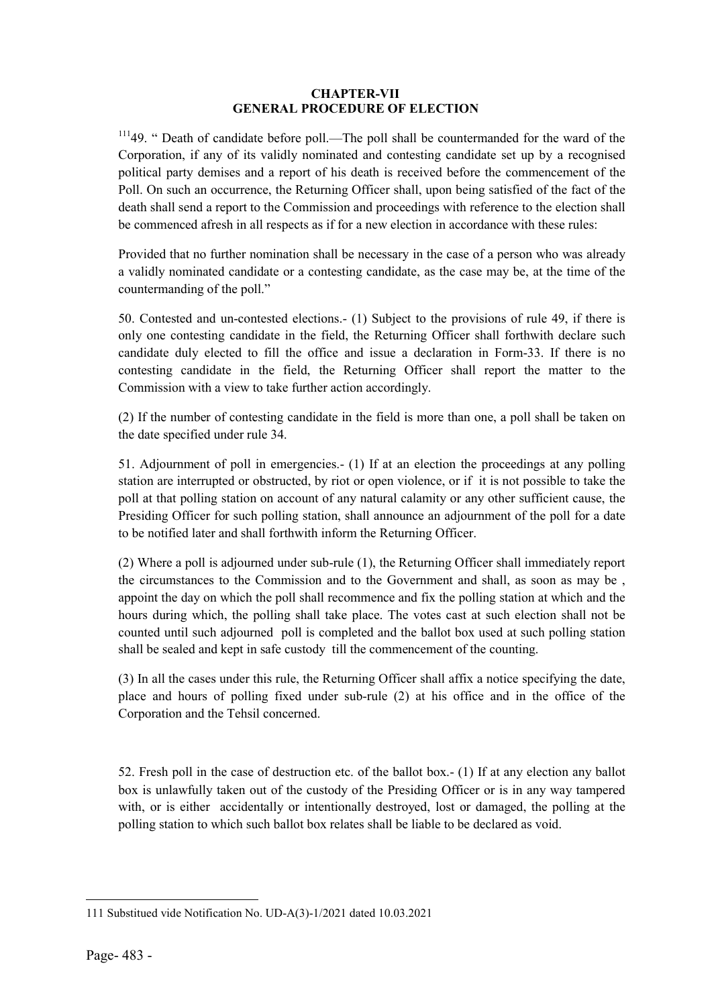## CHAPTER-VII GENERAL PROCEDURE OF ELECTION

<sup>111</sup>49. " Death of candidate before poll.—The poll shall be countermanded for the ward of the Corporation, if any of its validly nominated and contesting candidate set up by a recognised political party demises and a report of his death is received before the commencement of the Poll. On such an occurrence, the Returning Officer shall, upon being satisfied of the fact of the death shall send a report to the Commission and proceedings with reference to the election shall be commenced afresh in all respects as if for a new election in accordance with these rules:

Provided that no further nomination shall be necessary in the case of a person who was already a validly nominated candidate or a contesting candidate, as the case may be, at the time of the countermanding of the poll."

50. Contested and un-contested elections.- (1) Subject to the provisions of rule 49, if there is only one contesting candidate in the field, the Returning Officer shall forthwith declare such candidate duly elected to fill the office and issue a declaration in Form-33. If there is no contesting candidate in the field, the Returning Officer shall report the matter to the Commission with a view to take further action accordingly.

(2) If the number of contesting candidate in the field is more than one, a poll shall be taken on the date specified under rule 34.

51. Adjournment of poll in emergencies.- (1) If at an election the proceedings at any polling station are interrupted or obstructed, by riot or open violence, or if it is not possible to take the poll at that polling station on account of any natural calamity or any other sufficient cause, the Presiding Officer for such polling station, shall announce an adjournment of the poll for a date to be notified later and shall forthwith inform the Returning Officer.

(2) Where a poll is adjourned under sub-rule (1), the Returning Officer shall immediately report the circumstances to the Commission and to the Government and shall, as soon as may be , appoint the day on which the poll shall recommence and fix the polling station at which and the hours during which, the polling shall take place. The votes cast at such election shall not be counted until such adjourned poll is completed and the ballot box used at such polling station shall be sealed and kept in safe custody till the commencement of the counting.

(3) In all the cases under this rule, the Returning Officer shall affix a notice specifying the date, place and hours of polling fixed under sub-rule (2) at his office and in the office of the Corporation and the Tehsil concerned.

52. Fresh poll in the case of destruction etc. of the ballot box.- (1) If at any election any ballot box is unlawfully taken out of the custody of the Presiding Officer or is in any way tampered with, or is either accidentally or intentionally destroyed, lost or damaged, the polling at the polling station to which such ballot box relates shall be liable to be declared as void.

 $\overline{a}$ 111 Substitued vide Notification No. UD-A(3)-1/2021 dated 10.03.2021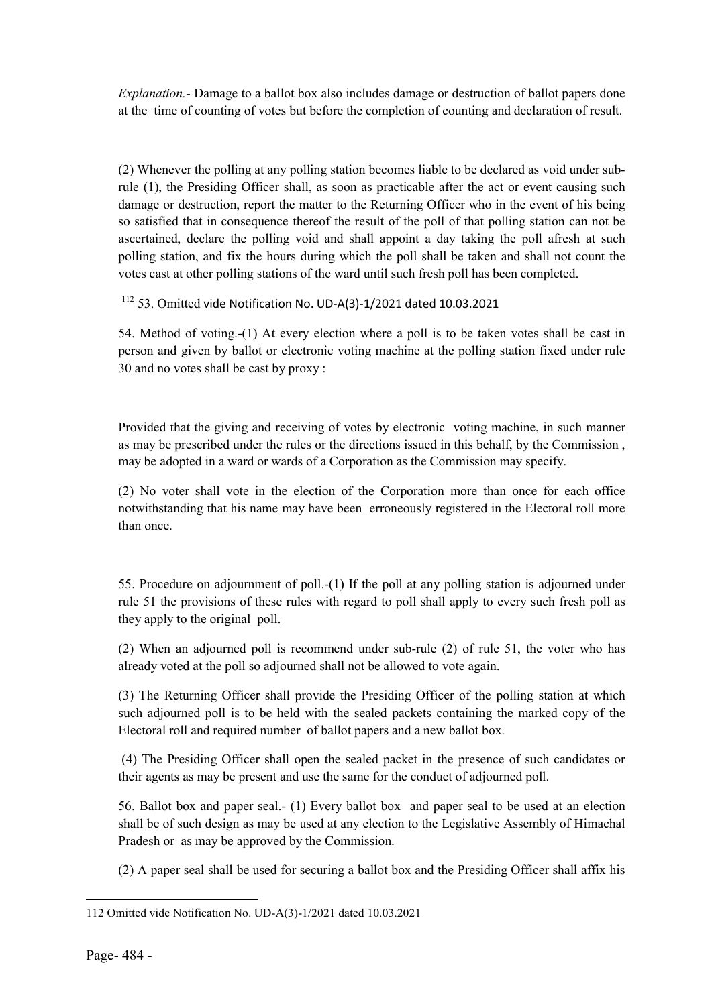*Explanation.-* Damage to a ballot box also includes damage or destruction of ballot papers done at the time of counting of votes but before the completion of counting and declaration of result.

(2) Whenever the polling at any polling station becomes liable to be declared as void under subrule (1), the Presiding Officer shall, as soon as practicable after the act or event causing such damage or destruction, report the matter to the Returning Officer who in the event of his being so satisfied that in consequence thereof the result of the poll of that polling station can not be ascertained, declare the polling void and shall appoint a day taking the poll afresh at such polling station, and fix the hours during which the poll shall be taken and shall not count the votes cast at other polling stations of the ward until such fresh poll has been completed.

<sup>112</sup> 53. Omitted vide Notification No. UD-A(3)-1/2021 dated 10.03.2021

54. Method of voting.-(1) At every election where a poll is to be taken votes shall be cast in person and given by ballot or electronic voting machine at the polling station fixed under rule 30 and no votes shall be cast by proxy :

Provided that the giving and receiving of votes by electronic voting machine, in such manner as may be prescribed under the rules or the directions issued in this behalf, by the Commission , may be adopted in a ward or wards of a Corporation as the Commission may specify.

(2) No voter shall vote in the election of the Corporation more than once for each office notwithstanding that his name may have been erroneously registered in the Electoral roll more than once.

55. Procedure on adjournment of poll.-(1) If the poll at any polling station is adjourned under rule 51 the provisions of these rules with regard to poll shall apply to every such fresh poll as they apply to the original poll.

(2) When an adjourned poll is recommend under sub-rule (2) of rule 51, the voter who has already voted at the poll so adjourned shall not be allowed to vote again.

(3) The Returning Officer shall provide the Presiding Officer of the polling station at which such adjourned poll is to be held with the sealed packets containing the marked copy of the Electoral roll and required number of ballot papers and a new ballot box.

(4) The Presiding Officer shall open the sealed packet in the presence of such candidates or their agents as may be present and use the same for the conduct of adjourned poll.

56. Ballot box and paper seal.- (1) Every ballot box and paper seal to be used at an election shall be of such design as may be used at any election to the Legislative Assembly of Himachal Pradesh or as may be approved by the Commission.

(2) A paper seal shall be used for securing a ballot box and the Presiding Officer shall affix his

 $\overline{a}$ 112 Omitted vide Notification No. UD-A(3)-1/2021 dated 10.03.2021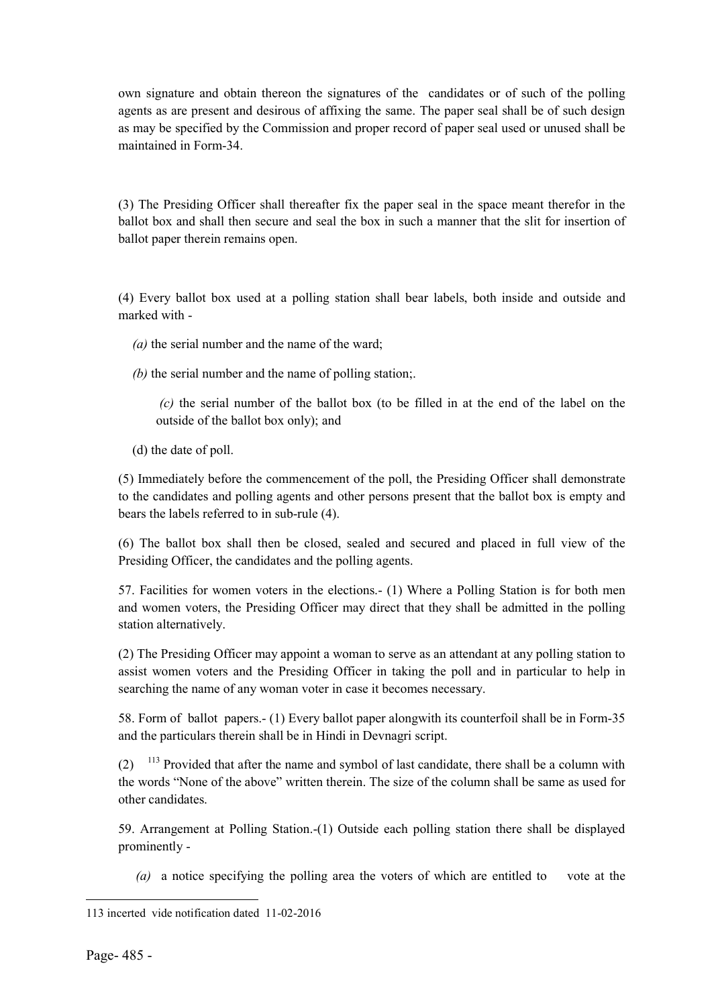own signature and obtain thereon the signatures of the candidates or of such of the polling agents as are present and desirous of affixing the same. The paper seal shall be of such design as may be specified by the Commission and proper record of paper seal used or unused shall be maintained in Form-34.

(3) The Presiding Officer shall thereafter fix the paper seal in the space meant therefor in the ballot box and shall then secure and seal the box in such a manner that the slit for insertion of ballot paper therein remains open.

(4) Every ballot box used at a polling station shall bear labels, both inside and outside and marked with -

*(a)* the serial number and the name of the ward;

*(b)* the serial number and the name of polling station;.

*(c)* the serial number of the ballot box (to be filled in at the end of the label on the outside of the ballot box only); and

(d) the date of poll.

(5) Immediately before the commencement of the poll, the Presiding Officer shall demonstrate to the candidates and polling agents and other persons present that the ballot box is empty and bears the labels referred to in sub-rule (4).

(6) The ballot box shall then be closed, sealed and secured and placed in full view of the Presiding Officer, the candidates and the polling agents.

57. Facilities for women voters in the elections.- (1) Where a Polling Station is for both men and women voters, the Presiding Officer may direct that they shall be admitted in the polling station alternatively.

(2) The Presiding Officer may appoint a woman to serve as an attendant at any polling station to assist women voters and the Presiding Officer in taking the poll and in particular to help in searching the name of any woman voter in case it becomes necessary.

58. Form of ballot papers.- (1) Every ballot paper alongwith its counterfoil shall be in Form-35 and the particulars therein shall be in Hindi in Devnagri script.

 $(2)$  <sup>113</sup> Provided that after the name and symbol of last candidate, there shall be a column with the words "None of the above" written therein. The size of the column shall be same as used for other candidates.

59. Arrangement at Polling Station.-(1) Outside each polling station there shall be displayed prominently -

 *(a)* a notice specifying the polling area the voters of which are entitled to vote at the

 $\overline{a}$ 113 incerted vide notification dated 11-02-2016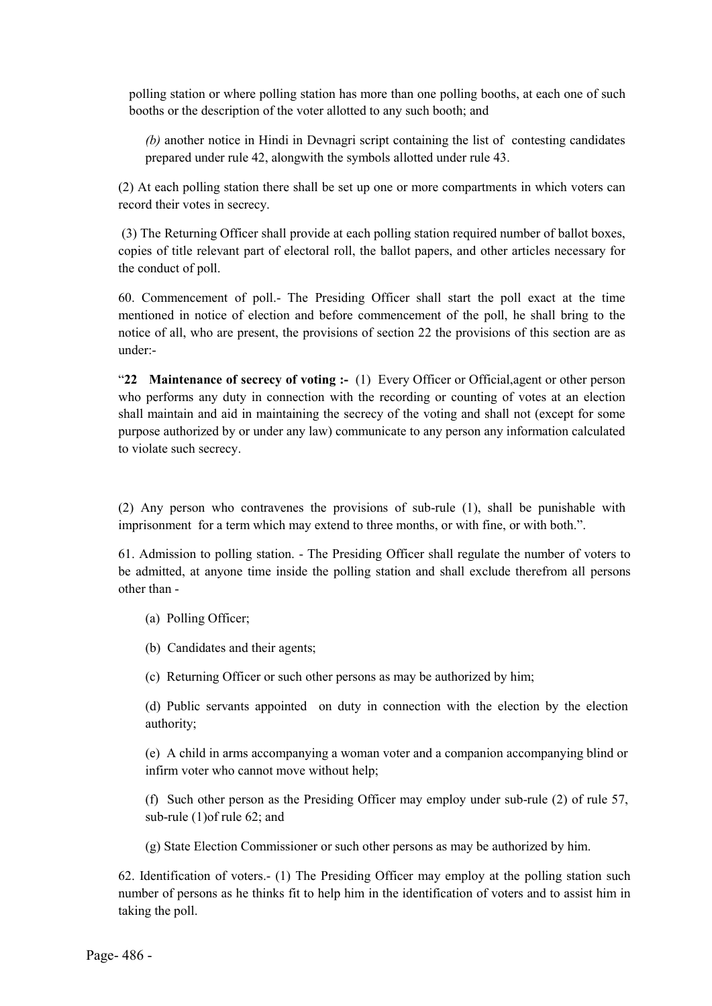polling station or where polling station has more than one polling booths, at each one of such booths or the description of the voter allotted to any such booth; and

*(b)* another notice in Hindi in Devnagri script containing the list of contesting candidates prepared under rule 42, alongwith the symbols allotted under rule 43.

(2) At each polling station there shall be set up one or more compartments in which voters can record their votes in secrecy.

(3) The Returning Officer shall provide at each polling station required number of ballot boxes, copies of title relevant part of electoral roll, the ballot papers, and other articles necessary for the conduct of poll.

60. Commencement of poll.- The Presiding Officer shall start the poll exact at the time mentioned in notice of election and before commencement of the poll, he shall bring to the notice of all, who are present, the provisions of section 22 the provisions of this section are as under:-

"22 Maintenance of secrecy of voting :-  $(1)$  Every Officer or Official, agent or other person who performs any duty in connection with the recording or counting of votes at an election shall maintain and aid in maintaining the secrecy of the voting and shall not (except for some purpose authorized by or under any law) communicate to any person any information calculated to violate such secrecy.

(2) Any person who contravenes the provisions of sub-rule (1), shall be punishable with imprisonment for a term which may extend to three months, or with fine, or with both.".

61. Admission to polling station. - The Presiding Officer shall regulate the number of voters to be admitted, at anyone time inside the polling station and shall exclude therefrom all persons other than -

(a) Polling Officer;

(b) Candidates and their agents;

(c) Returning Officer or such other persons as may be authorized by him;

(d) Public servants appointed on duty in connection with the election by the election authority;

(e) A child in arms accompanying a woman voter and a companion accompanying blind or infirm voter who cannot move without help;

(f) Such other person as the Presiding Officer may employ under sub-rule (2) of rule 57, sub-rule (1)of rule 62; and

(g) State Election Commissioner or such other persons as may be authorized by him.

62. Identification of voters.- (1) The Presiding Officer may employ at the polling station such number of persons as he thinks fit to help him in the identification of voters and to assist him in taking the poll.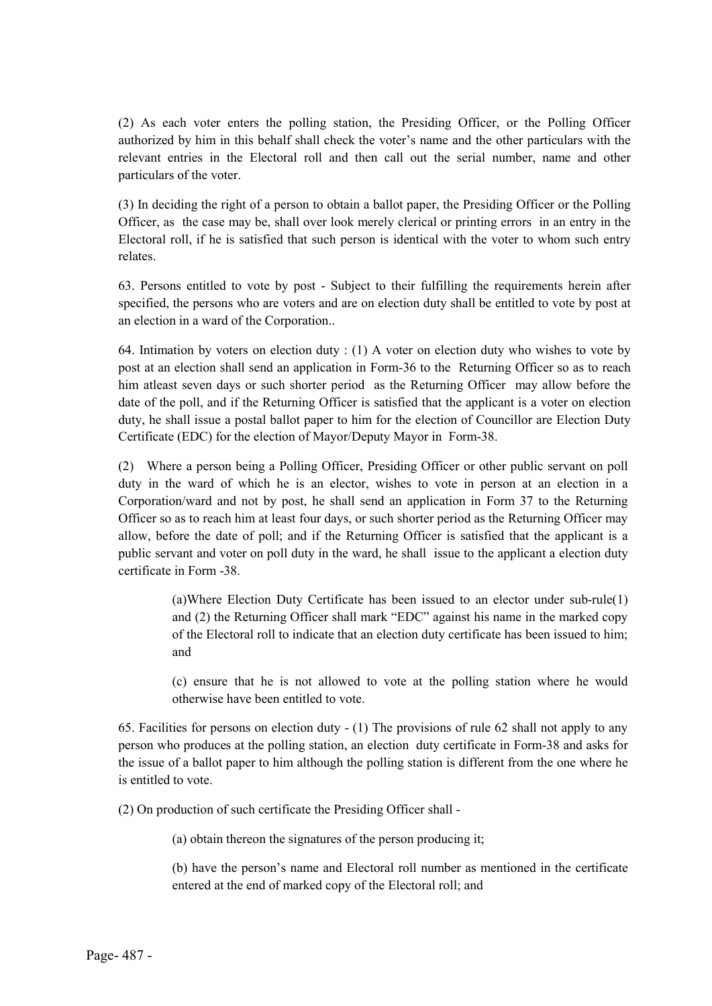(2) As each voter enters the polling station, the Presiding Officer, or the Polling Officer authorized by him in this behalf shall check the voter's name and the other particulars with the relevant entries in the Electoral roll and then call out the serial number, name and other particulars of the voter.

(3) In deciding the right of a person to obtain a ballot paper, the Presiding Officer or the Polling Officer, as the case may be, shall over look merely clerical or printing errors in an entry in the Electoral roll, if he is satisfied that such person is identical with the voter to whom such entry relates.

63. Persons entitled to vote by post - Subject to their fulfilling the requirements herein after specified, the persons who are voters and are on election duty shall be entitled to vote by post at an election in a ward of the Corporation..

64. Intimation by voters on election duty : (1) A voter on election duty who wishes to vote by post at an election shall send an application in Form-36 to the Returning Officer so as to reach him atleast seven days or such shorter period as the Returning Officer may allow before the date of the poll, and if the Returning Officer is satisfied that the applicant is a voter on election duty, he shall issue a postal ballot paper to him for the election of Councillor are Election Duty Certificate (EDC) for the election of Mayor/Deputy Mayor in Form-38.

(2) Where a person being a Polling Officer, Presiding Officer or other public servant on poll duty in the ward of which he is an elector, wishes to vote in person at an election in a Corporation/ward and not by post, he shall send an application in Form 37 to the Returning Officer so as to reach him at least four days, or such shorter period as the Returning Officer may allow, before the date of poll; and if the Returning Officer is satisfied that the applicant is a public servant and voter on poll duty in the ward, he shall issue to the applicant a election duty certificate in Form -38.

> (a)Where Election Duty Certificate has been issued to an elector under sub-rule(1) and (2) the Returning Officer shall mark "EDC" against his name in the marked copy of the Electoral roll to indicate that an election duty certificate has been issued to him; and

> (c) ensure that he is not allowed to vote at the polling station where he would otherwise have been entitled to vote.

65. Facilities for persons on election duty - (1) The provisions of rule 62 shall not apply to any person who produces at the polling station, an election duty certificate in Form-38 and asks for the issue of a ballot paper to him although the polling station is different from the one where he is entitled to vote.

(2) On production of such certificate the Presiding Officer shall -

(a) obtain thereon the signatures of the person producing it;

(b) have the person's name and Electoral roll number as mentioned in the certificate entered at the end of marked copy of the Electoral roll; and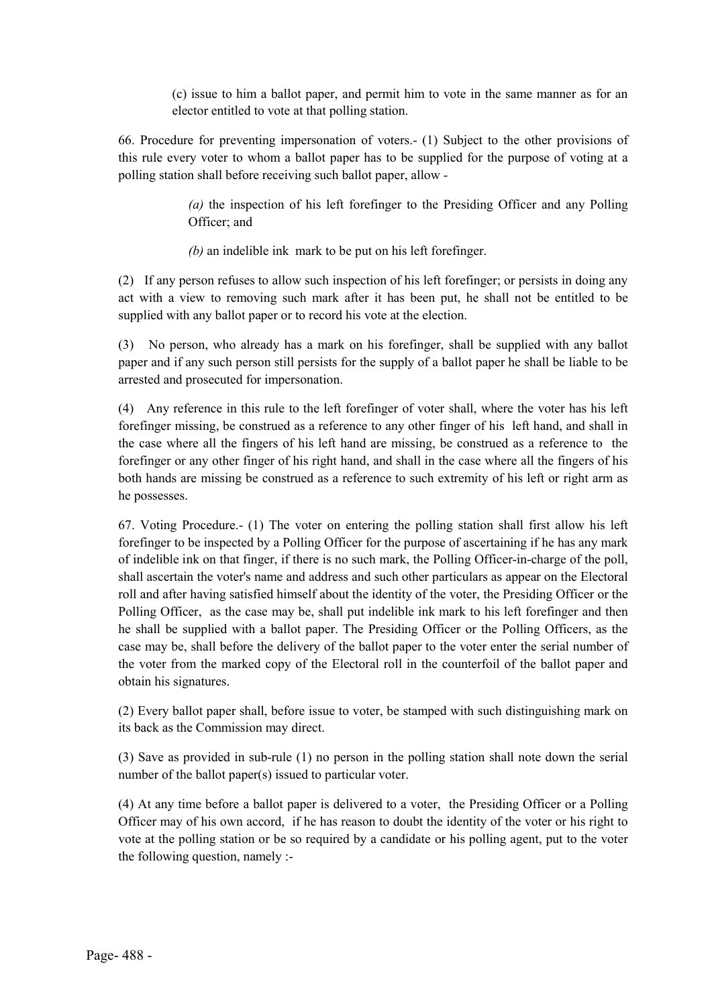(c) issue to him a ballot paper, and permit him to vote in the same manner as for an elector entitled to vote at that polling station.

66. Procedure for preventing impersonation of voters.- (1) Subject to the other provisions of this rule every voter to whom a ballot paper has to be supplied for the purpose of voting at a polling station shall before receiving such ballot paper, allow -

> *(a)* the inspection of his left forefinger to the Presiding Officer and any Polling Officer; and

*(b)* an indelible ink mark to be put on his left forefinger.

(2) If any person refuses to allow such inspection of his left forefinger; or persists in doing any act with a view to removing such mark after it has been put, he shall not be entitled to be supplied with any ballot paper or to record his vote at the election.

(3) No person, who already has a mark on his forefinger, shall be supplied with any ballot paper and if any such person still persists for the supply of a ballot paper he shall be liable to be arrested and prosecuted for impersonation.

(4) Any reference in this rule to the left forefinger of voter shall, where the voter has his left forefinger missing, be construed as a reference to any other finger of his left hand, and shall in the case where all the fingers of his left hand are missing, be construed as a reference to the forefinger or any other finger of his right hand, and shall in the case where all the fingers of his both hands are missing be construed as a reference to such extremity of his left or right arm as he possesses.

67. Voting Procedure.- (1) The voter on entering the polling station shall first allow his left forefinger to be inspected by a Polling Officer for the purpose of ascertaining if he has any mark of indelible ink on that finger, if there is no such mark, the Polling Officer-in-charge of the poll, shall ascertain the voter's name and address and such other particulars as appear on the Electoral roll and after having satisfied himself about the identity of the voter, the Presiding Officer or the Polling Officer, as the case may be, shall put indelible ink mark to his left forefinger and then he shall be supplied with a ballot paper. The Presiding Officer or the Polling Officers, as the case may be, shall before the delivery of the ballot paper to the voter enter the serial number of the voter from the marked copy of the Electoral roll in the counterfoil of the ballot paper and obtain his signatures.

(2) Every ballot paper shall, before issue to voter, be stamped with such distinguishing mark on its back as the Commission may direct.

(3) Save as provided in sub-rule (1) no person in the polling station shall note down the serial number of the ballot paper(s) issued to particular voter.

(4) At any time before a ballot paper is delivered to a voter, the Presiding Officer or a Polling Officer may of his own accord, if he has reason to doubt the identity of the voter or his right to vote at the polling station or be so required by a candidate or his polling agent, put to the voter the following question, namely :-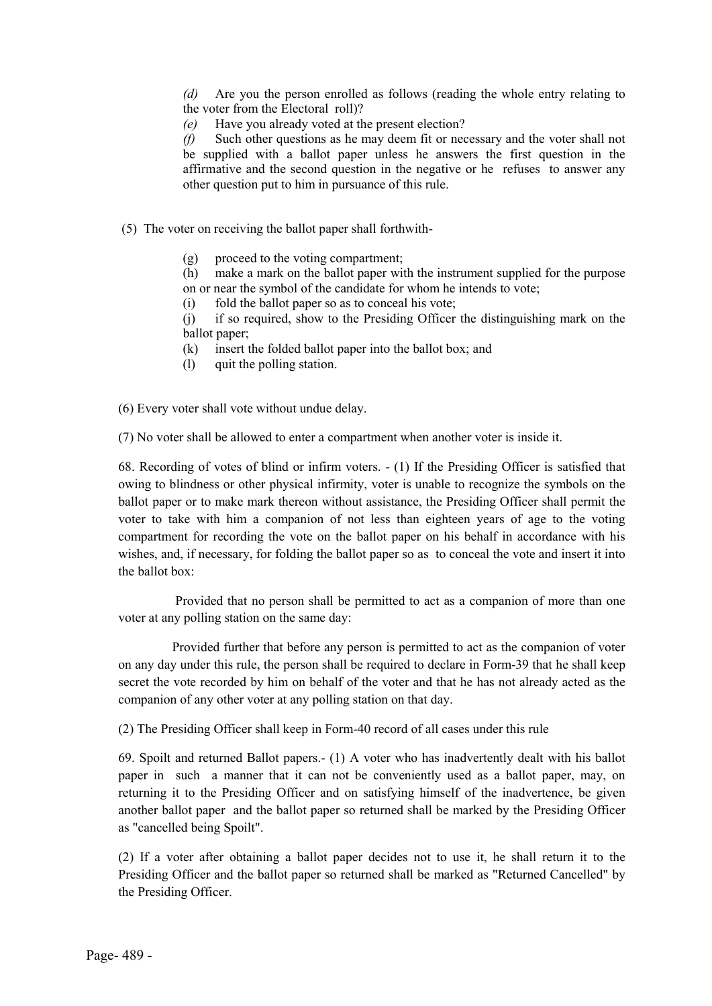*(d)* Are you the person enrolled as follows (reading the whole entry relating to the voter from the Electoral roll)?

*(e)* Have you already voted at the present election?

*(f)* Such other questions as he may deem fit or necessary and the voter shall not be supplied with a ballot paper unless he answers the first question in the affirmative and the second question in the negative or he refuses to answer any other question put to him in pursuance of this rule.

(5) The voter on receiving the ballot paper shall forthwith-

- (g) proceed to the voting compartment;
- (h) make a mark on the ballot paper with the instrument supplied for the purpose on or near the symbol of the candidate for whom he intends to vote;
- (i) fold the ballot paper so as to conceal his vote;

(j) if so required, show to the Presiding Officer the distinguishing mark on the ballot paper;

- (k) insert the folded ballot paper into the ballot box; and
- (l) quit the polling station.

(6) Every voter shall vote without undue delay.

(7) No voter shall be allowed to enter a compartment when another voter is inside it.

68. Recording of votes of blind or infirm voters. - (1) If the Presiding Officer is satisfied that owing to blindness or other physical infirmity, voter is unable to recognize the symbols on the ballot paper or to make mark thereon without assistance, the Presiding Officer shall permit the voter to take with him a companion of not less than eighteen years of age to the voting compartment for recording the vote on the ballot paper on his behalf in accordance with his wishes, and, if necessary, for folding the ballot paper so as to conceal the vote and insert it into the ballot box:

Provided that no person shall be permitted to act as a companion of more than one voter at any polling station on the same day:

Provided further that before any person is permitted to act as the companion of voter on any day under this rule, the person shall be required to declare in Form-39 that he shall keep secret the vote recorded by him on behalf of the voter and that he has not already acted as the companion of any other voter at any polling station on that day.

(2) The Presiding Officer shall keep in Form-40 record of all cases under this rule

69. Spoilt and returned Ballot papers.- (1) A voter who has inadvertently dealt with his ballot paper in such a manner that it can not be conveniently used as a ballot paper, may, on returning it to the Presiding Officer and on satisfying himself of the inadvertence, be given another ballot paper and the ballot paper so returned shall be marked by the Presiding Officer as "cancelled being Spoilt".

(2) If a voter after obtaining a ballot paper decides not to use it, he shall return it to the Presiding Officer and the ballot paper so returned shall be marked as "Returned Cancelled" by the Presiding Officer.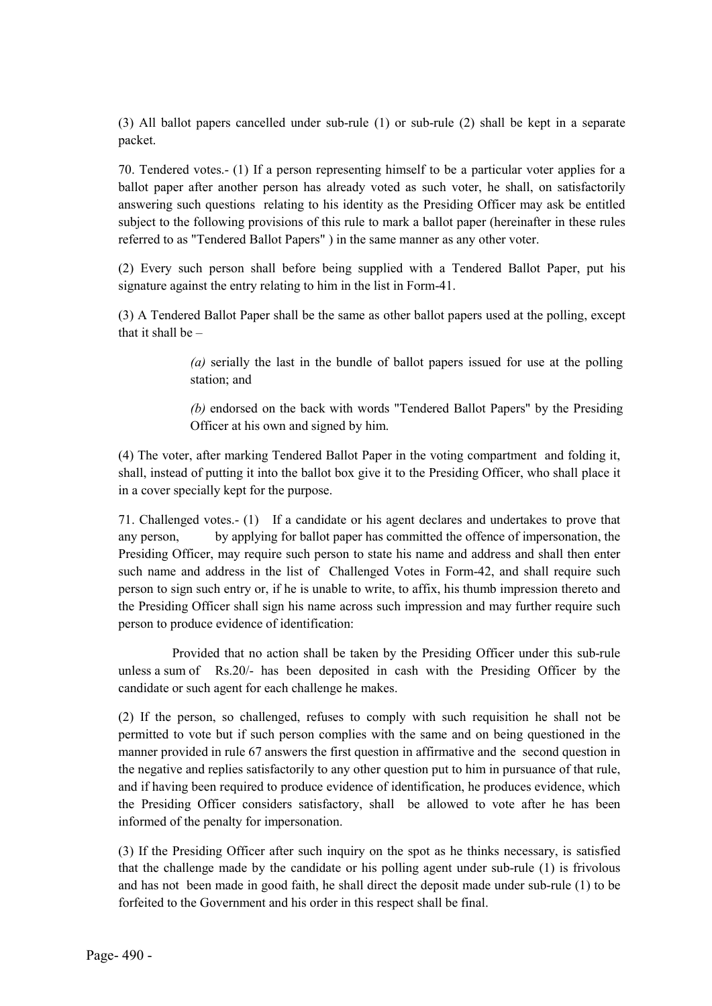(3) All ballot papers cancelled under sub-rule (1) or sub-rule (2) shall be kept in a separate packet.

70. Tendered votes.- (1) If a person representing himself to be a particular voter applies for a ballot paper after another person has already voted as such voter, he shall, on satisfactorily answering such questions relating to his identity as the Presiding Officer may ask be entitled subject to the following provisions of this rule to mark a ballot paper (hereinafter in these rules referred to as "Tendered Ballot Papers" ) in the same manner as any other voter.

(2) Every such person shall before being supplied with a Tendered Ballot Paper, put his signature against the entry relating to him in the list in Form-41.

(3) A Tendered Ballot Paper shall be the same as other ballot papers used at the polling, except that it shall be –

> *(a)* serially the last in the bundle of ballot papers issued for use at the polling station; and

> *(b)* endorsed on the back with words "Tendered Ballot Papers" by the Presiding Officer at his own and signed by him.

(4) The voter, after marking Tendered Ballot Paper in the voting compartment and folding it, shall, instead of putting it into the ballot box give it to the Presiding Officer, who shall place it in a cover specially kept for the purpose.

71. Challenged votes.- (1) If a candidate or his agent declares and undertakes to prove that any person, by applying for ballot paper has committed the offence of impersonation, the Presiding Officer, may require such person to state his name and address and shall then enter such name and address in the list of Challenged Votes in Form-42, and shall require such person to sign such entry or, if he is unable to write, to affix, his thumb impression thereto and the Presiding Officer shall sign his name across such impression and may further require such person to produce evidence of identification:

Provided that no action shall be taken by the Presiding Officer under this sub-rule unless a sum of Rs.20/- has been deposited in cash with the Presiding Officer by the candidate or such agent for each challenge he makes.

(2) If the person, so challenged, refuses to comply with such requisition he shall not be permitted to vote but if such person complies with the same and on being questioned in the manner provided in rule 67 answers the first question in affirmative and the second question in the negative and replies satisfactorily to any other question put to him in pursuance of that rule, and if having been required to produce evidence of identification, he produces evidence, which the Presiding Officer considers satisfactory, shall be allowed to vote after he has been informed of the penalty for impersonation.

(3) If the Presiding Officer after such inquiry on the spot as he thinks necessary, is satisfied that the challenge made by the candidate or his polling agent under sub-rule (1) is frivolous and has not been made in good faith, he shall direct the deposit made under sub-rule (1) to be forfeited to the Government and his order in this respect shall be final.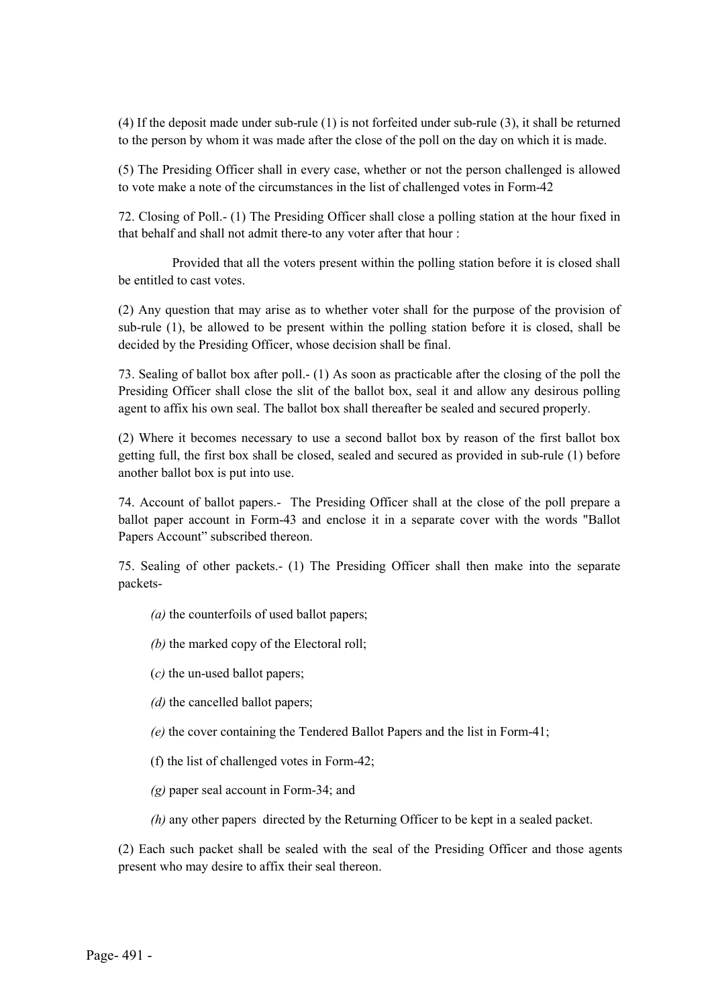(4) If the deposit made under sub-rule (1) is not forfeited under sub-rule (3), it shall be returned to the person by whom it was made after the close of the poll on the day on which it is made.

(5) The Presiding Officer shall in every case, whether or not the person challenged is allowed to vote make a note of the circumstances in the list of challenged votes in Form-42

72. Closing of Poll.- (1) The Presiding Officer shall close a polling station at the hour fixed in that behalf and shall not admit there-to any voter after that hour :

Provided that all the voters present within the polling station before it is closed shall be entitled to cast votes.

(2) Any question that may arise as to whether voter shall for the purpose of the provision of sub-rule (1), be allowed to be present within the polling station before it is closed, shall be decided by the Presiding Officer, whose decision shall be final.

73. Sealing of ballot box after poll.- (1) As soon as practicable after the closing of the poll the Presiding Officer shall close the slit of the ballot box, seal it and allow any desirous polling agent to affix his own seal. The ballot box shall thereafter be sealed and secured properly.

(2) Where it becomes necessary to use a second ballot box by reason of the first ballot box getting full, the first box shall be closed, sealed and secured as provided in sub-rule (1) before another ballot box is put into use.

74. Account of ballot papers.- The Presiding Officer shall at the close of the poll prepare a ballot paper account in Form-43 and enclose it in a separate cover with the words "Ballot Papers Account" subscribed thereon.

75. Sealing of other packets.- (1) The Presiding Officer shall then make into the separate packets-

*(a)* the counterfoils of used ballot papers;

*(b)* the marked copy of the Electoral roll;

(*c)* the un-used ballot papers;

*(d)* the cancelled ballot papers;

*(e)* the cover containing the Tendered Ballot Papers and the list in Form-41;

(f) the list of challenged votes in Form-42;

*(g)* paper seal account in Form-34; and

*(h)* any other papers directed by the Returning Officer to be kept in a sealed packet.

(2) Each such packet shall be sealed with the seal of the Presiding Officer and those agents present who may desire to affix their seal thereon.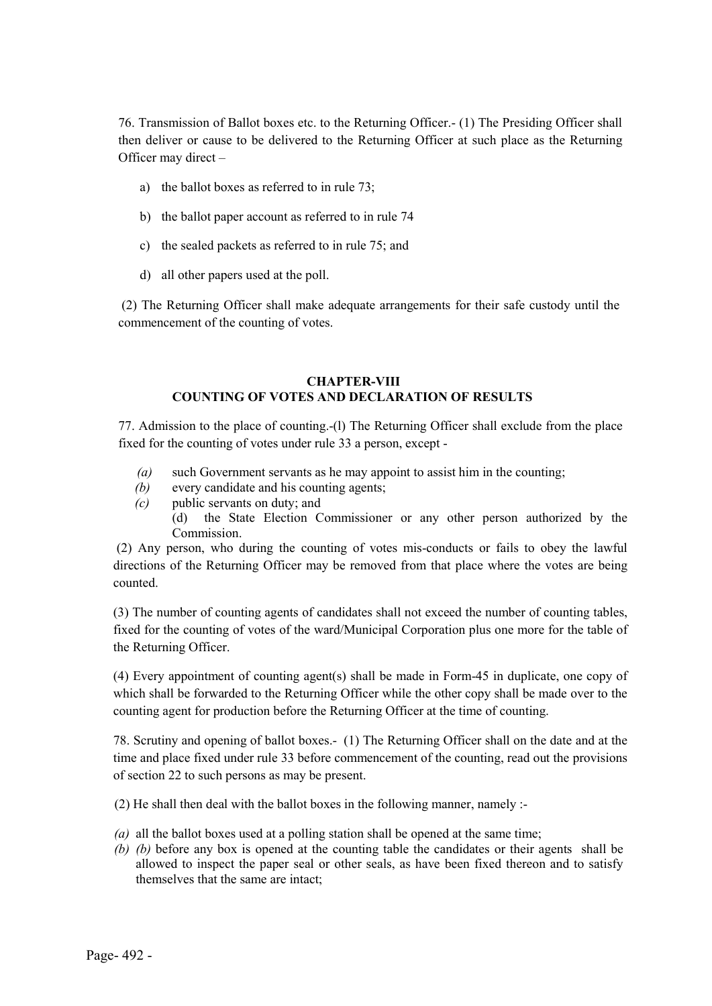76. Transmission of Ballot boxes etc. to the Returning Officer.- (1) The Presiding Officer shall then deliver or cause to be delivered to the Returning Officer at such place as the Returning Officer may direct –

- a) the ballot boxes as referred to in rule 73;
- b) the ballot paper account as referred to in rule 74
- c) the sealed packets as referred to in rule 75; and
- d) all other papers used at the poll.

(2) The Returning Officer shall make adequate arrangements for their safe custody until the commencement of the counting of votes.

### CHAPTER-VIII COUNTING OF VOTES AND DECLARATION OF RESULTS

77. Admission to the place of counting.-(l) The Returning Officer shall exclude from the place fixed for the counting of votes under rule 33 a person, except -

- *(a)* such Government servants as he may appoint to assist him in the counting;
- *(b)* every candidate and his counting agents;
- *(c)* public servants on duty; and
	- (d) the State Election Commissioner or any other person authorized by the Commission.

(2) Any person, who during the counting of votes mis-conducts or fails to obey the lawful directions of the Returning Officer may be removed from that place where the votes are being counted.

(3) The number of counting agents of candidates shall not exceed the number of counting tables, fixed for the counting of votes of the ward/Municipal Corporation plus one more for the table of the Returning Officer.

(4) Every appointment of counting agent(s) shall be made in Form-45 in duplicate, one copy of which shall be forwarded to the Returning Officer while the other copy shall be made over to the counting agent for production before the Returning Officer at the time of counting.

78. Scrutiny and opening of ballot boxes.- (1) The Returning Officer shall on the date and at the time and place fixed under rule 33 before commencement of the counting, read out the provisions of section 22 to such persons as may be present.

(2) He shall then deal with the ballot boxes in the following manner, namely :-

- *(a)* all the ballot boxes used at a polling station shall be opened at the same time;
- *(b) (b)* before any box is opened at the counting table the candidates or their agents shall be allowed to inspect the paper seal or other seals, as have been fixed thereon and to satisfy themselves that the same are intact;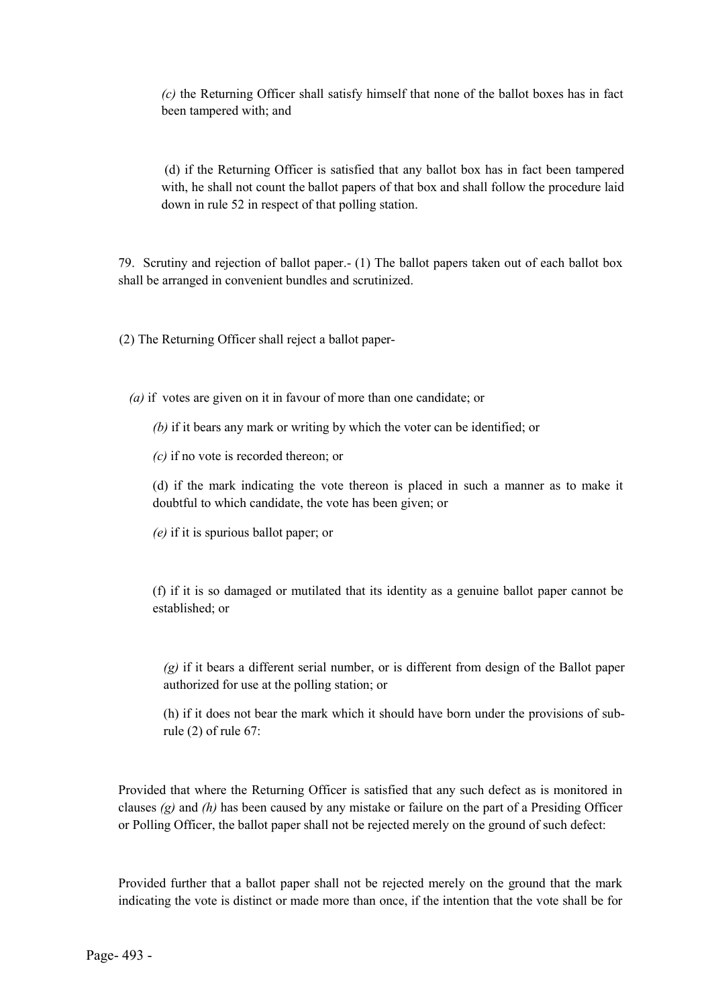*(c)* the Returning Officer shall satisfy himself that none of the ballot boxes has in fact been tampered with; and

(d) if the Returning Officer is satisfied that any ballot box has in fact been tampered with, he shall not count the ballot papers of that box and shall follow the procedure laid down in rule 52 in respect of that polling station.

79. Scrutiny and rejection of ballot paper.- (1) The ballot papers taken out of each ballot box shall be arranged in convenient bundles and scrutinized.

(2) The Returning Officer shall reject a ballot paper-

*(a)* if votes are given on it in favour of more than one candidate; or

- *(b)* if it bears any mark or writing by which the voter can be identified; or
- *(c)* if no vote is recorded thereon; or

(d) if the mark indicating the vote thereon is placed in such a manner as to make it doubtful to which candidate, the vote has been given; or

*(e)* if it is spurious ballot paper; or

(f) if it is so damaged or mutilated that its identity as a genuine ballot paper cannot be established; or

*(g)* if it bears a different serial number, or is different from design of the Ballot paper authorized for use at the polling station; or

(h) if it does not bear the mark which it should have born under the provisions of subrule (2) of rule 67:

Provided that where the Returning Officer is satisfied that any such defect as is monitored in clauses *(g)* and *(h)* has been caused by any mistake or failure on the part of a Presiding Officer or Polling Officer, the ballot paper shall not be rejected merely on the ground of such defect:

Provided further that a ballot paper shall not be rejected merely on the ground that the mark indicating the vote is distinct or made more than once, if the intention that the vote shall be for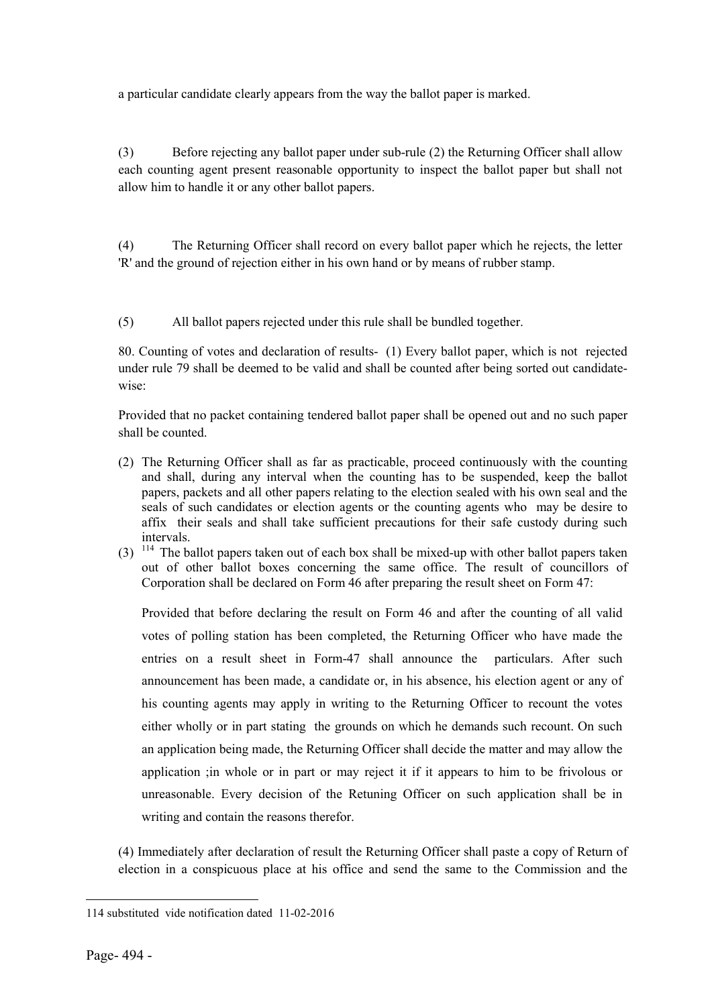a particular candidate clearly appears from the way the ballot paper is marked.

(3) Before rejecting any ballot paper under sub-rule (2) the Returning Officer shall allow each counting agent present reasonable opportunity to inspect the ballot paper but shall not allow him to handle it or any other ballot papers.

(4) The Returning Officer shall record on every ballot paper which he rejects, the letter 'R' and the ground of rejection either in his own hand or by means of rubber stamp.

(5) All ballot papers rejected under this rule shall be bundled together.

80. Counting of votes and declaration of results- (1) Every ballot paper, which is not rejected under rule 79 shall be deemed to be valid and shall be counted after being sorted out candidatewise:

Provided that no packet containing tendered ballot paper shall be opened out and no such paper shall be counted.

- (2) The Returning Officer shall as far as practicable, proceed continuously with the counting and shall, during any interval when the counting has to be suspended, keep the ballot papers, packets and all other papers relating to the election sealed with his own seal and the seals of such candidates or election agents or the counting agents who may be desire to affix their seals and shall take sufficient precautions for their safe custody during such intervals.
- $(3)$  <sup>114</sup> The ballot papers taken out of each box shall be mixed-up with other ballot papers taken out of other ballot boxes concerning the same office. The result of councillors of Corporation shall be declared on Form 46 after preparing the result sheet on Form 47:

Provided that before declaring the result on Form 46 and after the counting of all valid votes of polling station has been completed, the Returning Officer who have made the entries on a result sheet in Form-47 shall announce the particulars. After such announcement has been made, a candidate or, in his absence, his election agent or any of his counting agents may apply in writing to the Returning Officer to recount the votes either wholly or in part stating the grounds on which he demands such recount. On such an application being made, the Returning Officer shall decide the matter and may allow the application ;in whole or in part or may reject it if it appears to him to be frivolous or unreasonable. Every decision of the Retuning Officer on such application shall be in writing and contain the reasons therefor.

(4) Immediately after declaration of result the Returning Officer shall paste a copy of Return of election in a conspicuous place at his office and send the same to the Commission and the

 $\overline{a}$ 114 substituted vide notification dated 11-02-2016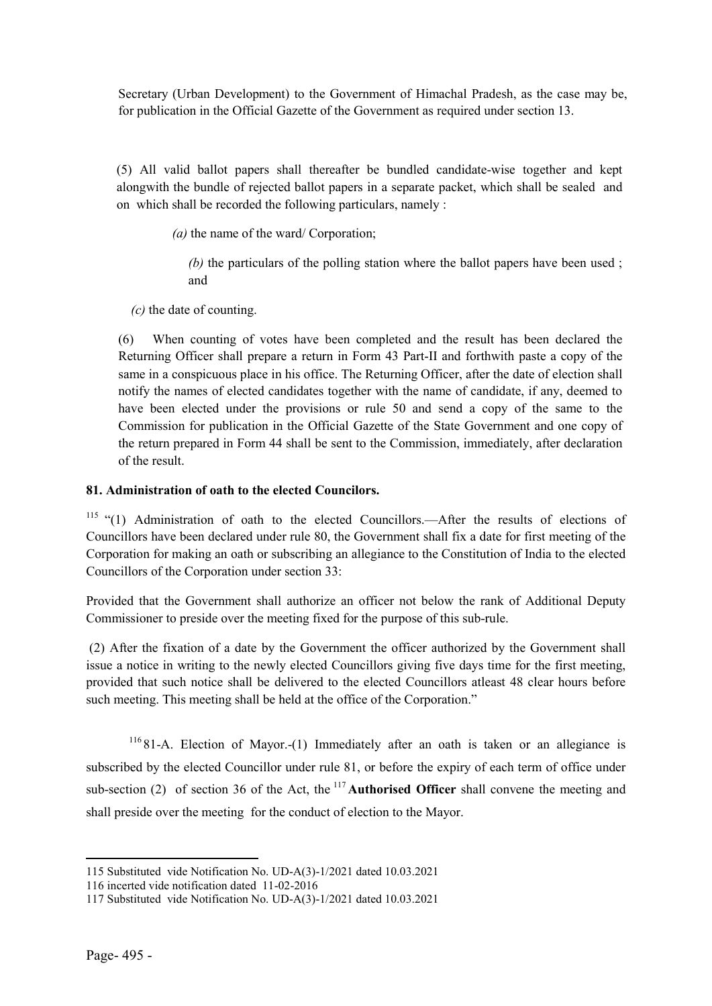Secretary (Urban Development) to the Government of Himachal Pradesh, as the case may be, for publication in the Official Gazette of the Government as required under section 13.

(5) All valid ballot papers shall thereafter be bundled candidate-wise together and kept alongwith the bundle of rejected ballot papers in a separate packet, which shall be sealed and on which shall be recorded the following particulars, namely :

*(a)* the name of the ward/ Corporation;

*(b)* the particulars of the polling station where the ballot papers have been used ; and

*(c)* the date of counting.

(6) When counting of votes have been completed and the result has been declared the Returning Officer shall prepare a return in Form 43 Part-II and forthwith paste a copy of the same in a conspicuous place in his office. The Returning Officer, after the date of election shall notify the names of elected candidates together with the name of candidate, if any, deemed to have been elected under the provisions or rule 50 and send a copy of the same to the Commission for publication in the Official Gazette of the State Government and one copy of the return prepared in Form 44 shall be sent to the Commission, immediately, after declaration of the result.

## 81. Administration of oath to the elected Councilors.

<sup>115</sup> "(1) Administration of oath to the elected Councillors.—After the results of elections of Councillors have been declared under rule 80, the Government shall fix a date for first meeting of the Corporation for making an oath or subscribing an allegiance to the Constitution of India to the elected Councillors of the Corporation under section 33:

Provided that the Government shall authorize an officer not below the rank of Additional Deputy Commissioner to preside over the meeting fixed for the purpose of this sub-rule.

(2) After the fixation of a date by the Government the officer authorized by the Government shall issue a notice in writing to the newly elected Councillors giving five days time for the first meeting, provided that such notice shall be delivered to the elected Councillors atleast 48 clear hours before such meeting. This meeting shall be held at the office of the Corporation."

<sup>116</sup> 81-A. Election of Mayor.-(1) Immediately after an oath is taken or an allegiance is subscribed by the elected Councillor under rule 81, or before the expiry of each term of office under sub-section (2) of section 36 of the Act, the  $117$  **Authorised Officer** shall convene the meeting and shall preside over the meeting for the conduct of election to the Mayor.

 $\overline{a}$ 

<sup>115</sup> Substituted vide Notification No. UD-A(3)-1/2021 dated 10.03.2021

<sup>116</sup> incerted vide notification dated 11-02-2016

<sup>117</sup> Substituted vide Notification No. UD-A(3)-1/2021 dated 10.03.2021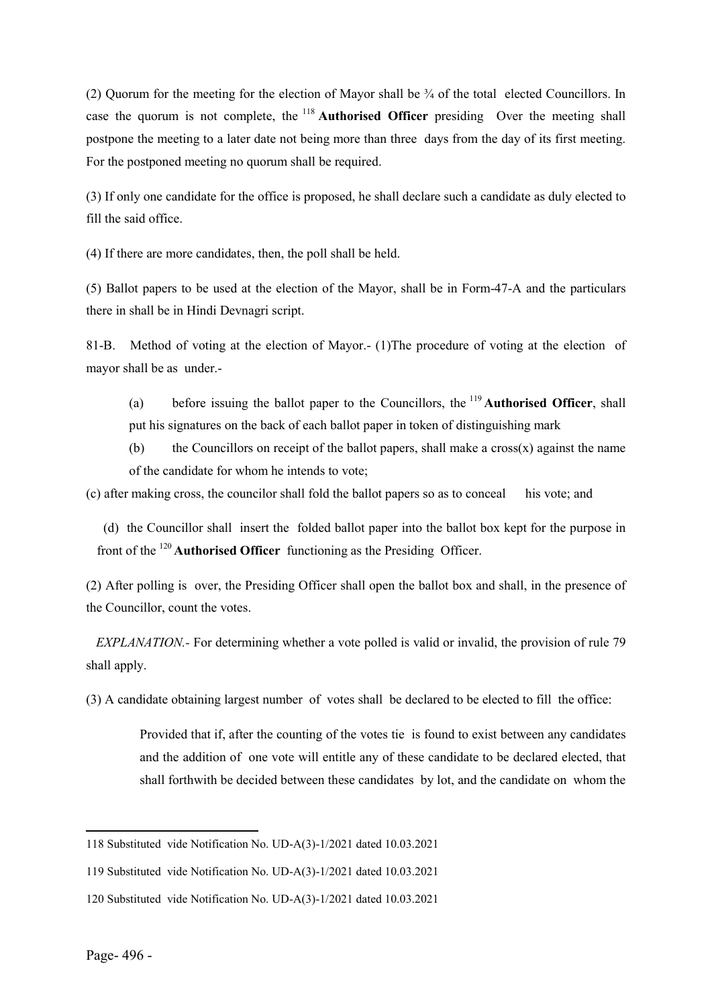(2) Quorum for the meeting for the election of Mayor shall be  $\frac{3}{4}$  of the total elected Councillors. In case the quorum is not complete, the  $118$  **Authorised Officer** presiding Over the meeting shall postpone the meeting to a later date not being more than three days from the day of its first meeting. For the postponed meeting no quorum shall be required.

(3) If only one candidate for the office is proposed, he shall declare such a candidate as duly elected to fill the said office.

(4) If there are more candidates, then, the poll shall be held.

(5) Ballot papers to be used at the election of the Mayor, shall be in Form-47-A and the particulars there in shall be in Hindi Devnagri script.

81-B. Method of voting at the election of Mayor.- (1)The procedure of voting at the election of mayor shall be as under.-

(a) before issuing the ballot paper to the Councillors, the  $^{119}$  **Authorised Officer**, shall put his signatures on the back of each ballot paper in token of distinguishing mark

(b) the Councillors on receipt of the ballot papers, shall make a cross $(x)$  against the name of the candidate for whom he intends to vote;

(c) after making cross, the councilor shall fold the ballot papers so as to conceal his vote; and

 (d) the Councillor shall insert the folded ballot paper into the ballot box kept for the purpose in front of the  $120$  **Authorised Officer** functioning as the Presiding Officer.

(2) After polling is over, the Presiding Officer shall open the ballot box and shall, in the presence of the Councillor, count the votes.

 *EXPLANATION.-* For determining whether a vote polled is valid or invalid, the provision of rule 79 shall apply.

(3) A candidate obtaining largest number of votes shall be declared to be elected to fill the office:

Provided that if, after the counting of the votes tie is found to exist between any candidates and the addition of one vote will entitle any of these candidate to be declared elected, that shall forthwith be decided between these candidates by lot, and the candidate on whom the

**.** 

<sup>118</sup> Substituted vide Notification No. UD-A(3)-1/2021 dated 10.03.2021

<sup>119</sup> Substituted vide Notification No. UD-A(3)-1/2021 dated 10.03.2021

<sup>120</sup> Substituted vide Notification No. UD-A(3)-1/2021 dated 10.03.2021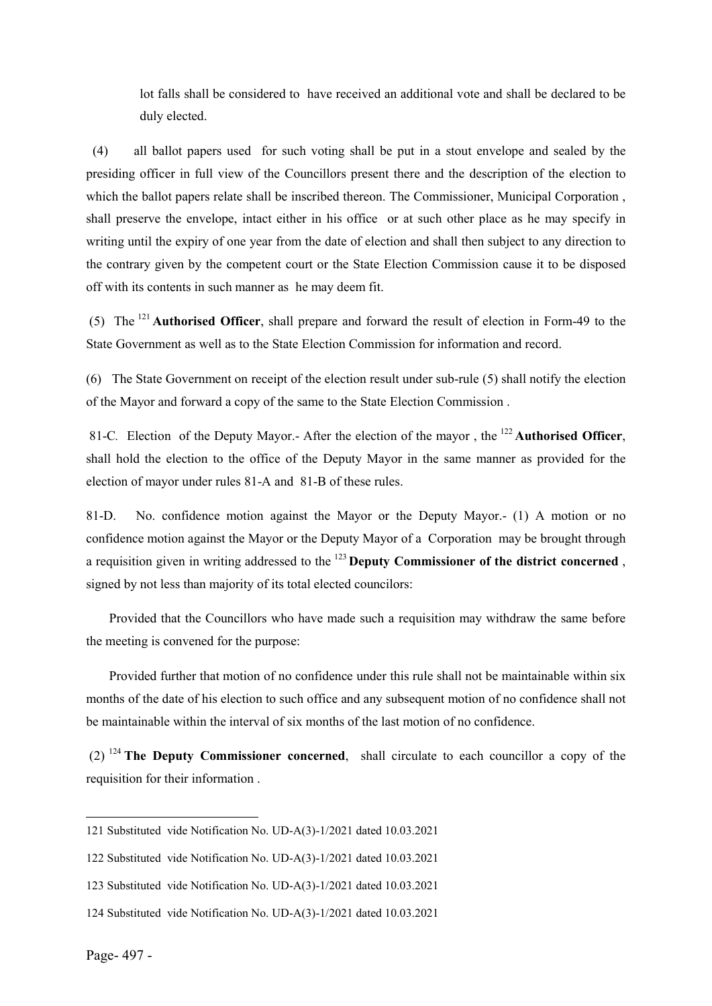lot falls shall be considered to have received an additional vote and shall be declared to be duly elected.

 (4) all ballot papers used for such voting shall be put in a stout envelope and sealed by the presiding officer in full view of the Councillors present there and the description of the election to which the ballot papers relate shall be inscribed thereon. The Commissioner, Municipal Corporation , shall preserve the envelope, intact either in his office or at such other place as he may specify in writing until the expiry of one year from the date of election and shall then subject to any direction to the contrary given by the competent court or the State Election Commission cause it to be disposed off with its contents in such manner as he may deem fit.

(5) The 121 Authorised Officer, shall prepare and forward the result of election in Form-49 to the State Government as well as to the State Election Commission for information and record.

(6) The State Government on receipt of the election result under sub-rule (5) shall notify the election of the Mayor and forward a copy of the same to the State Election Commission .

81-C. Election of the Deputy Mayor.- After the election of the mayor, the <sup>122</sup> Authorised Officer, shall hold the election to the office of the Deputy Mayor in the same manner as provided for the election of mayor under rules 81-A and 81-B of these rules.

81-D. No. confidence motion against the Mayor or the Deputy Mayor.- (1) A motion or no confidence motion against the Mayor or the Deputy Mayor of a Corporation may be brought through a requisition given in writing addressed to the  $^{123}$  Deputy Commissioner of the district concerned, signed by not less than majority of its total elected councilors:

 Provided that the Councillors who have made such a requisition may withdraw the same before the meeting is convened for the purpose:

 Provided further that motion of no confidence under this rule shall not be maintainable within six months of the date of his election to such office and any subsequent motion of no confidence shall not be maintainable within the interval of six months of the last motion of no confidence.

 $(2)$  <sup>124</sup> The Deputy Commissioner concerned, shall circulate to each councillor a copy of the requisition for their information .

<sup>121</sup> Substituted vide Notification No. UD-A(3)-1/2021 dated 10.03.2021

<sup>122</sup> Substituted vide Notification No. UD-A(3)-1/2021 dated 10.03.2021

<sup>123</sup> Substituted vide Notification No. UD-A(3)-1/2021 dated 10.03.2021

<sup>124</sup> Substituted vide Notification No. UD-A(3)-1/2021 dated 10.03.2021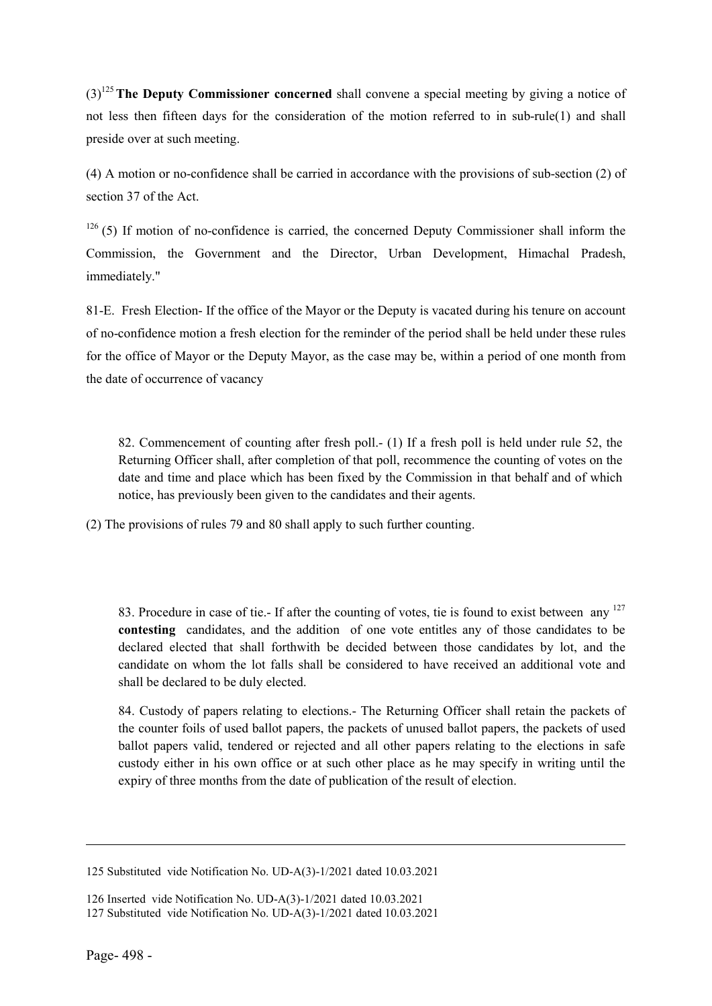$(3)^{125}$  The Deputy Commissioner concerned shall convene a special meeting by giving a notice of not less then fifteen days for the consideration of the motion referred to in sub-rule(1) and shall preside over at such meeting.

(4) A motion or no-confidence shall be carried in accordance with the provisions of sub-section (2) of section 37 of the Act.

 $126$  (5) If motion of no-confidence is carried, the concerned Deputy Commissioner shall inform the Commission, the Government and the Director, Urban Development, Himachal Pradesh, immediately."

81-E. Fresh Election- If the office of the Mayor or the Deputy is vacated during his tenure on account of no-confidence motion a fresh election for the reminder of the period shall be held under these rules for the office of Mayor or the Deputy Mayor, as the case may be, within a period of one month from the date of occurrence of vacancy

82. Commencement of counting after fresh poll.- (1) If a fresh poll is held under rule 52, the Returning Officer shall, after completion of that poll, recommence the counting of votes on the date and time and place which has been fixed by the Commission in that behalf and of which notice, has previously been given to the candidates and their agents.

(2) The provisions of rules 79 and 80 shall apply to such further counting.

83. Procedure in case of tie.- If after the counting of votes, tie is found to exist between any  $^{127}$ contesting candidates, and the addition of one vote entitles any of those candidates to be declared elected that shall forthwith be decided between those candidates by lot, and the candidate on whom the lot falls shall be considered to have received an additional vote and shall be declared to be duly elected.

84. Custody of papers relating to elections.- The Returning Officer shall retain the packets of the counter foils of used ballot papers, the packets of unused ballot papers, the packets of used ballot papers valid, tendered or rejected and all other papers relating to the elections in safe custody either in his own office or at such other place as he may specify in writing until the expiry of three months from the date of publication of the result of election.

126 Inserted vide Notification No. UD-A(3)-1/2021 dated 10.03.2021

**.** 

<sup>125</sup> Substituted vide Notification No. UD-A(3)-1/2021 dated 10.03.2021

<sup>127</sup> Substituted vide Notification No. UD-A(3)-1/2021 dated 10.03.2021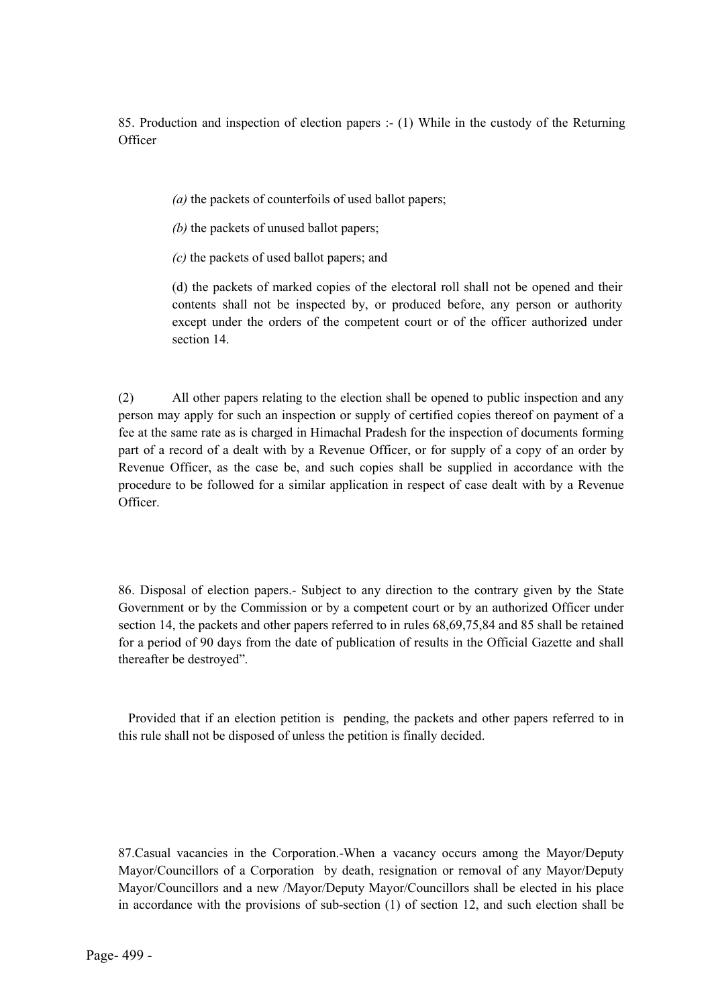85. Production and inspection of election papers :- (1) While in the custody of the Returning **Officer** 

*(a)* the packets of counterfoils of used ballot papers;

*(b)* the packets of unused ballot papers;

*(c)* the packets of used ballot papers; and

(d) the packets of marked copies of the electoral roll shall not be opened and their contents shall not be inspected by, or produced before, any person or authority except under the orders of the competent court or of the officer authorized under section 14.

(2) All other papers relating to the election shall be opened to public inspection and any person may apply for such an inspection or supply of certified copies thereof on payment of a fee at the same rate as is charged in Himachal Pradesh for the inspection of documents forming part of a record of a dealt with by a Revenue Officer, or for supply of a copy of an order by Revenue Officer, as the case be, and such copies shall be supplied in accordance with the procedure to be followed for a similar application in respect of case dealt with by a Revenue Officer.

86. Disposal of election papers.- Subject to any direction to the contrary given by the State Government or by the Commission or by a competent court or by an authorized Officer under section 14, the packets and other papers referred to in rules 68,69,75,84 and 85 shall be retained for a period of 90 days from the date of publication of results in the Official Gazette and shall thereafter be destroyed".

 Provided that if an election petition is pending, the packets and other papers referred to in this rule shall not be disposed of unless the petition is finally decided.

87.Casual vacancies in the Corporation.-When a vacancy occurs among the Mayor/Deputy Mayor/Councillors of a Corporation by death, resignation or removal of any Mayor/Deputy Mayor/Councillors and a new /Mayor/Deputy Mayor/Councillors shall be elected in his place in accordance with the provisions of sub-section (1) of section 12, and such election shall be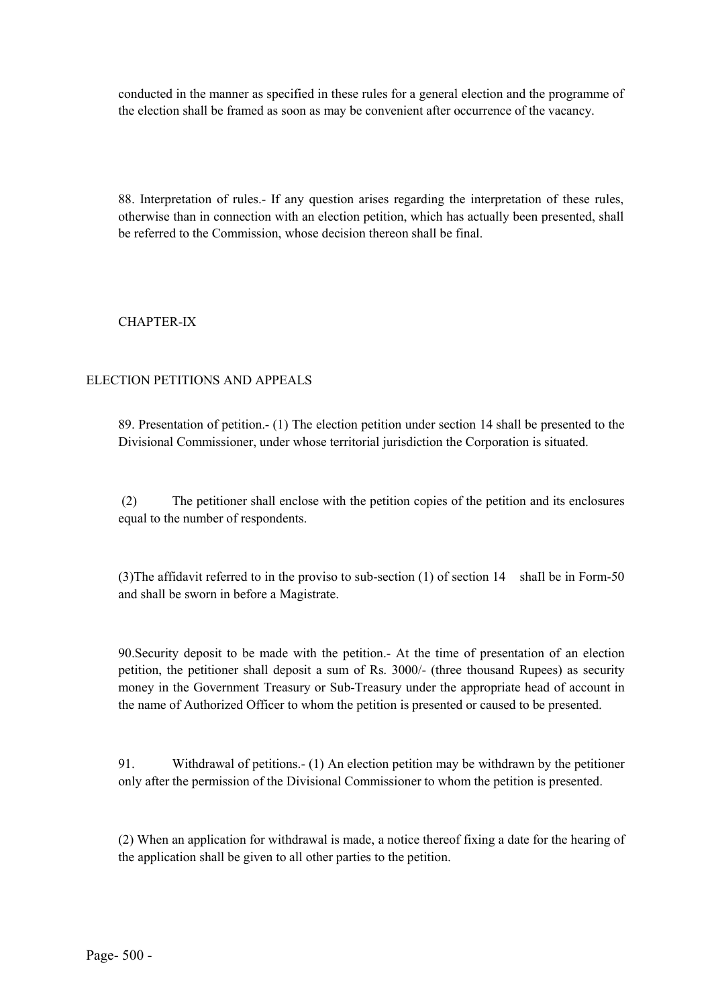conducted in the manner as specified in these rules for a general election and the programme of the election shall be framed as soon as may be convenient after occurrence of the vacancy.

88. Interpretation of rules.- If any question arises regarding the interpretation of these rules, otherwise than in connection with an election petition, which has actually been presented, shall be referred to the Commission, whose decision thereon shall be final.

### CHAPTER-IX

#### ELECTION PETITIONS AND APPEALS

89. Presentation of petition.- (1) The election petition under section 14 shall be presented to the Divisional Commissioner, under whose territorial jurisdiction the Corporation is situated.

(2) The petitioner shall enclose with the petition copies of the petition and its enclosures equal to the number of respondents.

(3)The affidavit referred to in the proviso to sub-section (1) of section 14 shaIl be in Form-50 and shall be sworn in before a Magistrate.

90.Security deposit to be made with the petition.- At the time of presentation of an election petition, the petitioner shall deposit a sum of Rs. 3000/- (three thousand Rupees) as security money in the Government Treasury or Sub-Treasury under the appropriate head of account in the name of Authorized Officer to whom the petition is presented or caused to be presented.

91. Withdrawal of petitions.- (1) An election petition may be withdrawn by the petitioner only after the permission of the Divisional Commissioner to whom the petition is presented.

(2) When an application for withdrawal is made, a notice thereof fixing a date for the hearing of the application shall be given to all other parties to the petition.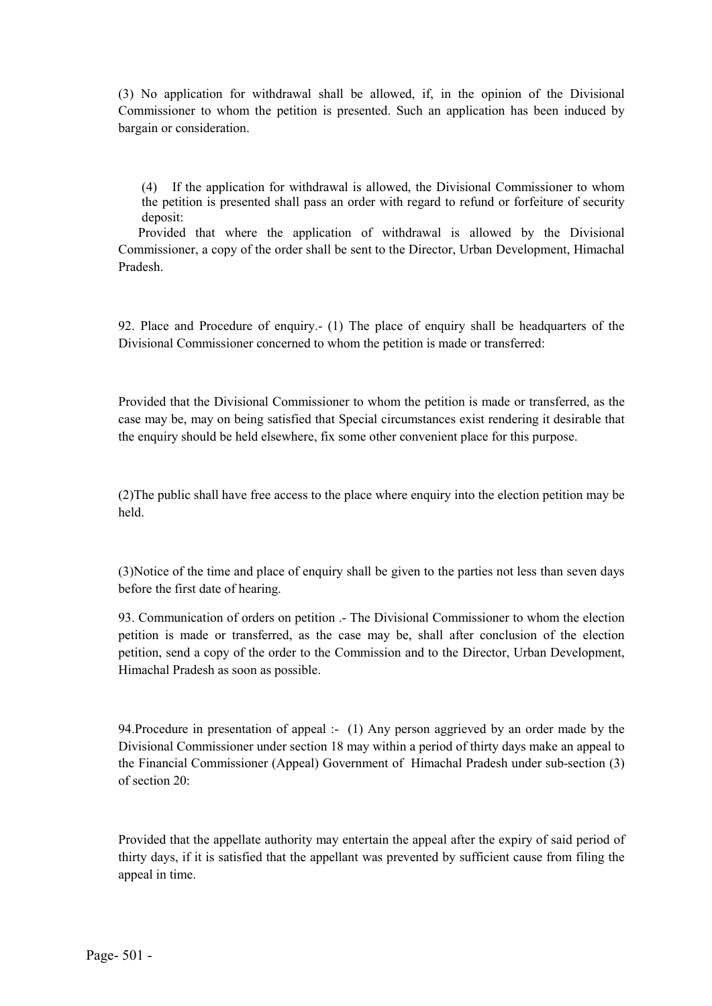(3) No application for withdrawal shall be allowed, if, in the opinion of the Divisional Commissioner to whom the petition is presented. Such an application has been induced by bargain or consideration.

(4) If the application for withdrawal is allowed, the Divisional Commissioner to whom the petition is presented shall pass an order with regard to refund or forfeiture of security deposit:

 Provided that where the application of withdrawal is allowed by the Divisional Commissioner, a copy of the order shall be sent to the Director, Urban Development, Himachal Pradesh.

92. Place and Procedure of enquiry.- (1) The place of enquiry shall be headquarters of the Divisional Commissioner concerned to whom the petition is made or transferred:

Provided that the Divisional Commissioner to whom the petition is made or transferred, as the case may be, may on being satisfied that Special circumstances exist rendering it desirable that the enquiry should be held elsewhere, fix some other convenient place for this purpose.

(2)The public shall have free access to the place where enquiry into the election petition may be held.

(3)Notice of the time and place of enquiry shall be given to the parties not less than seven days before the first date of hearing.

93. Communication of orders on petition .- The Divisional Commissioner to whom the election petition is made or transferred, as the case may be, shall after conclusion of the election petition, send a copy of the order to the Commission and to the Director, Urban Development, Himachal Pradesh as soon as possible.

94.Procedure in presentation of appeal :- (1) Any person aggrieved by an order made by the Divisional Commissioner under section 18 may within a period of thirty days make an appeal to the Financial Commissioner (Appeal) Government of Himachal Pradesh under sub-section (3) of section 20:

Provided that the appellate authority may entertain the appeal after the expiry of said period of thirty days, if it is satisfied that the appellant was prevented by sufficient cause from filing the appeal in time.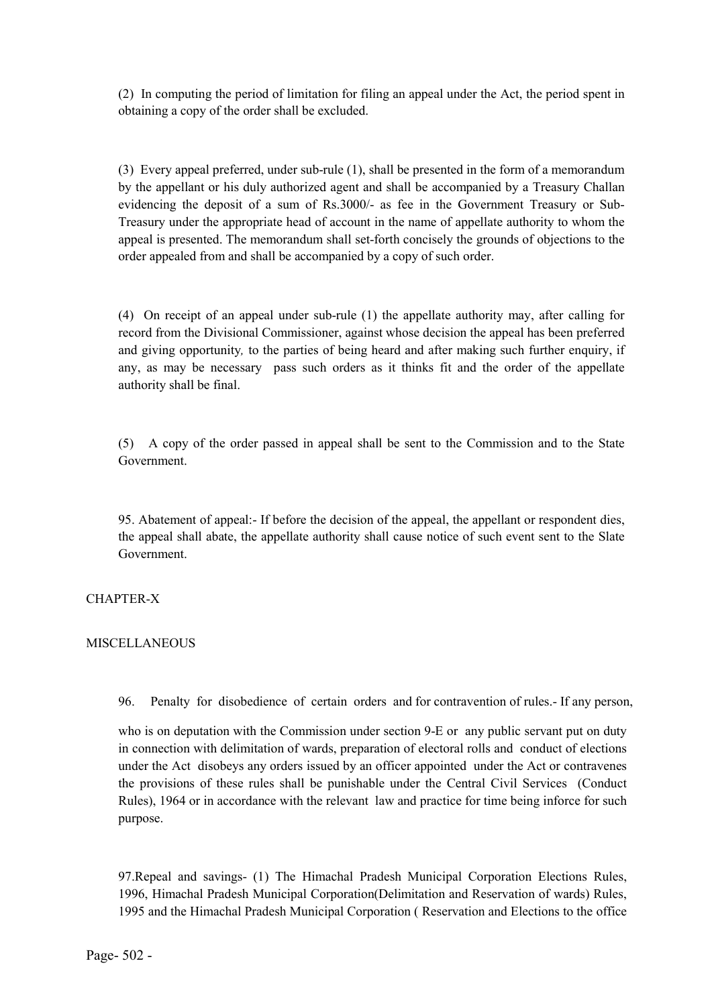(2) In computing the period of limitation for filing an appeal under the Act, the period spent in obtaining a copy of the order shall be excluded.

(3) Every appeal preferred, under sub-rule (1), shall be presented in the form of a memorandum by the appellant or his duly authorized agent and shall be accompanied by a Treasury Challan evidencing the deposit of a sum of Rs.3000/- as fee in the Government Treasury or Sub-Treasury under the appropriate head of account in the name of appellate authority to whom the appeal is presented. The memorandum shall set-forth concisely the grounds of objections to the order appealed from and shall be accompanied by a copy of such order.

(4) On receipt of an appeal under sub-rule (1) the appellate authority may, after calling for record from the Divisional Commissioner, against whose decision the appeal has been preferred and giving opportunity*,* to the parties of being heard and after making such further enquiry, if any, as may be necessary pass such orders as it thinks fit and the order of the appellate authority shall be final.

(5) A copy of the order passed in appeal shall be sent to the Commission and to the State Government.

95. Abatement of appeal:- If before the decision of the appeal, the appellant or respondent dies, the appeal shall abate, the appellate authority shall cause notice of such event sent to the Slate Government.

#### CHAPTER-X

#### MISCELLANEOUS

96. Penalty for disobedience of certain orders and for contravention of rules.- If any person,

who is on deputation with the Commission under section 9-E or any public servant put on duty in connection with delimitation of wards, preparation of electoral rolls and conduct of elections under the Act disobeys any orders issued by an officer appointed under the Act or contravenes the provisions of these rules shall be punishable under the Central Civil Services (Conduct Rules), 1964 or in accordance with the relevant law and practice for time being inforce for such purpose.

97.Repeal and savings- (1) The Himachal Pradesh Municipal Corporation Elections Rules, 1996, Himachal Pradesh Municipal Corporation(Delimitation and Reservation of wards) Rules, 1995 and the Himachal Pradesh Municipal Corporation ( Reservation and Elections to the office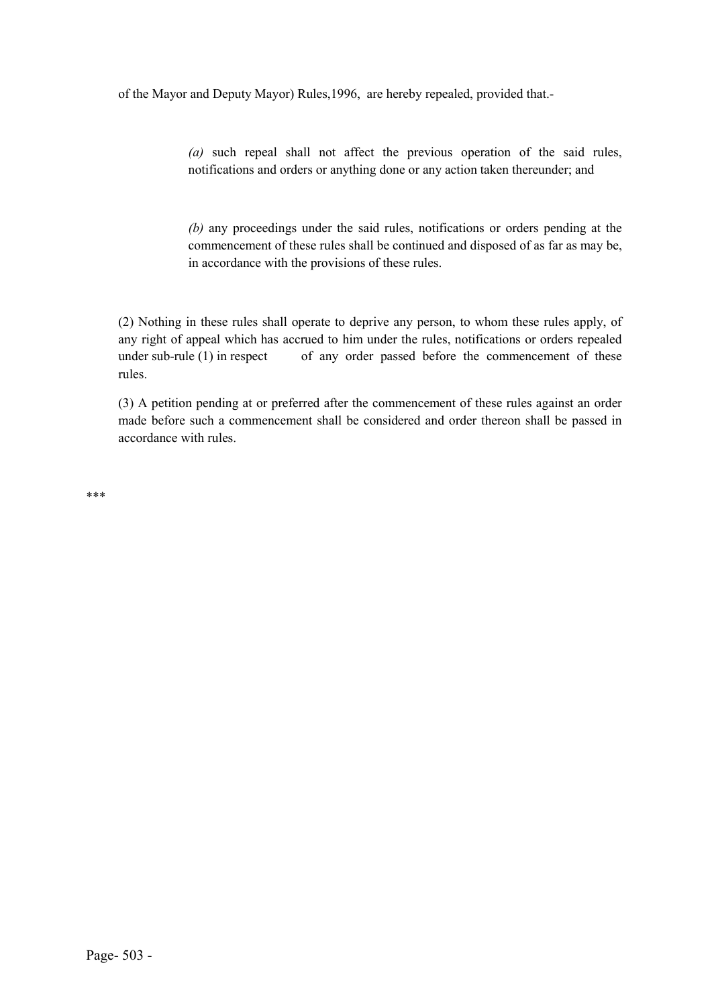of the Mayor and Deputy Mayor) Rules,1996, are hereby repealed, provided that.-

*(a)* such repeal shall not affect the previous operation of the said rules, notifications and orders or anything done or any action taken thereunder; and

*(b)* any proceedings under the said rules, notifications or orders pending at the commencement of these rules shall be continued and disposed of as far as may be, in accordance with the provisions of these rules.

(2) Nothing in these rules shall operate to deprive any person, to whom these rules apply, of any right of appeal which has accrued to him under the rules, notifications or orders repealed under sub-rule  $(1)$  in respect of any order passed before the commencement of these rules.

(3) A petition pending at or preferred after the commencement of these rules against an order made before such a commencement shall be considered and order thereon shall be passed in accordance with rules.

\*\*\*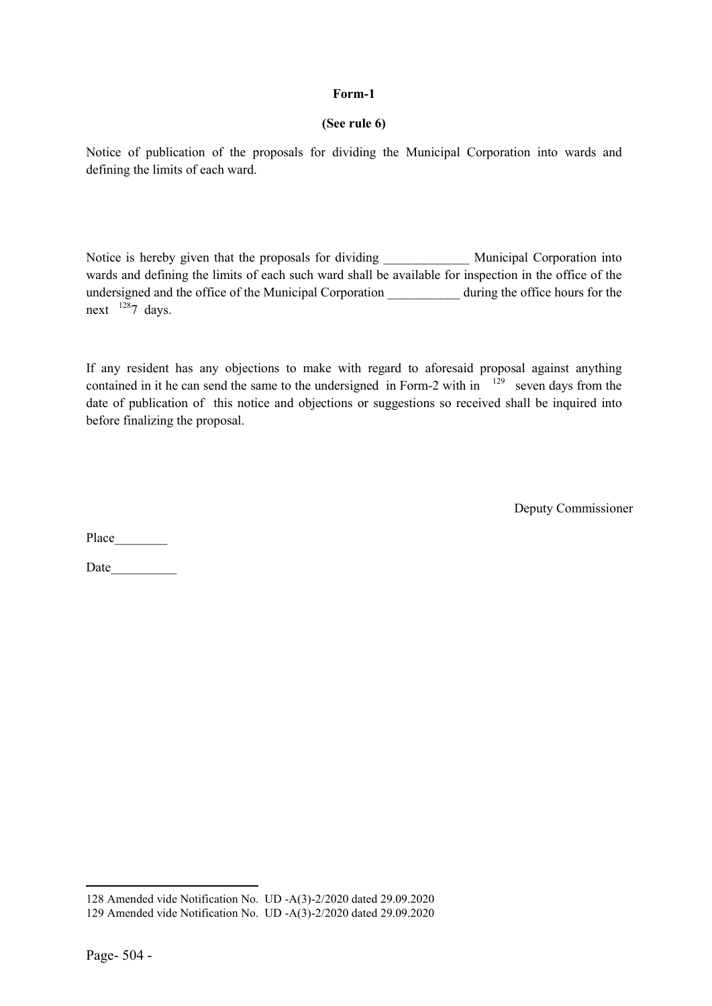#### (See rule 6)

Notice of publication of the proposals for dividing the Municipal Corporation into wards and defining the limits of each ward.

Notice is hereby given that the proposals for dividing Municipal Corporation into wards and defining the limits of each such ward shall be available for inspection in the office of the undersigned and the office of the Municipal Corporation \_\_\_\_\_\_\_\_\_\_\_ during the office hours for the next  $1287$  days.

If any resident has any objections to make with regard to aforesaid proposal against anything contained in it he can send the same to the undersigned in Form-2 with in  $129$  seven days from the date of publication of this notice and objections or suggestions so received shall be inquired into before finalizing the proposal.

Deputy Commissioner

Place

Date  $\qquad \qquad \qquad$ 

**.** 

<sup>128</sup> Amended vide Notification No. UD -A(3)-2/2020 dated 29.09.2020

<sup>129</sup> Amended vide Notification No. UD -A(3)-2/2020 dated 29.09.2020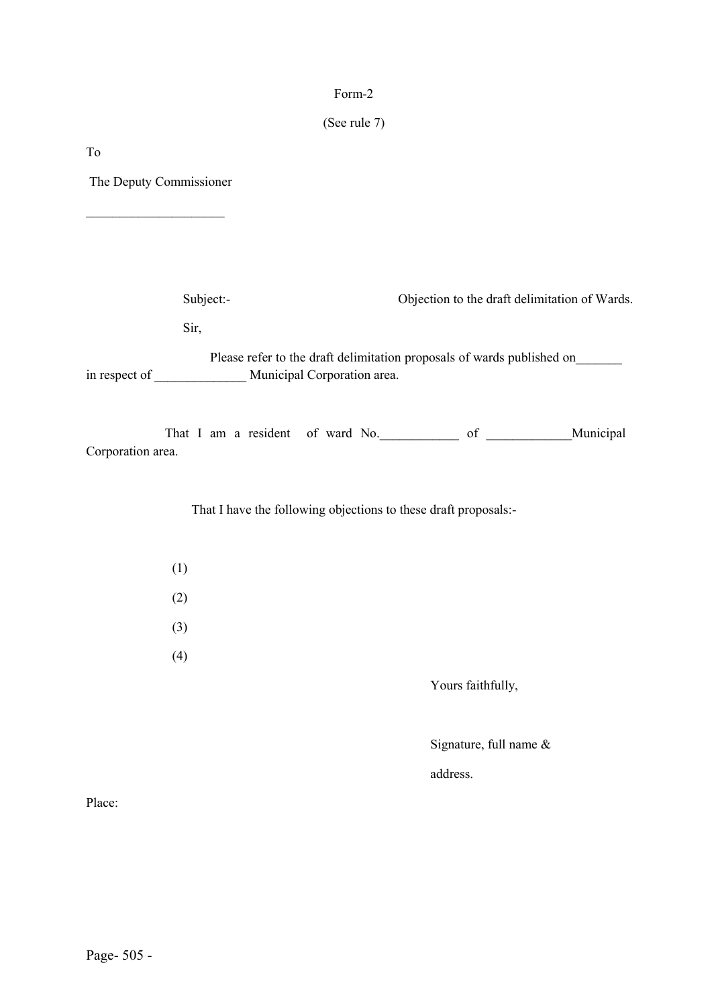## (See rule 7)

To

The Deputy Commissioner

 $\overline{\phantom{a}}$  , where  $\overline{\phantom{a}}$ 

| Subject:-                                                   | Objection to the draft delimitation of Wards.                                                            |  |
|-------------------------------------------------------------|----------------------------------------------------------------------------------------------------------|--|
| Sir,                                                        |                                                                                                          |  |
| in respect of _________________ Municipal Corporation area. | Please refer to the draft delimitation proposals of wards published on                                   |  |
| Corporation area.                                           | That I am a resident of ward No. 6. That I am a resident of ward No. 6. That I am a resident of ward No. |  |
|                                                             | That I have the following objections to these draft proposals:-                                          |  |
| (1)                                                         |                                                                                                          |  |
| (2)                                                         |                                                                                                          |  |
| (3)                                                         |                                                                                                          |  |
| (4)                                                         |                                                                                                          |  |
|                                                             | Yours faithfully,                                                                                        |  |
|                                                             | Signature, full name &                                                                                   |  |

address.

Place: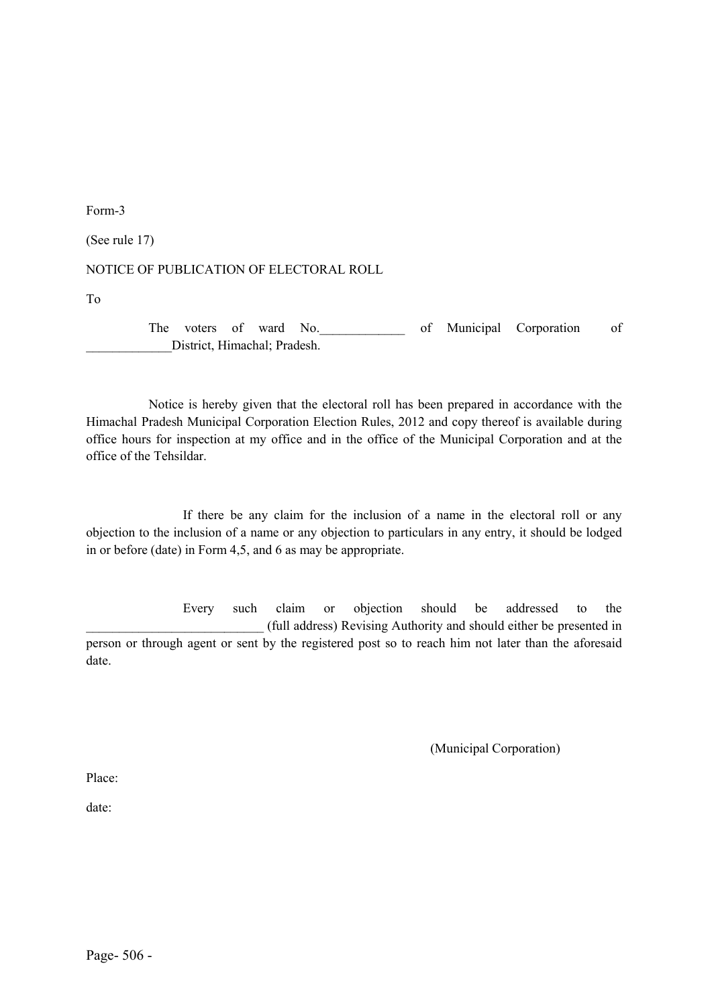(See rule 17)

NOTICE OF PUBLICATION OF ELECTORAL ROLL

To

The voters of ward No. The voters of ward No. \_\_\_\_\_\_\_\_\_\_\_\_\_District, Himachal; Pradesh.

 Notice is hereby given that the electoral roll has been prepared in accordance with the Himachal Pradesh Municipal Corporation Election Rules, 2012 and copy thereof is available during office hours for inspection at my office and in the office of the Municipal Corporation and at the office of the Tehsildar.

If there be any claim for the inclusion of a name in the electoral roll or any objection to the inclusion of a name or any objection to particulars in any entry, it should be lodged in or before (date) in Form 4,5, and 6 as may be appropriate.

Every such claim or objection should be addressed to the \_\_\_\_\_\_\_\_\_\_\_\_\_\_\_\_\_\_\_\_\_\_\_\_\_\_\_ (full address) Revising Authority and should either be presented in person or through agent or sent by the registered post so to reach him not later than the aforesaid date.

(Municipal Corporation)

Place:

date: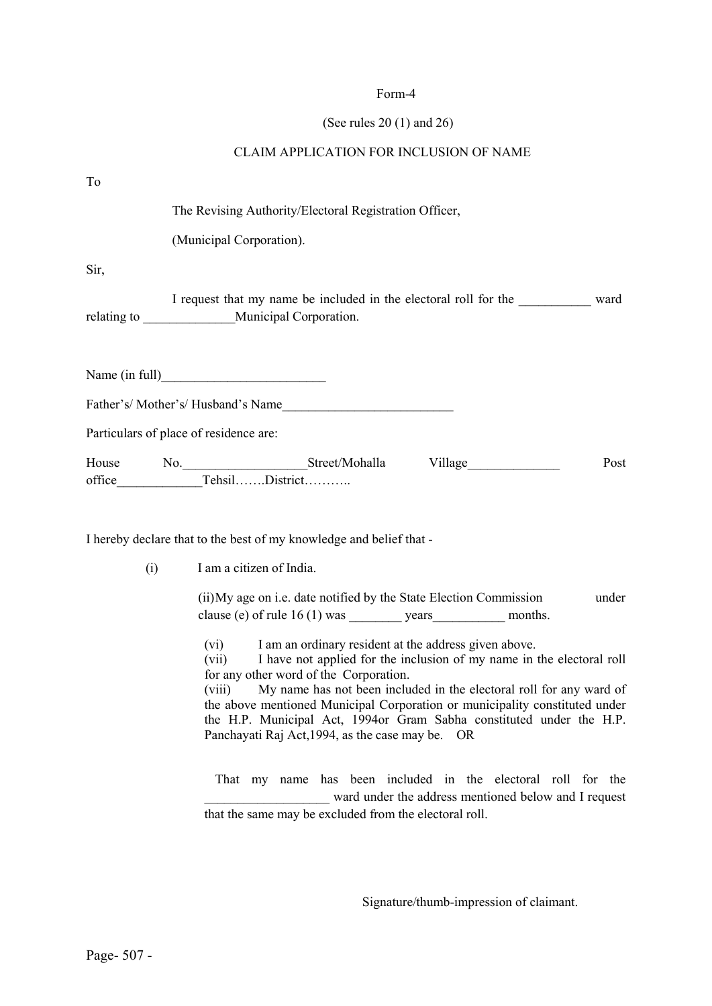## (See rules 20 (1) and 26)

## CLAIM APPLICATION FOR INCLUSION OF NAME

| To   |                                                                                                                                                                                                                                                                                                                                                                                                                                                                                     |
|------|-------------------------------------------------------------------------------------------------------------------------------------------------------------------------------------------------------------------------------------------------------------------------------------------------------------------------------------------------------------------------------------------------------------------------------------------------------------------------------------|
|      | The Revising Authority/Electoral Registration Officer,                                                                                                                                                                                                                                                                                                                                                                                                                              |
|      | (Municipal Corporation).                                                                                                                                                                                                                                                                                                                                                                                                                                                            |
| Sir, |                                                                                                                                                                                                                                                                                                                                                                                                                                                                                     |
|      | I request that my name be included in the electoral roll for the ward<br>relating to __________________Municipal Corporation.                                                                                                                                                                                                                                                                                                                                                       |
|      |                                                                                                                                                                                                                                                                                                                                                                                                                                                                                     |
|      |                                                                                                                                                                                                                                                                                                                                                                                                                                                                                     |
|      | Particulars of place of residence are:                                                                                                                                                                                                                                                                                                                                                                                                                                              |
|      | House No. Street/Mohalla Village<br>Post                                                                                                                                                                                                                                                                                                                                                                                                                                            |
|      | I hereby declare that to the best of my knowledge and belief that -                                                                                                                                                                                                                                                                                                                                                                                                                 |
| (i)  | I am a citizen of India.                                                                                                                                                                                                                                                                                                                                                                                                                                                            |
|      | (ii) My age on i.e. date notified by the State Election Commission<br>under                                                                                                                                                                                                                                                                                                                                                                                                         |
|      | I am an ordinary resident at the address given above.<br>(vi)<br>I have not applied for the inclusion of my name in the electoral roll<br>(vii)<br>for any other word of the Corporation.<br>(viii) My name has not been included in the electoral roll for any ward of<br>the above mentioned Municipal Corporation or municipality constituted under<br>the H.P. Municipal Act, 1994 or Gram Sabha constituted under the H.P.<br>Panchayati Raj Act, 1994, as the case may be. OR |
|      | That my name has been included in the electoral roll for the                                                                                                                                                                                                                                                                                                                                                                                                                        |

Signature/thumb-impression of claimant.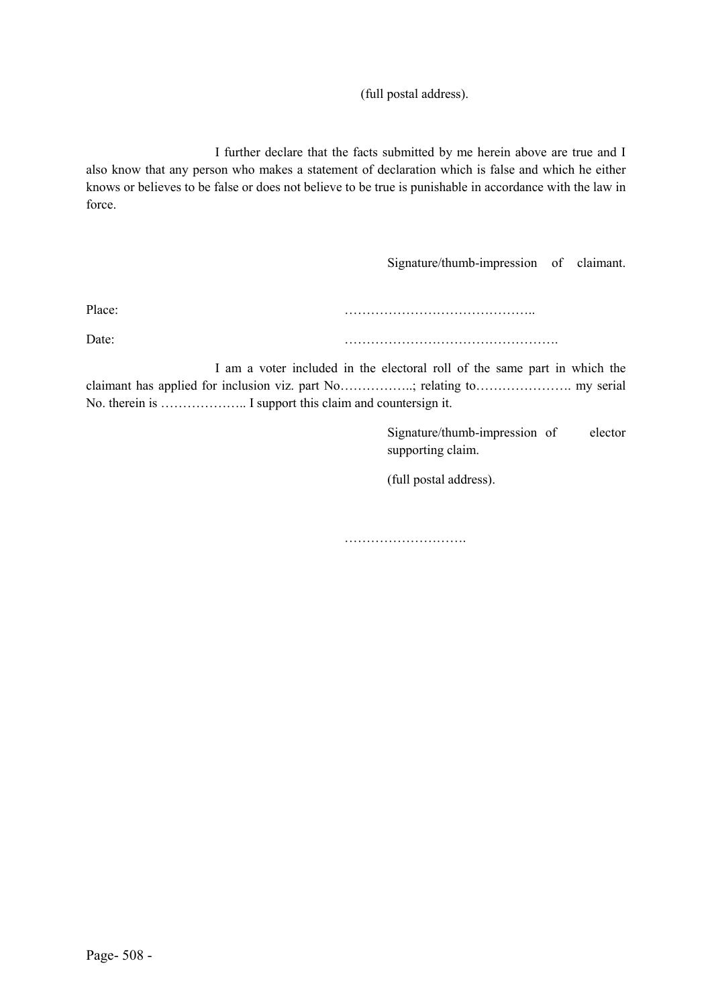### (full postal address).

I further declare that the facts submitted by me herein above are true and I also know that any person who makes a statement of declaration which is false and which he either knows or believes to be false or does not believe to be true is punishable in accordance with the law in force.

Signature/thumb-impression of claimant.

Place:

Date: ………………………………………….

I am a voter included in the electoral roll of the same part in which the claimant has applied for inclusion viz. part No……………..; relating to…………………. my serial No. therein is ……………….. I support this claim and countersign it.

> Signature/thumb-impression of elector supporting claim.

(full postal address).

……………………………………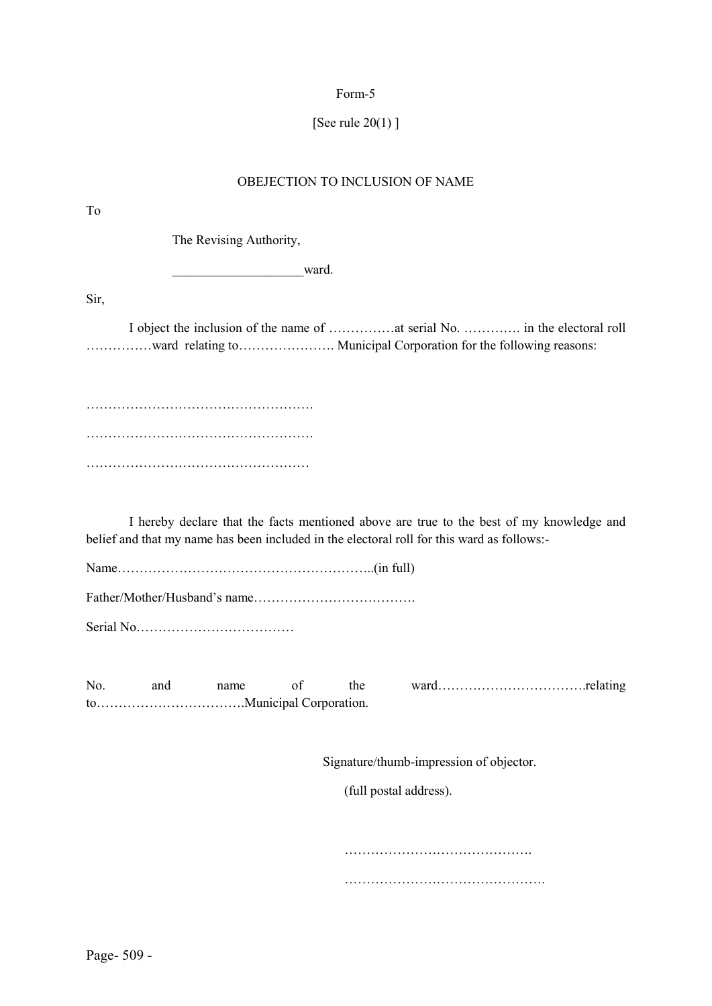# [See rule 20(1) ]

## OBEJECTION TO INCLUSION OF NAME

| To                                                                                                                                                                                     |
|----------------------------------------------------------------------------------------------------------------------------------------------------------------------------------------|
| The Revising Authority,                                                                                                                                                                |
| ward.                                                                                                                                                                                  |
| Sir,                                                                                                                                                                                   |
|                                                                                                                                                                                        |
|                                                                                                                                                                                        |
|                                                                                                                                                                                        |
|                                                                                                                                                                                        |
| I hereby declare that the facts mentioned above are true to the best of my knowledge and<br>belief and that my name has been included in the electoral roll for this ward as follows:- |
|                                                                                                                                                                                        |
|                                                                                                                                                                                        |
| of<br>No.<br>the<br>and<br>name                                                                                                                                                        |
| Signature/thumb-impression of objector.                                                                                                                                                |
| (full postal address).                                                                                                                                                                 |

……………………………………. ……………………………………….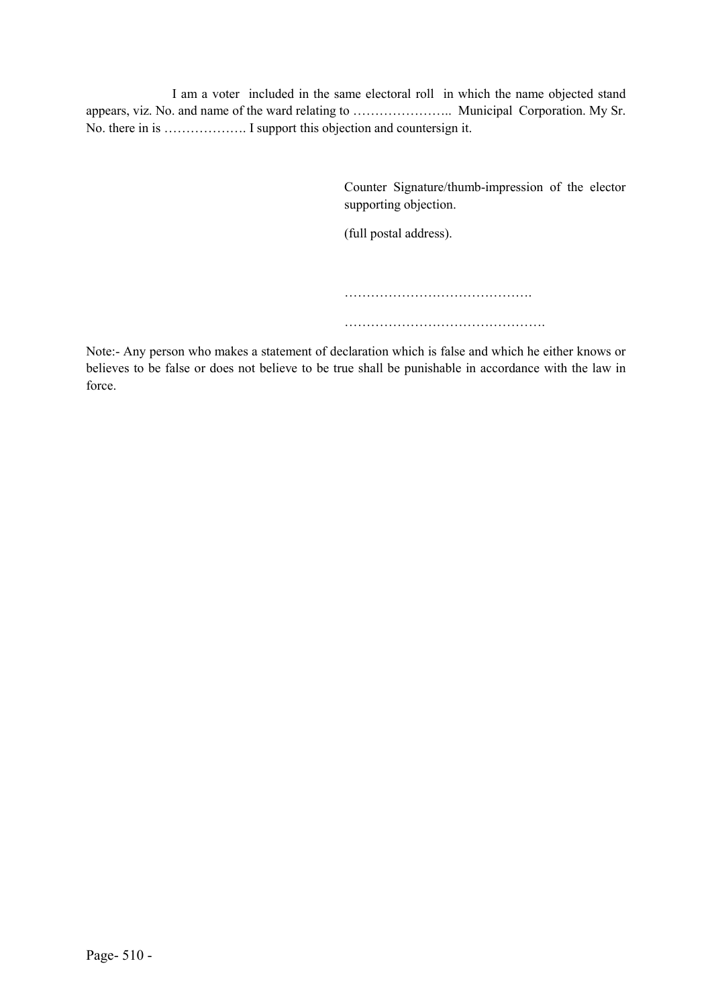I am a voter included in the same electoral roll in which the name objected stand appears, viz. No. and name of the ward relating to ………………….. Municipal Corporation. My Sr. No. there in is ………………. I support this objection and countersign it.

> Counter Signature/thumb-impression of the elector supporting objection.

(full postal address).

……………………………………. ……………………………………….

Note:- Any person who makes a statement of declaration which is false and which he either knows or believes to be false or does not believe to be true shall be punishable in accordance with the law in force.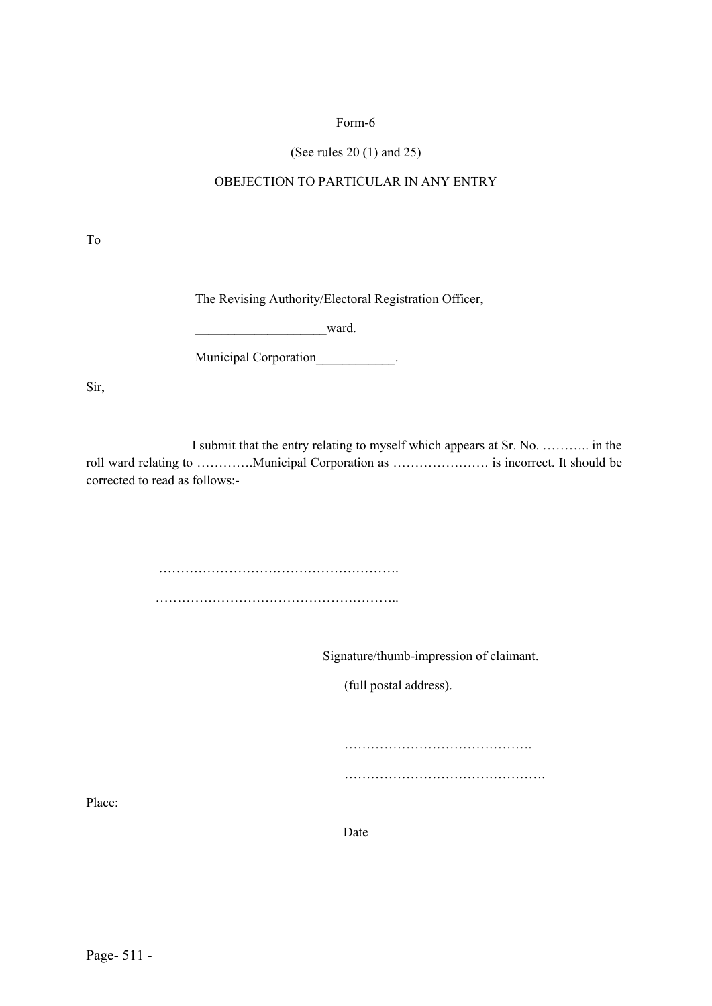### (See rules 20 (1) and 25)

### OBEJECTION TO PARTICULAR IN ANY ENTRY

To

The Revising Authority/Electoral Registration Officer,

ward.

Municipal Corporation of the control of the control of the control of the control of the control of the control of the control of the control of the control of the control of the control of the control of the control of th

Sir,

 I submit that the entry relating to myself which appears at Sr. No. ……….. in the roll ward relating to ………….Municipal Corporation as …………………. is incorrect. It should be corrected to read as follows:-

> ………………………………………………. ………………………………………………………

> > Signature/thumb-impression of claimant.

(full postal address).

…………………………………….

……………………………………….

Place:

Date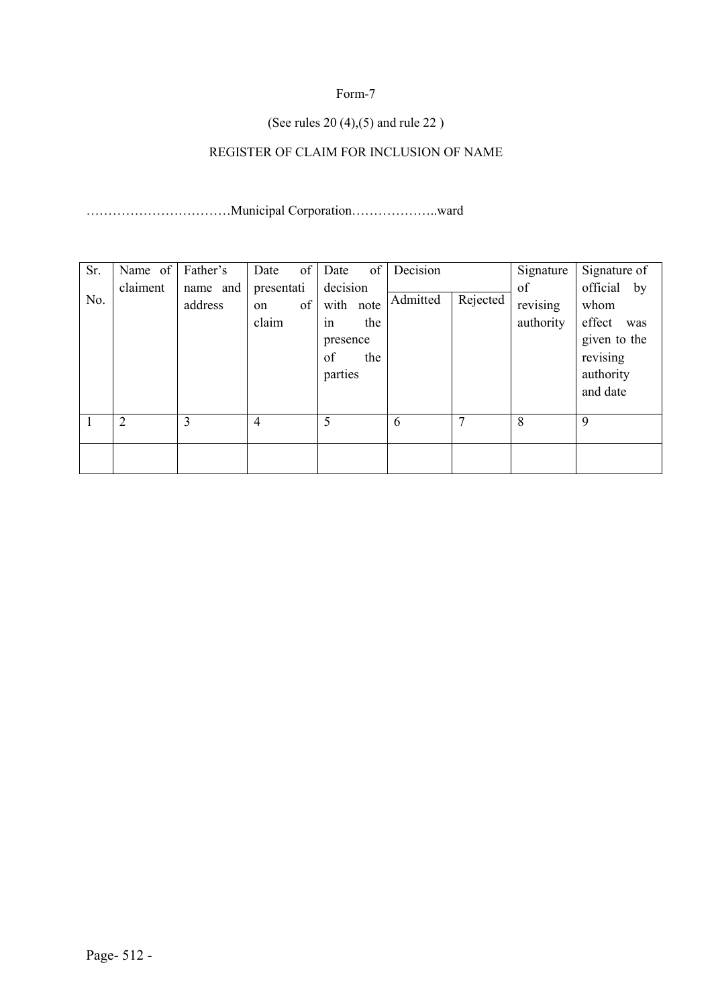### (See rules 20 (4),(5) and rule 22 )

## REGISTER OF CLAIM FOR INCLUSION OF NAME

……………………………Municipal Corporation………………..ward

| Sr. | Name of  | Father's            | of<br>Date                      | of<br>Date                                                             | Decision |          | Signature                   | Signature of                                                                              |
|-----|----------|---------------------|---------------------------------|------------------------------------------------------------------------|----------|----------|-----------------------------|-------------------------------------------------------------------------------------------|
| No. | claiment | name and<br>address | presentati<br>of<br>on<br>claim | decision<br>with note<br>the<br>1n<br>presence<br>of<br>the<br>parties | Admitted | Rejected | of<br>revising<br>authority | official by<br>whom<br>effect<br>was<br>given to the<br>revising<br>authority<br>and date |
|     | 2        | 3                   | $\overline{4}$                  | 5                                                                      | 6        | 7        | 8                           | 9                                                                                         |
|     |          |                     |                                 |                                                                        |          |          |                             |                                                                                           |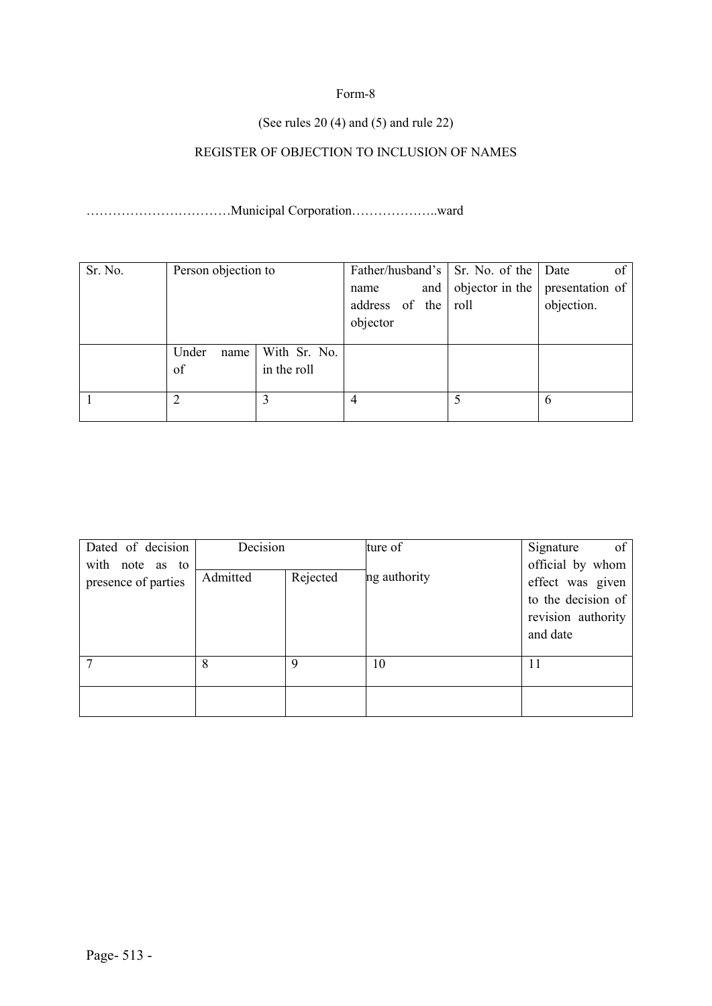### (See rules 20 (4) and (5) and rule 22)

## REGISTER OF OBJECTION TO INCLUSION OF NAMES

……………………………Municipal Corporation………………..ward

| Sr. No. | Person objection to |              |                |     | Father/husband's Sr. No. of the Date | of              |
|---------|---------------------|--------------|----------------|-----|--------------------------------------|-----------------|
|         |                     |              | name           | and | objector in the                      | presentation of |
|         |                     |              | address of the |     | roll                                 | objection.      |
|         |                     |              | objector       |     |                                      |                 |
|         |                     |              |                |     |                                      |                 |
|         | Under<br>name       | With Sr. No. |                |     |                                      |                 |
|         | of                  | in the roll  |                |     |                                      |                 |
|         |                     |              |                |     |                                      |                 |
|         | າ                   |              | 4              |     |                                      | 6               |
|         |                     |              |                |     |                                      |                 |

| Dated of decision                      | Decision |          | ture of      | of<br>Signature                                                                              |
|----------------------------------------|----------|----------|--------------|----------------------------------------------------------------------------------------------|
| with note as to<br>presence of parties | Admitted | Rejected | ng authority | official by whom<br>effect was given<br>to the decision of<br>revision authority<br>and date |
|                                        | 8        | Q        | 10           |                                                                                              |
|                                        |          |          |              |                                                                                              |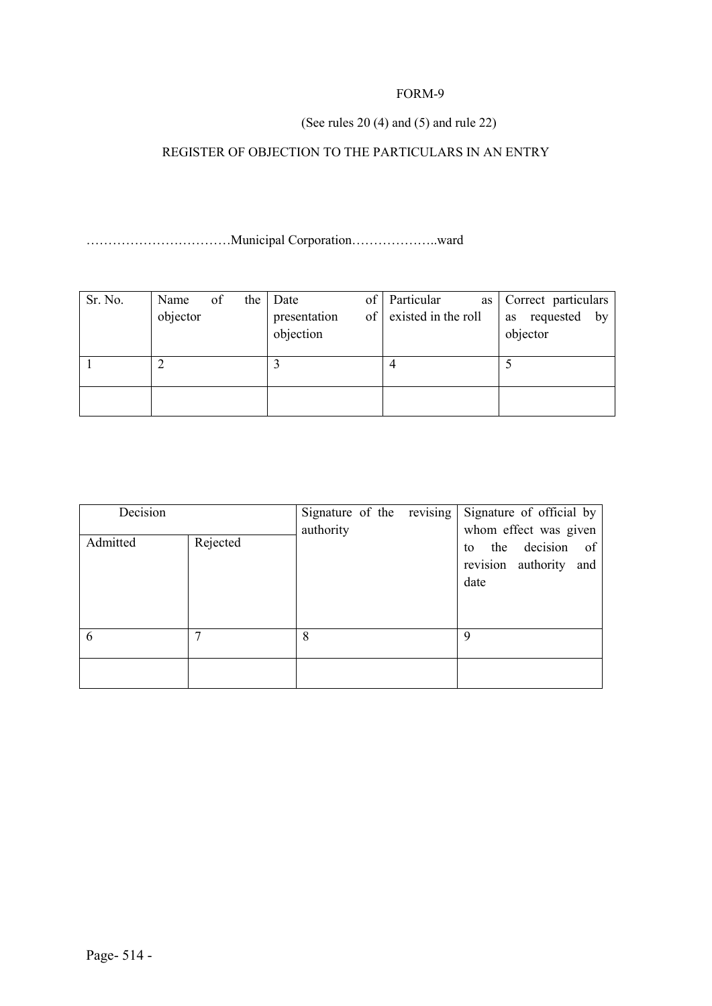### (See rules 20 (4) and (5) and rule 22)

## REGISTER OF OBJECTION TO THE PARTICULARS IN AN ENTRY

……………………………Municipal Corporation………………..ward

| Sr. No. | Name<br>objector | of | the | Date<br>presentation<br>objection | οf<br>оf | Particular<br>as<br>existed in the roll | Correct particulars<br>requested<br>$-$ by<br>as<br>objector |
|---------|------------------|----|-----|-----------------------------------|----------|-----------------------------------------|--------------------------------------------------------------|
|         |                  |    |     |                                   |          | 4                                       |                                                              |
|         |                  |    |     |                                   |          |                                         |                                                              |

| Decision |          | Signature of the revising | Signature of official by                                                            |
|----------|----------|---------------------------|-------------------------------------------------------------------------------------|
| Admitted | Rejected | authority                 | whom effect was given<br>decision of<br>the<br>to<br>revision authority and<br>date |
| 6        |          | 8                         | 9                                                                                   |
|          |          |                           |                                                                                     |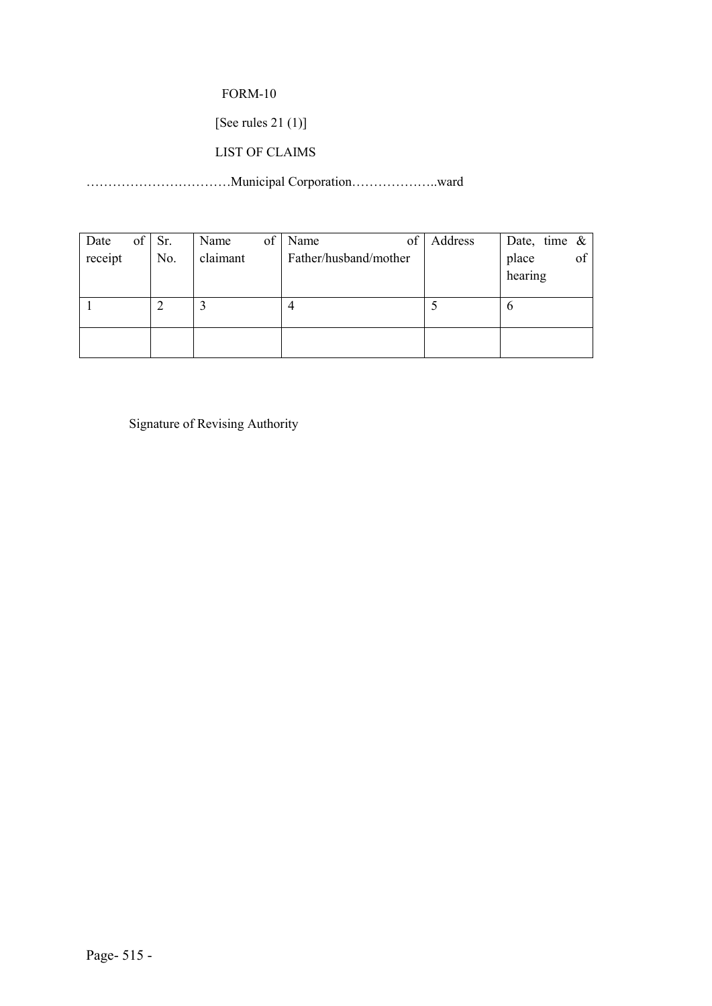[See rules 21 (1)]

### LIST OF CLAIMS

……………………………Municipal Corporation………………..ward

| of<br>Date | Sr. | Name     | of | of<br>Name            | Address | Date, time $\&$        |
|------------|-----|----------|----|-----------------------|---------|------------------------|
| receipt    | No. | claimant |    | Father/husband/mother |         | of<br>place<br>hearing |
|            |     |          |    | 4                     |         | O                      |
|            |     |          |    |                       |         |                        |

Signature of Revising Authority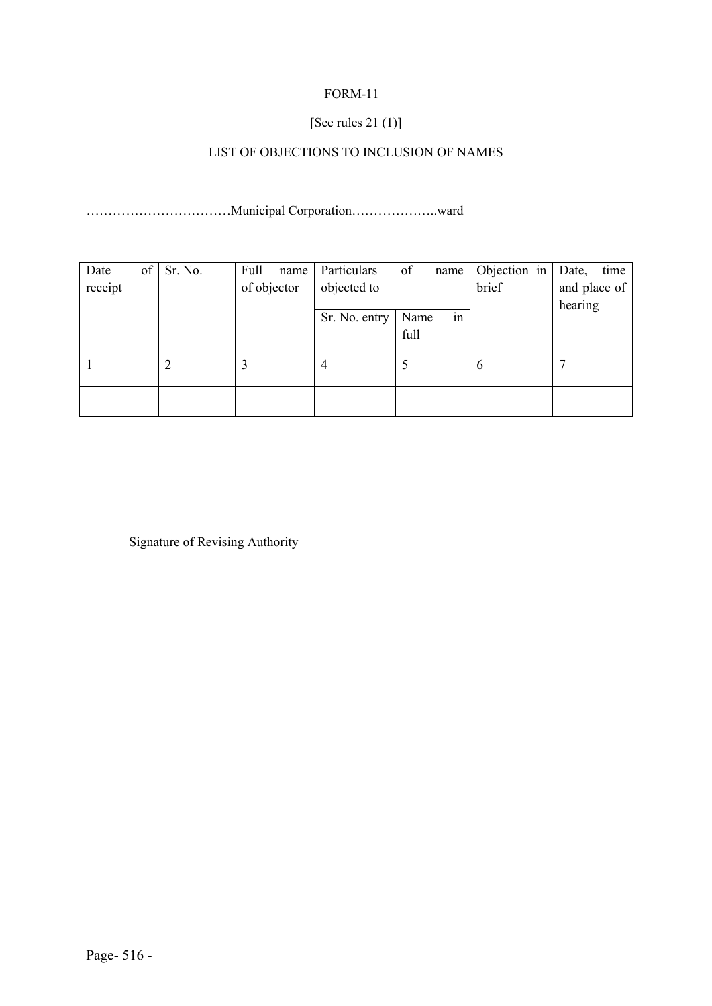### [See rules 21 (1)]

## LIST OF OBJECTIONS TO INCLUSION OF NAMES

……………………………Municipal Corporation………………..ward

| Date    | of | Sr. No. | Full        | name | Particulars   | of   | name | Objection in | Date,   | time         |
|---------|----|---------|-------------|------|---------------|------|------|--------------|---------|--------------|
| receipt |    |         | of objector |      | objected to   |      |      | brief        |         | and place of |
|         |    |         |             |      |               |      |      |              | hearing |              |
|         |    |         |             |      | Sr. No. entry | Name | in   |              |         |              |
|         |    |         |             |      |               | full |      |              |         |              |
|         |    |         |             |      |               |      |      |              |         |              |
|         |    |         |             |      |               |      |      | 6            |         |              |
|         |    |         |             |      |               |      |      |              |         |              |
|         |    |         |             |      |               |      |      |              |         |              |
|         |    |         |             |      |               |      |      |              |         |              |

Signature of Revising Authority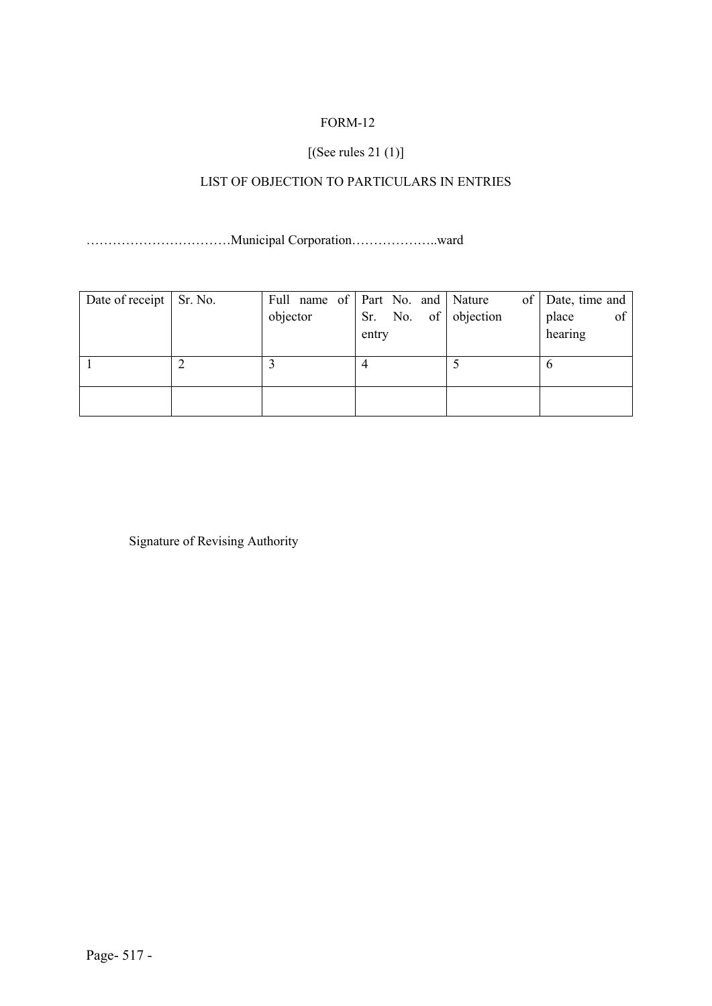## [(See rules 21 (1)]

## LIST OF OBJECTION TO PARTICULARS IN ENTRIES

……………………………Municipal Corporation………………..ward

| Date of receipt   Sr. No. |          | Full name of Part No. and Nature | of Date, time and |
|---------------------------|----------|----------------------------------|-------------------|
|                           | objector | Sr. No. of objection             | of<br>place       |
|                           |          | entry                            | hearing           |
|                           |          |                                  |                   |
|                           |          |                                  |                   |
|                           |          |                                  |                   |
|                           |          |                                  |                   |
|                           |          |                                  |                   |

Signature of Revising Authority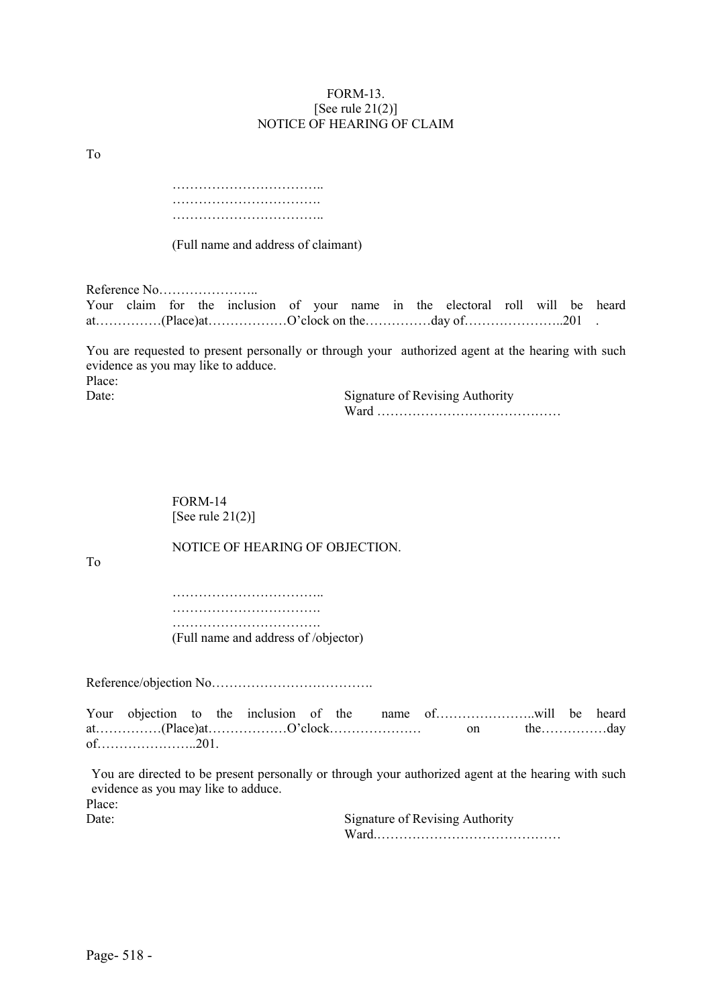#### FORM-13. [See rule  $21(2)$ ] NOTICE OF HEARING OF CLAIM

To

…………………………….. ……………………………. ……………………………..

(Full name and address of claimant)

Reference No…………………..

|  |  | Your claim for the inclusion of your name in the electoral roll will be heard |  |  |  |  |  |
|--|--|-------------------------------------------------------------------------------|--|--|--|--|--|
|  |  |                                                                               |  |  |  |  |  |

You are requested to present personally or through your authorized agent at the hearing with such evidence as you may like to adduce. Place:

Date: Signature of Revising Authority Ward ……………………………………

> FORM-14 [See rule  $21(2)$ ]

To

NOTICE OF HEARING OF OBJECTION.

…………………………….. ……………………………. ……………………………. (Full name and address of /objector)

Reference/objection No……………………………….

Your objection to the inclusion of the name of…………………..will be heard at……………(Place)at………………O'clock………………… on the……………day of…………………..201.

You are directed to be present personally or through your authorized agent at the hearing with such evidence as you may like to adduce.

Place:

Date: Signature of Revising Authority Ward.……………………………………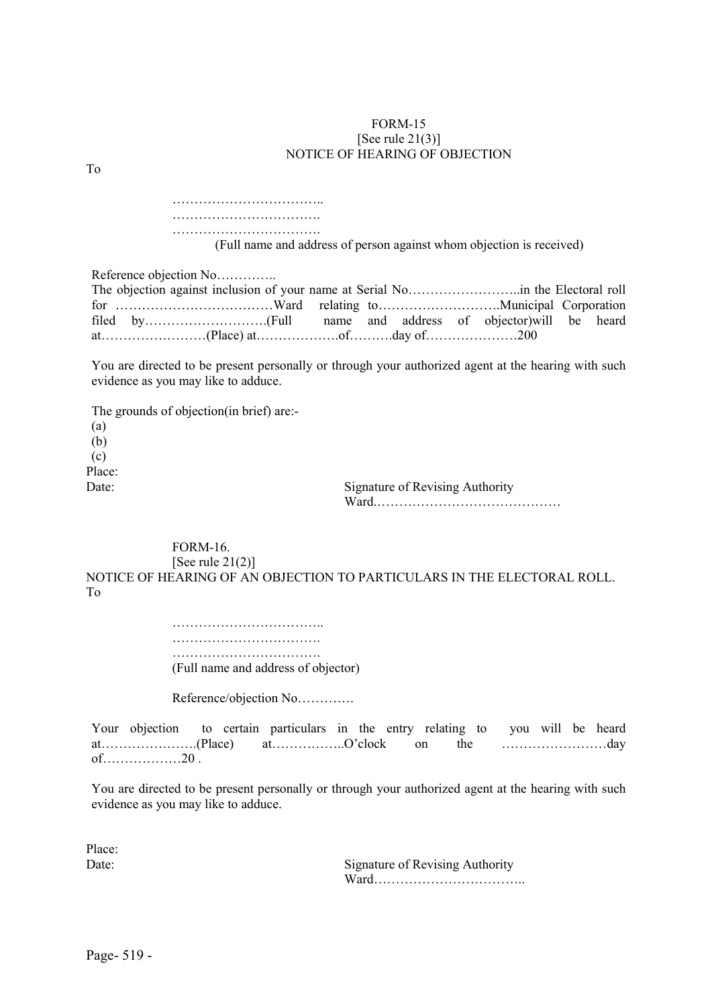#### FORM-15 [See rule  $21(3)$ ] NOTICE OF HEARING OF OBJECTION

| (Full name and address of person against whom objection is received)                                                                       |
|--------------------------------------------------------------------------------------------------------------------------------------------|
| Reference objection No                                                                                                                     |
| You are directed to be present personally or through your authorized agent at the hearing with such<br>evidence as you may like to adduce. |
| The grounds of objection (in brief) are:-<br>(a)                                                                                           |

(b) (c) Place: Date: Signature of Revising Authority

Ward.……………………………………

FORM-16. [See rule  $21(2)$ ]

NOTICE OF HEARING OF AN OBJECTION TO PARTICULARS IN THE ELECTORAL ROLL. To

> …………………………….. ………………………………… ………………………………………

(Full name and address of objector)

Reference/objection No………….

Your objection to certain particulars in the entry relating to you will be heard at………………….(Place) at……………..O'clock on the ……………………day of………………20 .

You are directed to be present personally or through your authorized agent at the hearing with such evidence as you may like to adduce.

Place:

To

Date: Signature of Revising Authority Ward……………………………..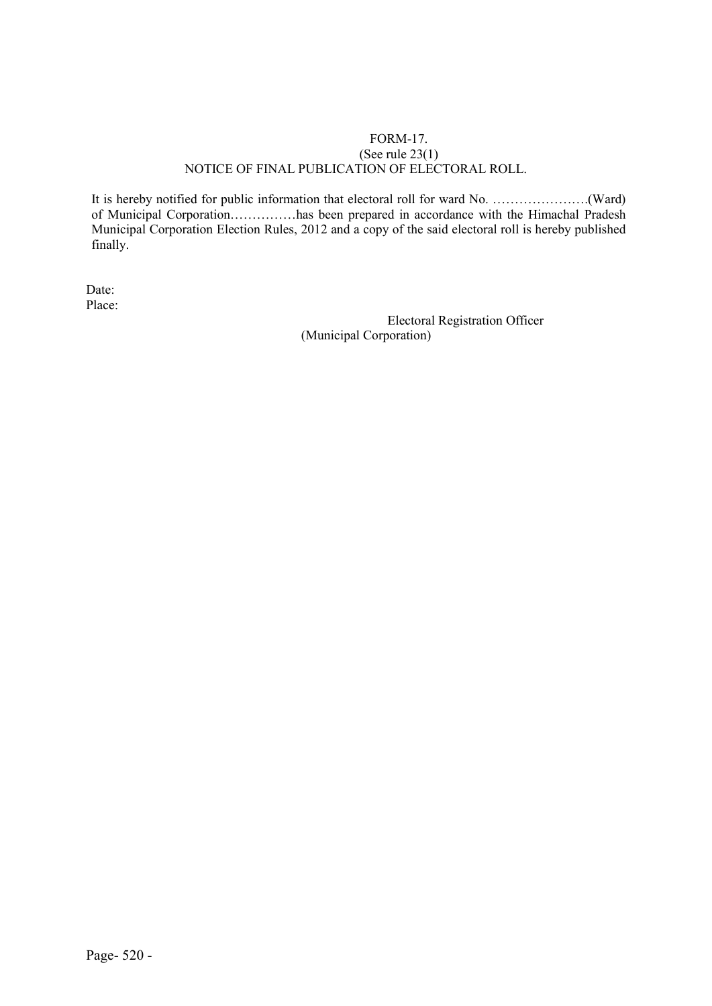#### FORM-17. (See rule 23(1) NOTICE OF FINAL PUBLICATION OF ELECTORAL ROLL.

It is hereby notified for public information that electoral roll for ward No. ………………….(Ward) of Municipal Corporation……………has been prepared in accordance with the Himachal Pradesh Municipal Corporation Election Rules, 2012 and a copy of the said electoral roll is hereby published finally.

Date: Place:

Electoral Registration Officer (Municipal Corporation)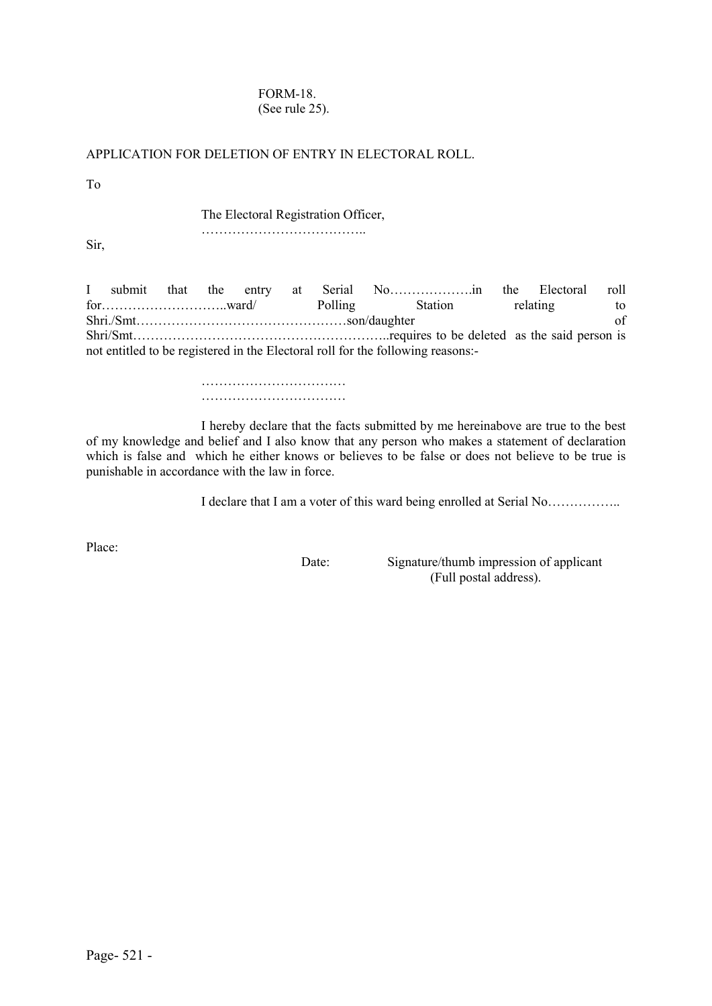#### FORM-18. (See rule 25).

### APPLICATION FOR DELETION OF ENTRY IN ELECTORAL ROLL.

To

The Electoral Registration Officer,

………………………………..

Sir,

I submit that the entry at Serial No……………….in the Electoral roll for…………………………ward/ Polling Station relating to<br>Shri /Smt son/daughter of Shri./Smt…………………………………………son/daughter of Shri/Smt…………………………………………………..requires to be deleted as the said person is not entitled to be registered in the Electoral roll for the following reasons:-

> ……………………………………… ……………………………

I hereby declare that the facts submitted by me hereinabove are true to the best of my knowledge and belief and I also know that any person who makes a statement of declaration which is false and which he either knows or believes to be false or does not believe to be true is punishable in accordance with the law in force.

I declare that I am a voter of this ward being enrolled at Serial No……………..

Place:

Date: Signature/thumb impression of applicant (Full postal address).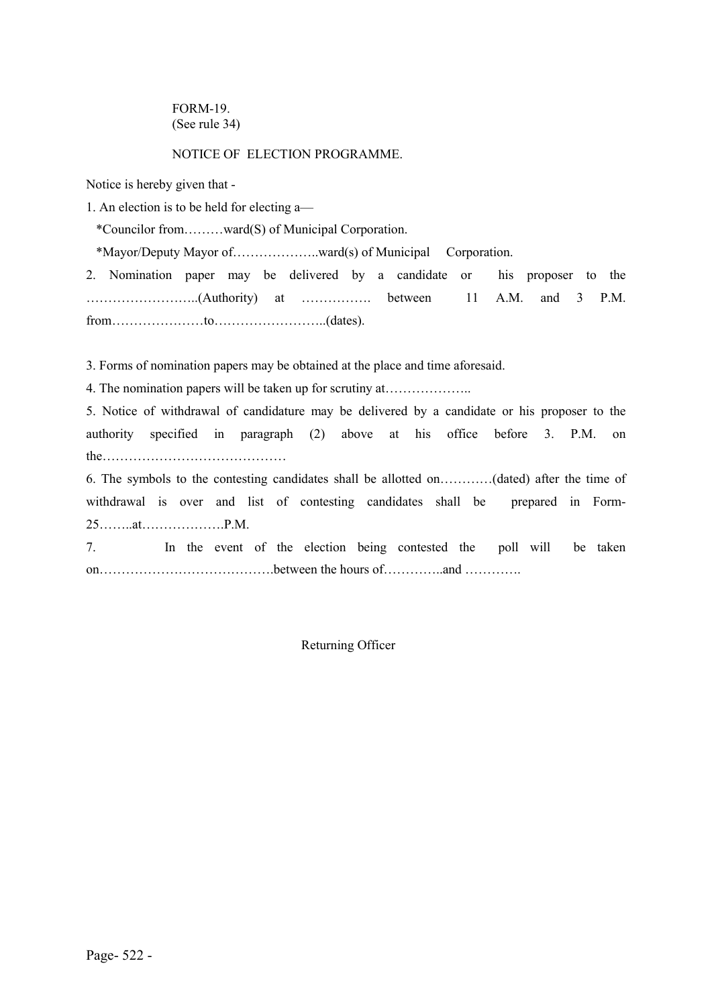FORM-19. (See rule 34)

#### NOTICE OF ELECTION PROGRAMME.

Notice is hereby given that -

1. An election is to be held for electing a—

\*Councilor from………ward(S) of Municipal Corporation.

\*Mayor/Deputy Mayor of………………..ward(s) of Municipal Corporation.

2. Nomination paper may be delivered by a candidate or his proposer to the ……………………..(Authority) at ……………. between 11 A.M. and 3 P.M. from…………………to……………………..(dates).

3. Forms of nomination papers may be obtained at the place and time aforesaid.

4. The nomination papers will be taken up for scrutiny at………………..

5. Notice of withdrawal of candidature may be delivered by a candidate or his proposer to the authority specified in paragraph (2) above at his office before 3. P.M. on the matrix of  $\mathbf{r}$  and  $\mathbf{r}$  and  $\mathbf{r}$  and  $\mathbf{r}$  and  $\mathbf{r}$  and  $\mathbf{r}$  and  $\mathbf{r}$  and  $\mathbf{r}$  and  $\mathbf{r}$  and  $\mathbf{r}$  and  $\mathbf{r}$  and  $\mathbf{r}$  and  $\mathbf{r}$  and  $\mathbf{r}$  and  $\mathbf{r}$  and  $\mathbf{r}$  and

6. The symbols to the contesting candidates shall be allotted on…………(dated) after the time of withdrawal is over and list of contesting candidates shall be prepared in Form-25……..at……………….P.M.

7. In the event of the election being contested the poll will be taken on………………………………….between the hours of…………..and ………….

Returning Officer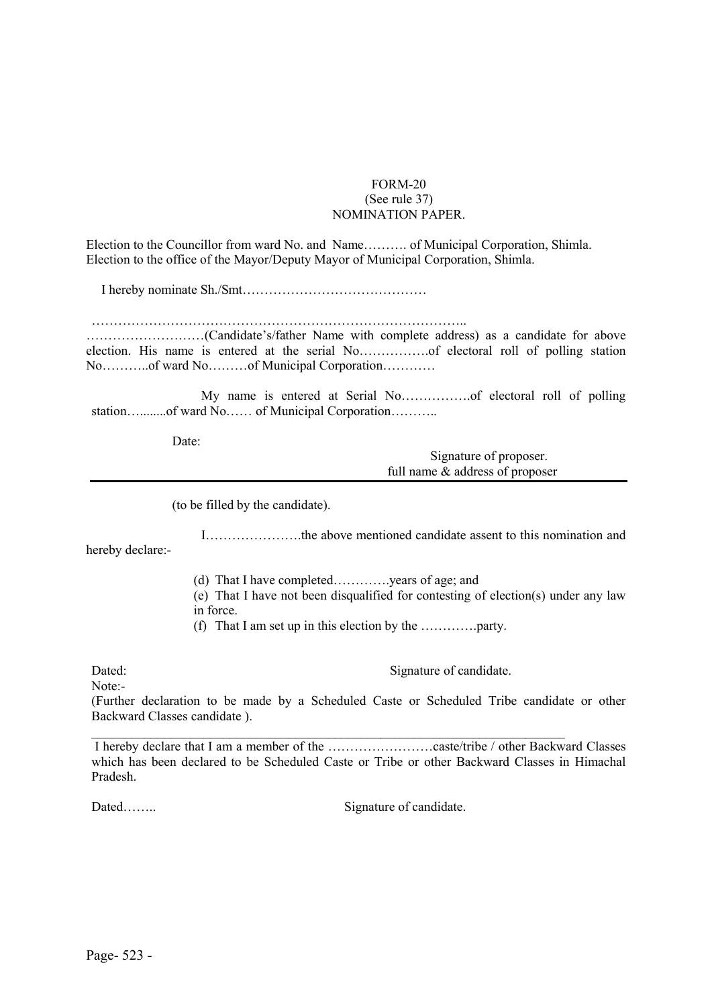#### FORM-20 (See rule 37) NOMINATION PAPER.

Election to the Councillor from ward No. and Name………. of Municipal Corporation, Shimla. Election to the office of the Mayor/Deputy Mayor of Municipal Corporation, Shimla.

I hereby nominate Sh./Smt……………………………………

…………………………………………………………………………..

………………………(Candidate's/father Name with complete address) as a candidate for above election. His name is entered at the serial No…………….of electoral roll of polling station No………..of ward No………of Municipal Corporation…………

My name is entered at Serial No…………….of electoral roll of polling station…........of ward No…… of Municipal Corporation……….

Date:

Signature of proposer. full name & address of proposer

(to be filled by the candidate).

I………………….the above mentioned candidate assent to this nomination and hereby declare:-

(d) That I have completed………….years of age; and

(e) That I have not been disqualified for contesting of election(s) under any law in force.

(f) That I am set up in this election by the ………….party.

Dated: Signature of candidate.

Note:-

(Further declaration to be made by a Scheduled Caste or Scheduled Tribe candidate or other Backward Classes candidate ).

 $\_$ I hereby declare that I am a member of the ……………………caste/tribe / other Backward Classes which has been declared to be Scheduled Caste or Tribe or other Backward Classes in Himachal Pradesh.

Dated…….. Signature of candidate.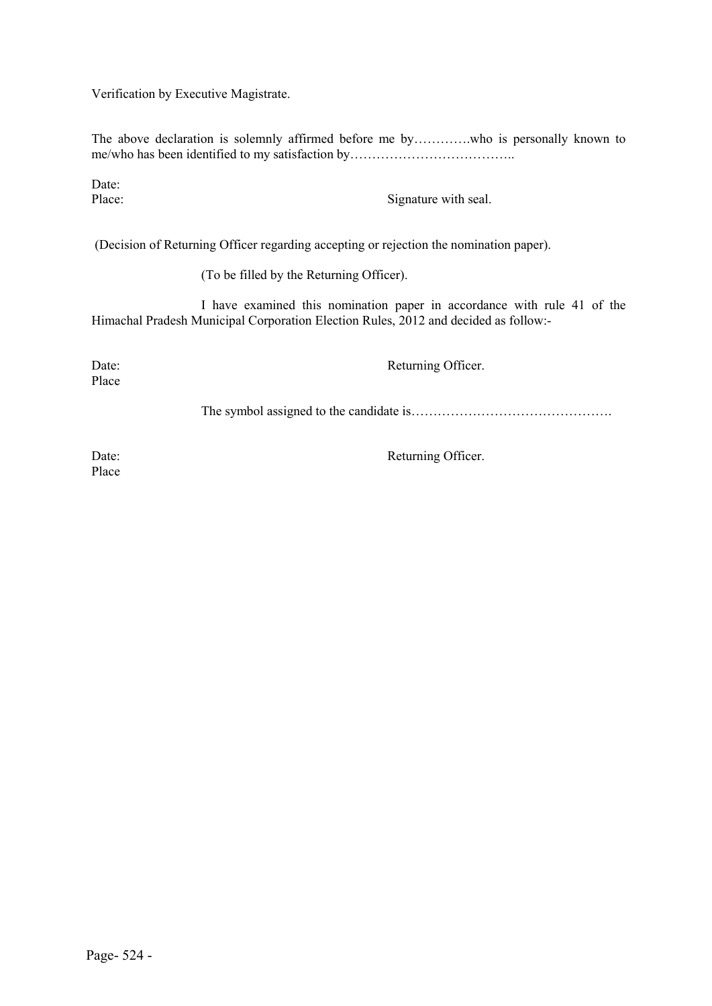Verification by Executive Magistrate.

The above declaration is solemnly affirmed before me by………….who is personally known to me/who has been identified to my satisfaction by……………………………………………………………………………………

Date:<br>Place:

Signature with seal.

(Decision of Returning Officer regarding accepting or rejection the nomination paper).

(To be filled by the Returning Officer).

I have examined this nomination paper in accordance with rule 41 of the Himachal Pradesh Municipal Corporation Election Rules, 2012 and decided as follow:-

Place

Date: Returning Officer.

The symbol assigned to the candidate is……………………………………….

Place

Date: Returning Officer.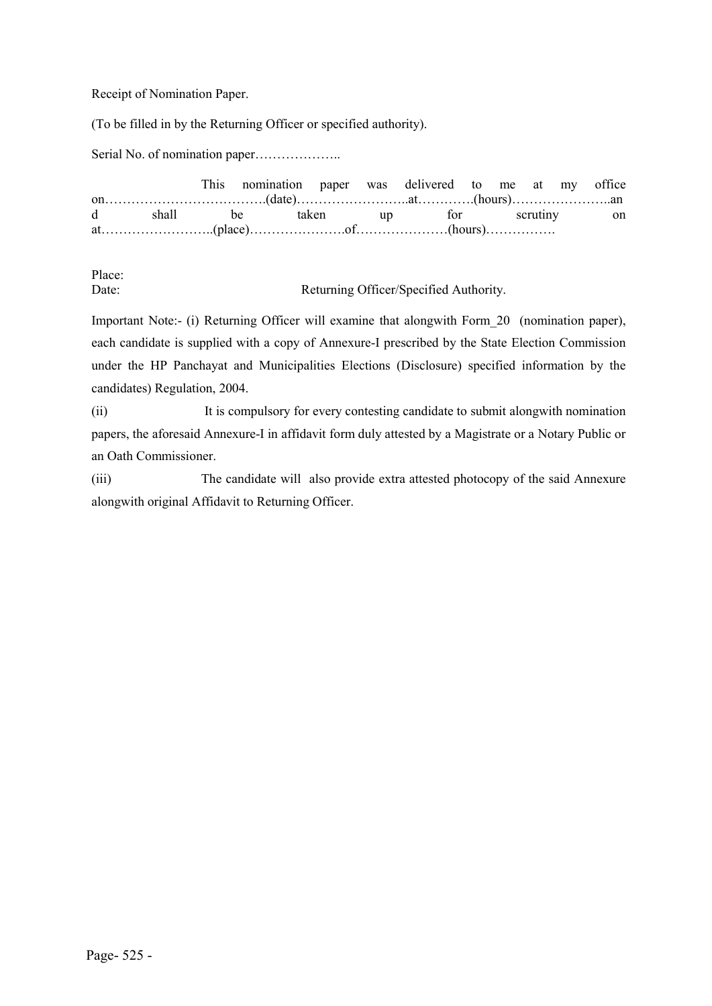Receipt of Nomination Paper.

(To be filled in by the Returning Officer or specified authority).

Serial No. of nomination paper………………….

|  | This nomination paper was delivered to me at my office |  |  |  |  |  |
|--|--------------------------------------------------------|--|--|--|--|--|
|  |                                                        |  |  |  |  |  |
|  | d shall be taken up for scrutiny on                    |  |  |  |  |  |
|  |                                                        |  |  |  |  |  |

Place:

Date: Returning Officer/Specified Authority.

Important Note:- (i) Returning Officer will examine that alongwith Form\_20 (nomination paper), each candidate is supplied with a copy of Annexure-I prescribed by the State Election Commission under the HP Panchayat and Municipalities Elections (Disclosure) specified information by the candidates) Regulation, 2004.

(ii) It is compulsory for every contesting candidate to submit alongwith nomination papers, the aforesaid Annexure-I in affidavit form duly attested by a Magistrate or a Notary Public or an Oath Commissioner.

(iii) The candidate will also provide extra attested photocopy of the said Annexure alongwith original Affidavit to Returning Officer.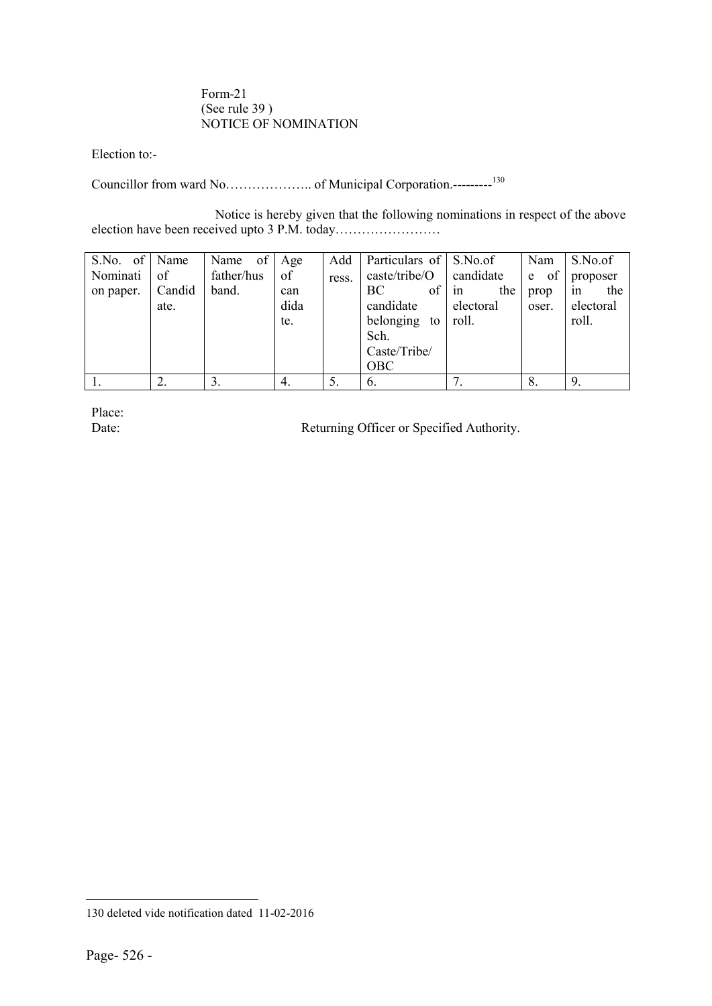#### Form-21 (See rule 39 ) NOTICE OF NOMINATION

Election to:-

Councillor from ward No……………….. of Municipal Corporation.---------<sup>130</sup>

Notice is hereby given that the following nominations in respect of the above election have been received upto 3 P.M. today……………………

| S.No. of Name |        | of<br>Name | Age  | Add   | Particulars of S.No.of |           | Nam     | S.No.of   |
|---------------|--------|------------|------|-------|------------------------|-----------|---------|-----------|
| Nominati      | of     | father/hus | of   | ress. | caste/tribe/O          | candidate | of<br>e | proposer  |
| on paper.     | Candid | band.      | can  |       | of<br>BС               | the<br>1n | prop    | the<br>1n |
|               | ate.   |            | dida |       | candidate              | electoral | oser.   | electoral |
|               |        |            | te.  |       | belonging to           | roll.     |         | roll.     |
|               |        |            |      |       | Sch.                   |           |         |           |
|               |        |            |      |       | Caste/Tribe/           |           |         |           |
|               |        |            |      |       | <b>OBC</b>             |           |         |           |
|               |        |            | 4.   |       | 6.                     | ⇁         | 8.      |           |

Place:<br>Date:

Returning Officer or Specified Authority.

 $\overline{a}$ 

<sup>130</sup> deleted vide notification dated 11-02-2016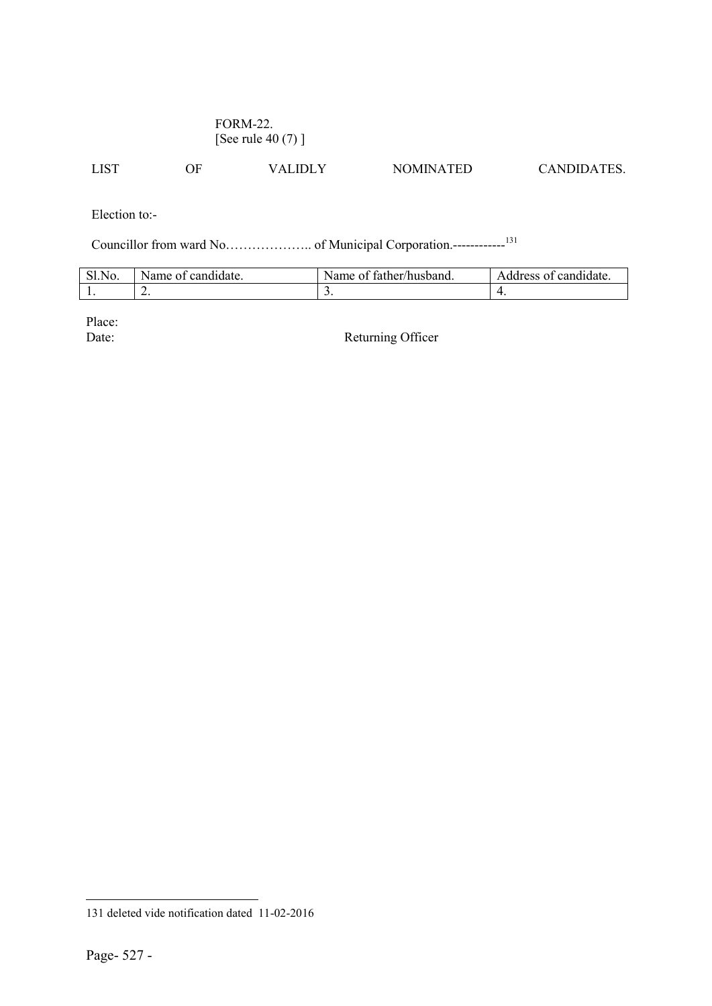### FORM-22. [See rule 40 (7) ]

LIST OF VALIDLY NOMINATED CANDIDATES.

Election to:-

Councillor from ward No……………….. of Municipal Corporation.------------131

| SI.N<br>NO. | Name of candidate. | e of father/husband.<br>Name | Address of candidate. |
|-------------|--------------------|------------------------------|-----------------------|
| . .         | <u>.</u>           | <u>.</u>                     |                       |

Place:<br>Date:

Returning Officer

 $\overline{a}$ 

<sup>131</sup> deleted vide notification dated 11-02-2016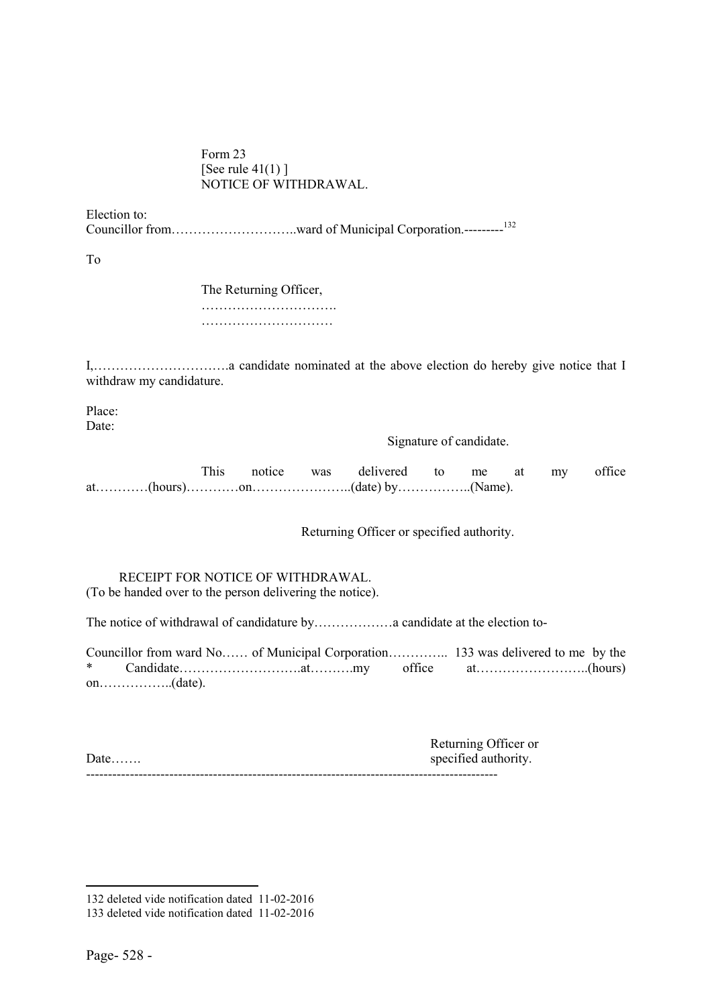Form 23 [See rule  $41(1)$ ] NOTICE OF WITHDRAWAL.

Election to:

Councillor from………………………..ward of Municipal Corporation.---------<sup>132</sup>

To

The Returning Officer, …………………………. …………………………

I,………………………….a candidate nominated at the above election do hereby give notice that I withdraw my candidature.

Place: Date:

Signature of candidate.

This notice was delivered to me at my office at…………(hours)…………on…………………..(date) by……………..(Name).

Returning Officer or specified authority.

 RECEIPT FOR NOTICE OF WITHDRAWAL. (To be handed over to the person delivering the notice).

The notice of withdrawal of candidature by………………a candidate at the election to-

Councillor from ward No…… of Municipal Corporation………….. 133 was delivered to me by the \* Candidate……………………….at……….my office at……………………..(hours) on……………..(date).

| Date | Returning Officer or<br>specified authority. |
|------|----------------------------------------------|
|      |                                              |

**.** 

<sup>132</sup> deleted vide notification dated 11-02-2016

<sup>133</sup> deleted vide notification dated 11-02-2016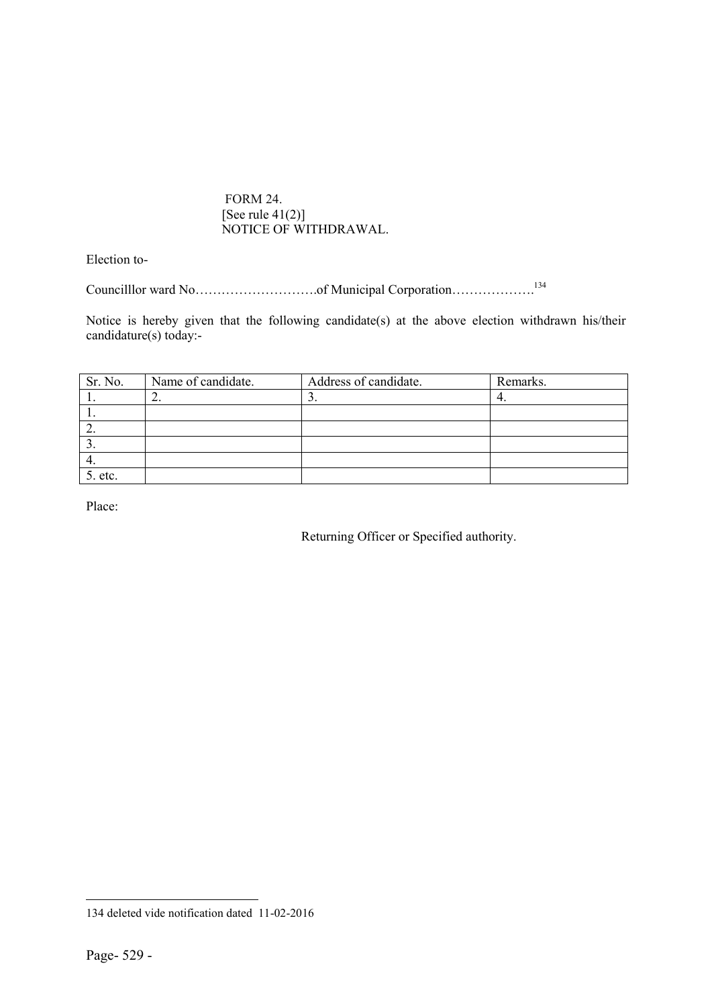FORM 24. [See rule  $41(2)$ ] NOTICE OF WITHDRAWAL.

Election to-

Councilllor ward No……………………….of Municipal Corporation……………….134

Notice is hereby given that the following candidate(s) at the above election withdrawn his/their candidature(s) today:-

| Sr. No. | Name of candidate. | Address of candidate. | Remarks. |
|---------|--------------------|-----------------------|----------|
|         | ۷,                 |                       | 4.       |
|         |                    |                       |          |
|         |                    |                       |          |
|         |                    |                       |          |
|         |                    |                       |          |
| 5. etc. |                    |                       |          |

Place:

Returning Officer or Specified authority.

 $\overline{a}$ 134 deleted vide notification dated 11-02-2016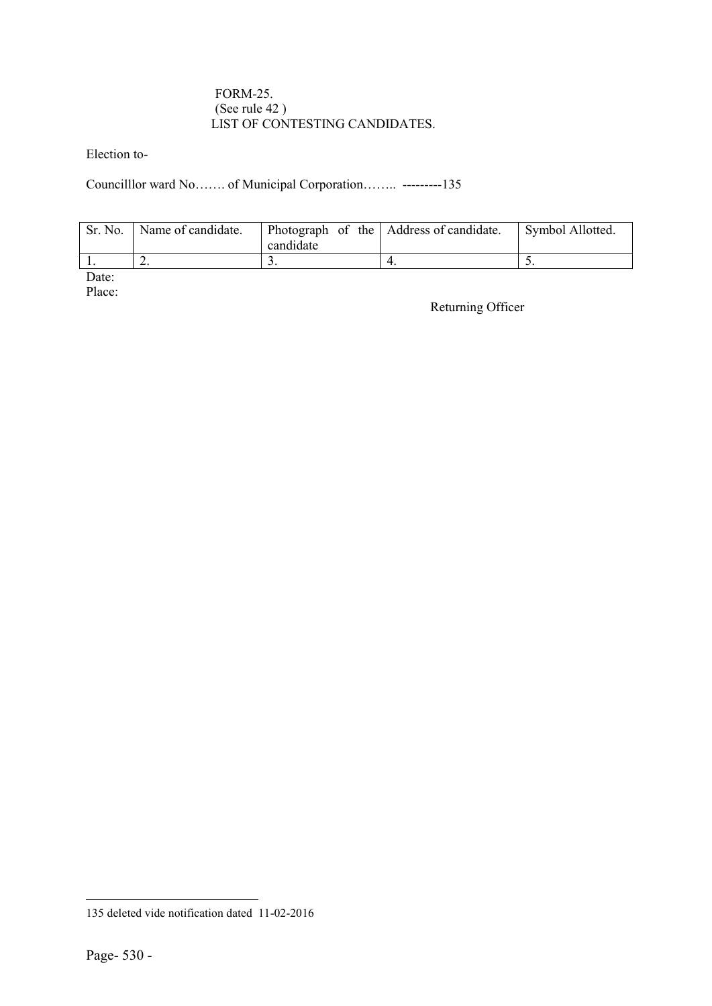#### FORM-25. (See rule 42 ) LIST OF CONTESTING CANDIDATES.

Election to-

Councilllor ward No……. of Municipal Corporation…….. ---------135

| Sr. No. | Name of candidate. | candidate | Photograph of the Address of candidate. | Symbol Allotted. |
|---------|--------------------|-----------|-----------------------------------------|------------------|
|         | ∸.                 |           |                                         |                  |

Date:

Place:

Returning Officer

 $\overline{a}$ 

<sup>135</sup> deleted vide notification dated 11-02-2016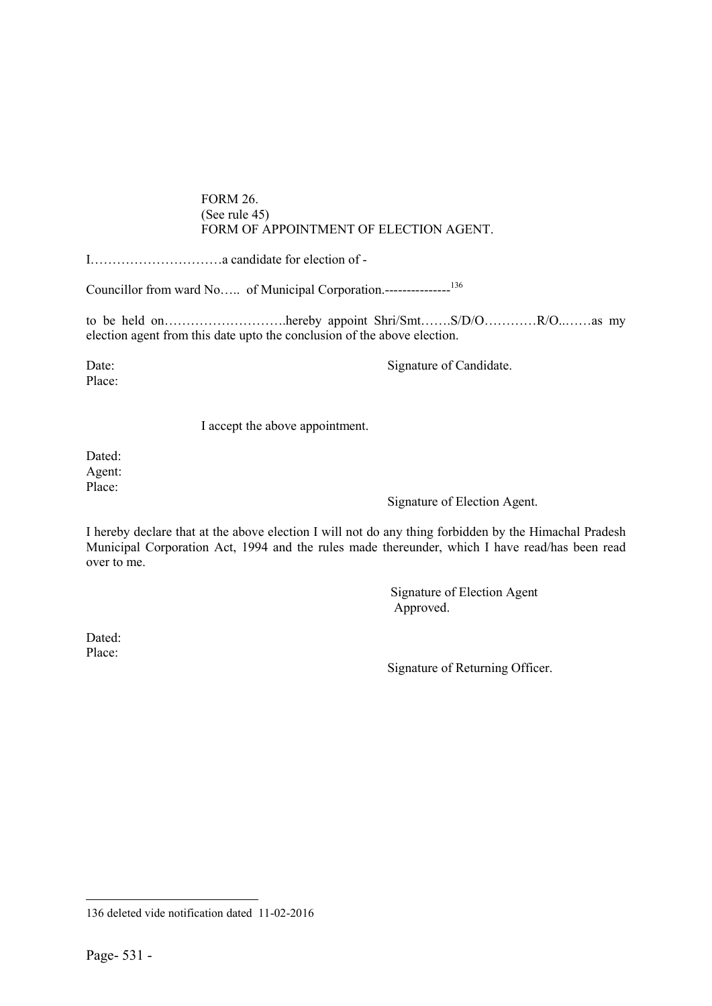#### FORM 26. (See rule 45) FORM OF APPOINTMENT OF ELECTION AGENT.

I…………………………a candidate for election of -

Councillor from ward No….. of Municipal Corporation.---------------136

to be held on……………………….hereby appoint Shri/Smt…….S/D/O…………R/O..……as my election agent from this date upto the conclusion of the above election.

Place:

Date: Signature of Candidate.

I accept the above appointment.

Dated: Agent: Place:

Signature of Election Agent.

I hereby declare that at the above election I will not do any thing forbidden by the Himachal Pradesh Municipal Corporation Act, 1994 and the rules made thereunder, which I have read/has been read over to me.

> Signature of Election Agent Approved.

Dated: Place:

Signature of Returning Officer.

 $\overline{a}$ 

<sup>136</sup> deleted vide notification dated 11-02-2016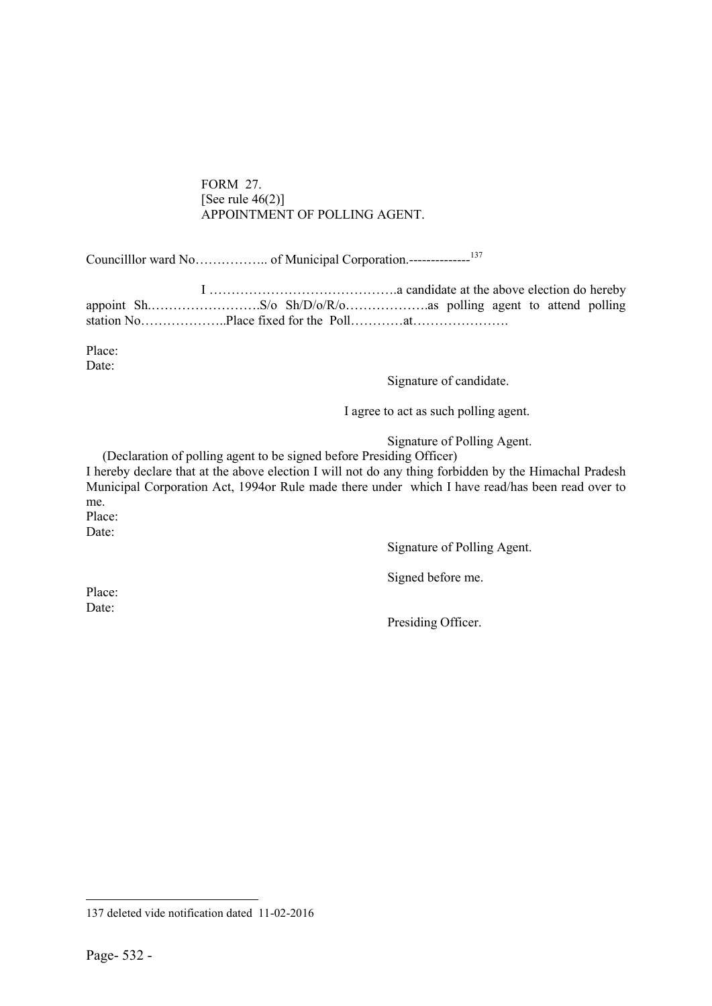#### FORM 27. [See rule  $46(2)$ ] APPOINTMENT OF POLLING AGENT.

Councilllor ward No…………….. of Municipal Corporation.--------------<sup>137</sup>

I …………………………………….a candidate at the above election do hereby appoint Sh.…………………….S/o Sh/D/o/R/o……………….as polling agent to attend polling station No………………..Place fixed for the Poll…………at………………….

Place: Date:

#### Signature of candidate.

I agree to act as such polling agent.

Signature of Polling Agent.

(Declaration of polling agent to be signed before Presiding Officer)

I hereby declare that at the above election I will not do any thing forbidden by the Himachal Pradesh Municipal Corporation Act, 1994or Rule made there under which I have read/has been read over to me.

Place:

Date:

Signature of Polling Agent.

Signed before me.

Place: Date:

Presiding Officer.

 $\overline{a}$ 137 deleted vide notification dated 11-02-2016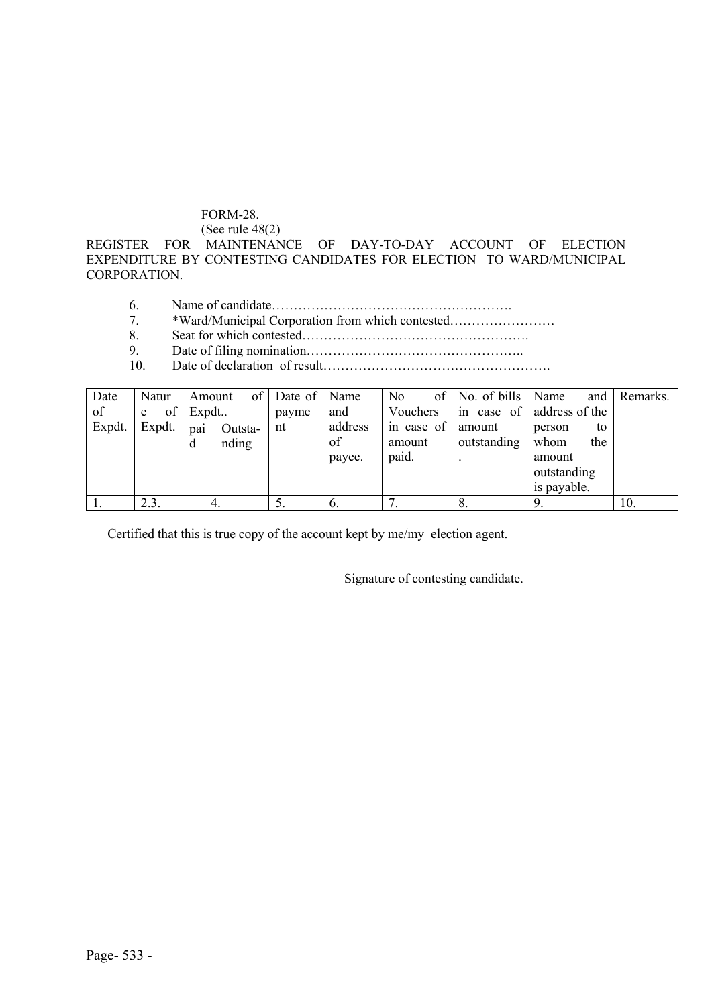### FORM-28.

(See rule 48(2)

REGISTER FOR MAINTENANCE OF DAY-TO-DAY ACCOUNT OF ELECTION EXPENDITURE BY CONTESTING CANDIDATES FOR ELECTION TO WARD/MUNICIPAL CORPORATION.

- 6. Name of candidate……………………………………………….
- 7. \*Ward/Municipal Corporation from which contested……………………
- 8. Seat for which contested…………………………………………….
- 9. Date of filing nomination…………………………………………..
- 10. Date of declaration of result…………………………………………….

| Date   | Natur   | Amount | of      | Date of Name |         | of<br>No   | No. of bills  | Name<br>and    | Remarks. |
|--------|---------|--------|---------|--------------|---------|------------|---------------|----------------|----------|
| of     | of<br>e | Expdt  |         | payme        | and     | Vouchers   | case of<br>1n | address of the |          |
| Expdt. | Expdt.  | pai    | Outsta- | nt           | address | in case of | amount        | to<br>person   |          |
|        |         | đ      | nding   |              | of      | amount     | outstanding   | the<br>whom    |          |
|        |         |        |         |              | payee.  | paid.      |               | amount         |          |
|        |         |        |         |              |         |            |               | outstanding    |          |
|        |         |        |         |              |         |            |               | is payable.    |          |
|        | 2.3.    | 4.     |         | C.           | O.      | ⇁          | 8.            |                | 10.      |

Certified that this is true copy of the account kept by me/my election agent.

Signature of contesting candidate.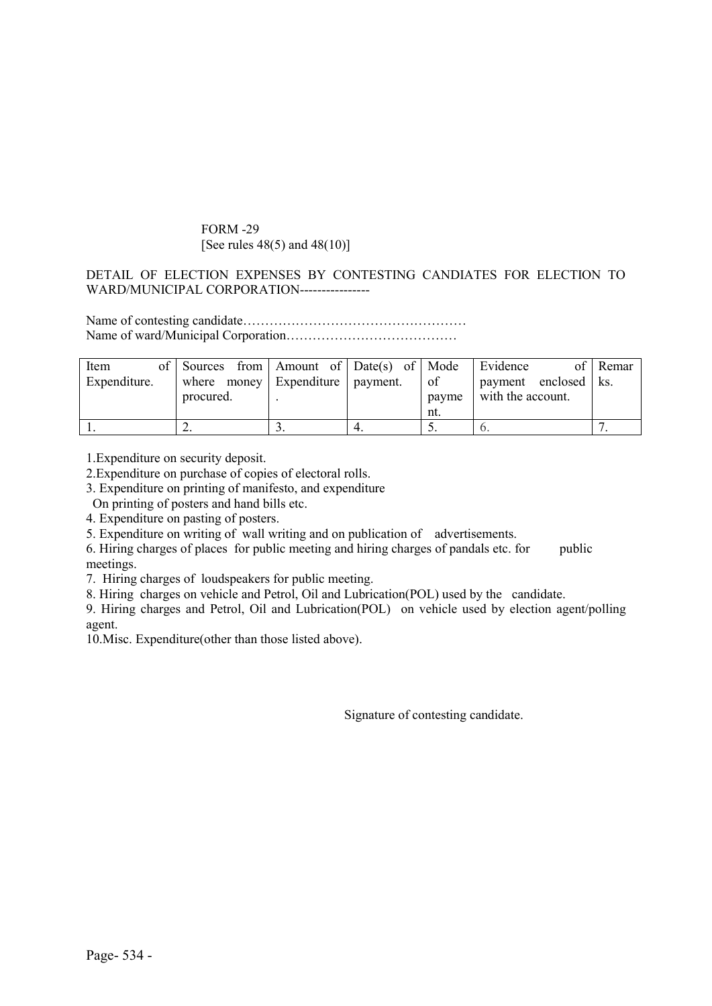#### FORM -29 [See rules 48(5) and 48(10)]

#### DETAIL OF ELECTION EXPENSES BY CONTESTING CANDIATES FOR ELECTION TO WARD/MUNICIPAL CORPORATION-----------------

Name of contesting candidate…………………………………………… Name of ward/Municipal Corporation…………………………………

| Item<br>Expenditure. | of Sources from Amount of Date(s) of Mode<br>where money Expenditure payment.<br>procured. |  | of<br>payme<br>nt. | Evidence<br>payment enclosed   ks.<br>with the account. | of Remar |
|----------------------|--------------------------------------------------------------------------------------------|--|--------------------|---------------------------------------------------------|----------|
|                      |                                                                                            |  |                    |                                                         |          |

1.Expenditure on security deposit.

2.Expenditure on purchase of copies of electoral rolls.

3. Expenditure on printing of manifesto, and expenditure

On printing of posters and hand bills etc.

4. Expenditure on pasting of posters.

5. Expenditure on writing of wall writing and on publication of advertisements.

6. Hiring charges of places for public meeting and hiring charges of pandals etc. for public meetings.

7. Hiring charges of loudspeakers for public meeting.

8. Hiring charges on vehicle and Petrol, Oil and Lubrication(POL) used by the candidate.

9. Hiring charges and Petrol, Oil and Lubrication(POL) on vehicle used by election agent/polling agent.

10.Misc. Expenditure(other than those listed above).

Signature of contesting candidate.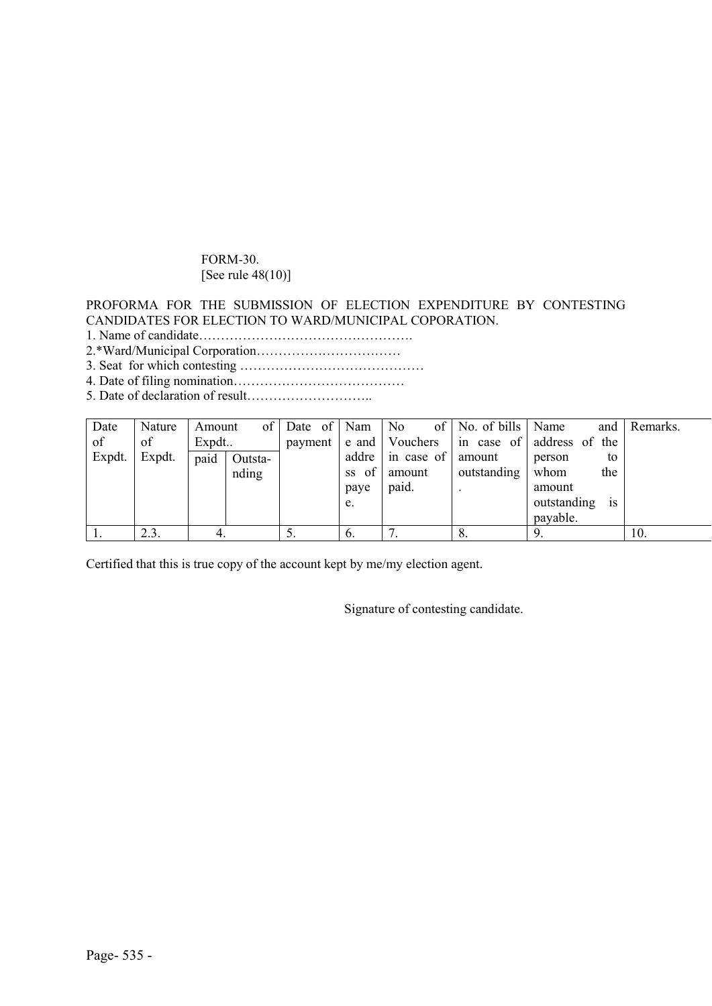# FORM-30. [See rule 48(10)]

#### PROFORMA FOR THE SUBMISSION OF ELECTION EXPENDITURE BY CONTESTING CANDIDATES FOR ELECTION TO WARD/MUNICIPAL COPORATION.

- 1. Name of candidate………………………………………….
- 2.\*Ward/Municipal Corporation……………………………
- 3. Seat for which contesting ……………………………………
- 4. Date of filing nomination…………………………………
- 5. Date of declaration of result………………………..

| Date   | Nature | Amount | of 1    | Date of | Nam             | No.              | of   No. of bills $\vert$ | Name<br>and                   | Remarks. |
|--------|--------|--------|---------|---------|-----------------|------------------|---------------------------|-------------------------------|----------|
| of     | of     | Expdt  |         | payment |                 | e and   Vouchers | in case of                | address of the                |          |
| Expdt. | Expdt. | paid   | Outsta- |         |                 | addre in case of | amount                    | to<br>person                  |          |
|        |        |        | nding   |         | of<br><b>SS</b> | amount           | outstanding               | whom<br>the                   |          |
|        |        |        |         |         | paye            | paid.            |                           | amount                        |          |
|        |        |        |         |         | e.              |                  |                           | outstanding<br><sup>1</sup> S |          |
|        |        |        |         |         |                 |                  |                           | payable.                      |          |
|        | 2.3.   |        |         | J.      | $\mathfrak{b}.$ |                  | O.                        | 9.                            | 10.      |

Certified that this is true copy of the account kept by me/my election agent.

Signature of contesting candidate.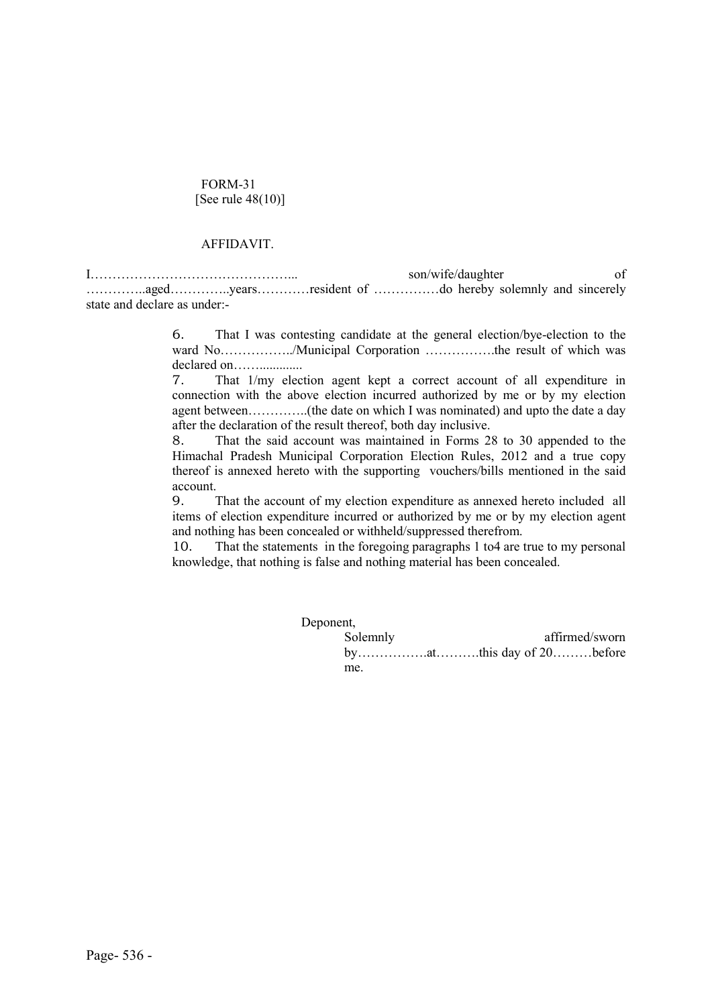#### FORM-31 [See rule 48(10)]

#### AFFIDAVIT.

I………………………………………... son/wife/daughter of …………..aged…………..years…………resident of ……………do hereby solemnly and sincerely state and declare as under:-

> 6. That I was contesting candidate at the general election/bye-election to the ward No……………../Municipal Corporation …………….the result of which was declared on…….............

> 7. That 1/my election agent kept a correct account of all expenditure in connection with the above election incurred authorized by me or by my election agent between…………..(the date on which I was nominated) and upto the date a day after the declaration of the result thereof, both day inclusive.

> 8. That the said account was maintained in Forms 28 to 30 appended to the Himachal Pradesh Municipal Corporation Election Rules, 2012 and a true copy thereof is annexed hereto with the supporting vouchers/bills mentioned in the said account.

> 9. That the account of my election expenditure as annexed hereto included all items of election expenditure incurred or authorized by me or by my election agent and nothing has been concealed or withheld/suppressed therefrom.

> 10. That the statements in the foregoing paragraphs 1 to4 are true to my personal knowledge, that nothing is false and nothing material has been concealed.

| Deponent, |                |
|-----------|----------------|
| Solemnly  | affirmed/sworn |
|           |                |
| me.       |                |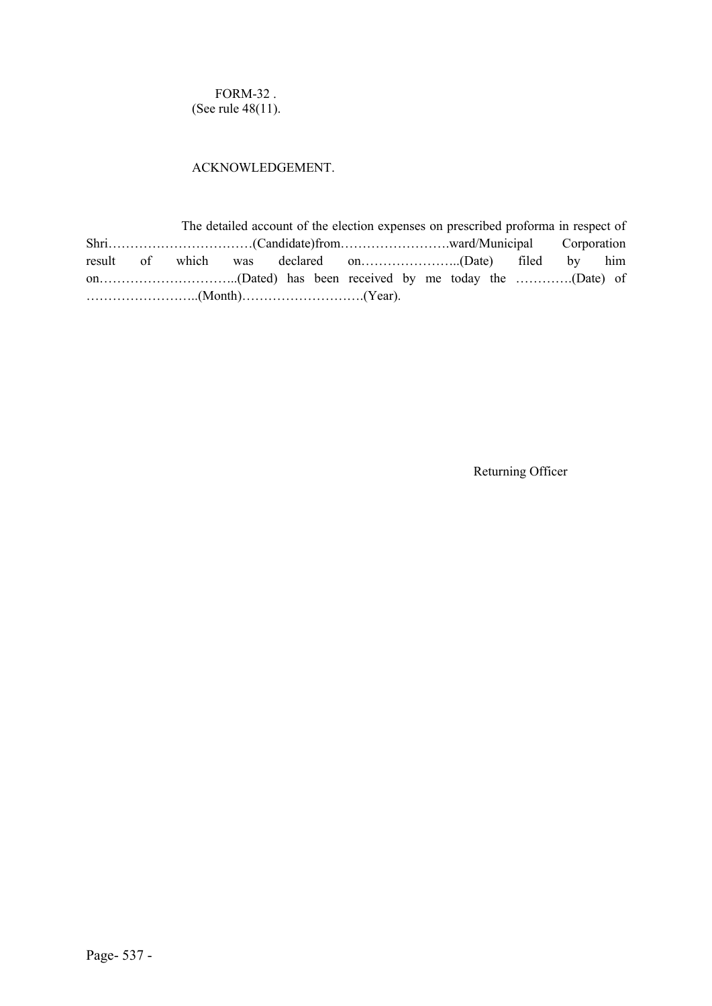FORM-32 . (See rule 48(11).

#### ACKNOWLEDGEMENT.

 The detailed account of the election expenses on prescribed proforma in respect of Shri……………………………(Candidate)from…………………….ward/Municipal Corporation result of which was declared on…………………..(Date) filed by him on…………………………..(Dated) has been received by me today the ………….(Date) of ……………………..(Month)……………………….(Year).

Returning Officer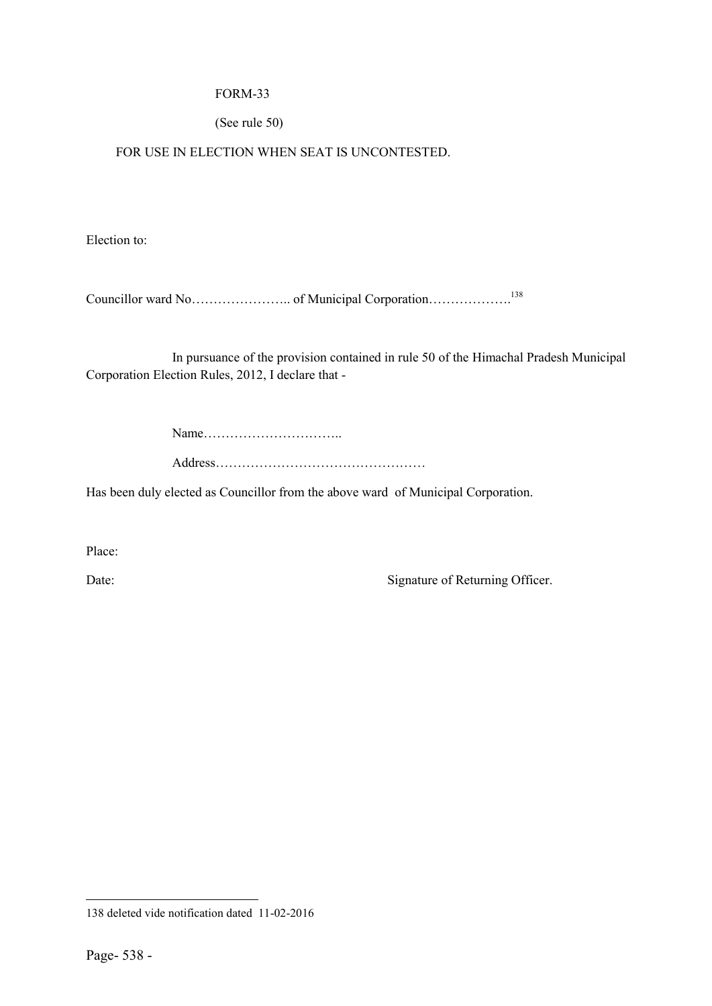## FORM-33

# (See rule 50)

FOR USE IN ELECTION WHEN SEAT IS UNCONTESTED.

Election to:

Councillor ward No………………….. of Municipal Corporation……………….138

In pursuance of the provision contained in rule 50 of the Himachal Pradesh Municipal Corporation Election Rules, 2012, I declare that -

Name…………………………..

Address…………………………………………

Has been duly elected as Councillor from the above ward of Municipal Corporation.

Place:

Date: Signature of Returning Officer.

 $\overline{a}$ 

<sup>138</sup> deleted vide notification dated 11-02-2016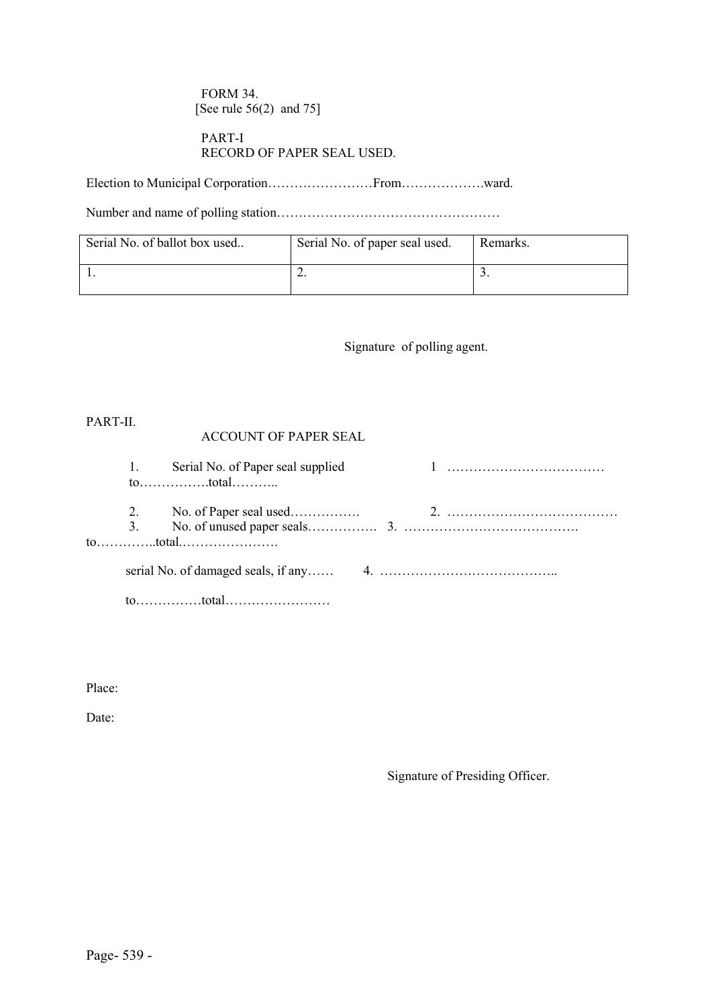FORM 34. [See rule 56(2) and 75]

### PART-I RECORD OF PAPER SEAL USED.

Election to Municipal Corporation……………………From……………….ward.

Number and name of polling station……………………………………………

| Serial No. of ballot box used | Serial No. of paper seal used. | Remarks. |
|-------------------------------|--------------------------------|----------|
|                               | ـ ت                            | <u>.</u> |

Signature of polling agent.

PART-II.

# ACCOUNT OF PAPER SEAL

|  | 1. Serial No. of Paper seal supplied |  |
|--|--------------------------------------|--|
|  |                                      |  |
|  |                                      |  |
|  |                                      |  |
|  |                                      |  |
|  |                                      |  |

Place:

Date:

Signature of Presiding Officer.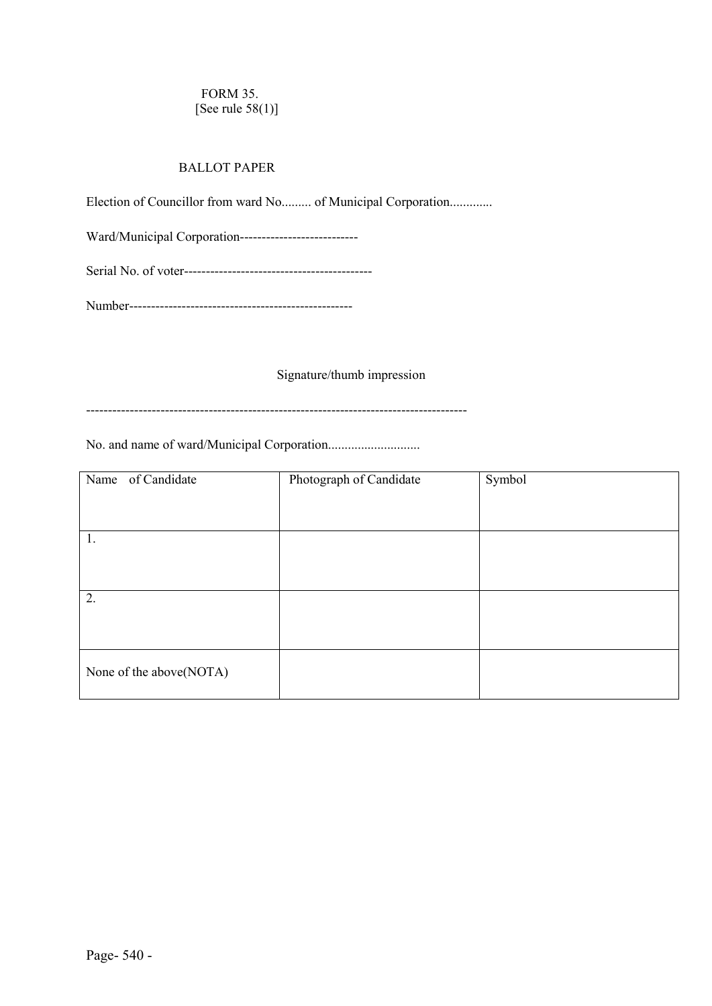# FORM 35. [See rule 58(1)]

# BALLOT PAPER

Election of Councillor from ward No......... of Municipal Corporation.............

Ward/Municipal Corporation---------------------------

Serial No. of voter-------------------------------------------

Number---------------------------------------------------

## Signature/thumb impression

---------------------------------------------------------------------------------------

No. and name of ward/Municipal Corporation............................

| Name of Candidate       | Photograph of Candidate | Symbol |
|-------------------------|-------------------------|--------|
|                         |                         |        |
| 1.                      |                         |        |
|                         |                         |        |
| 2.                      |                         |        |
|                         |                         |        |
| None of the above(NOTA) |                         |        |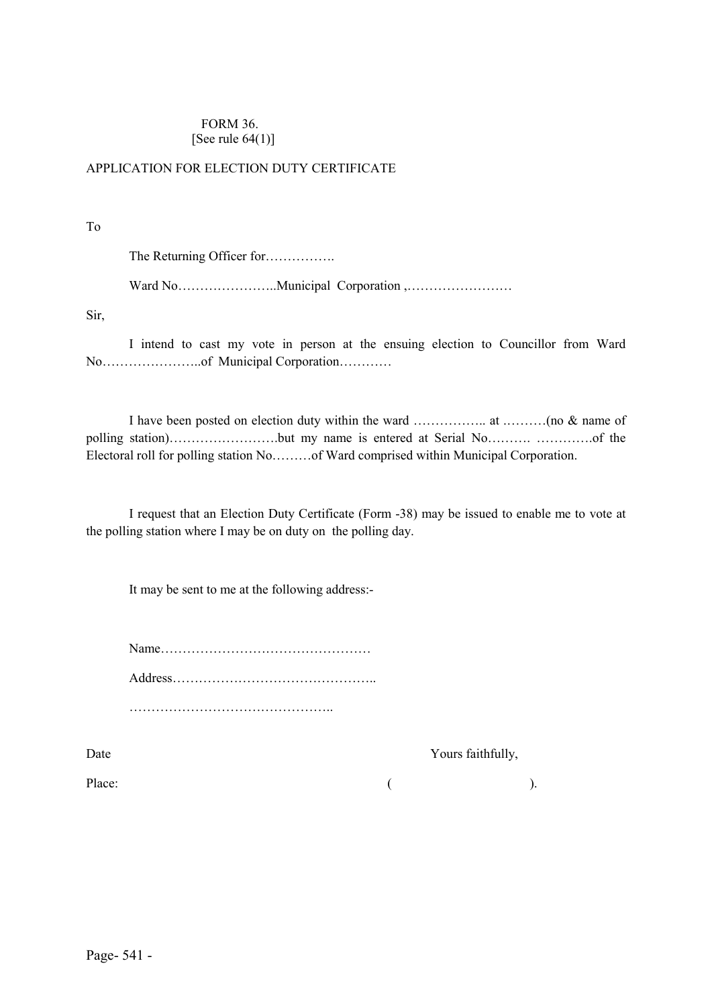#### FORM 36. [See rule  $64(1)$ ]

# APPLICATION FOR ELECTION DUTY CERTIFICATE

To

The Returning Officer for…………….

Ward No…………………..Municipal Corporation ,……………………

Sir,

I intend to cast my vote in person at the ensuing election to Councillor from Ward No…………………..of Municipal Corporation…………

I have been posted on election duty within the ward …………….. at .………(no & name of polling station)…………………….but my name is entered at Serial No………. ………….of the Electoral roll for polling station No………of Ward comprised within Municipal Corporation.

I request that an Election Duty Certificate (Form -38) may be issued to enable me to vote at the polling station where I may be on duty on the polling day.

It may be sent to me at the following address:-

Name………………………………………… Address……………………………………….. ………………………………………..

Date Yours faithfully,

Place:  $($  ).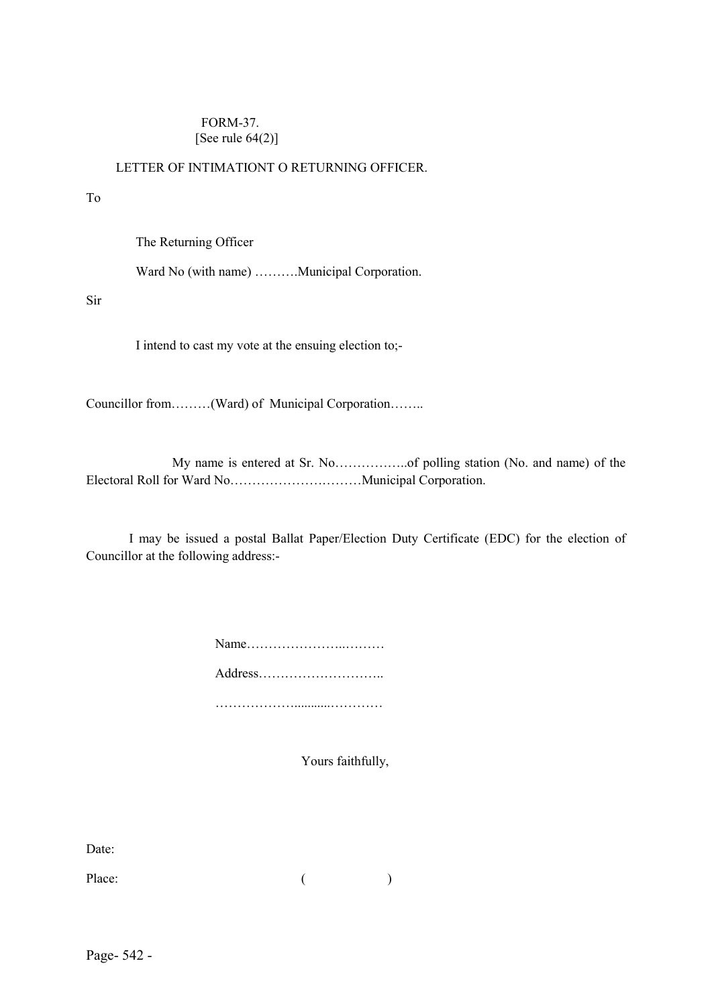### FORM-37. [See rule  $64(2)$ ]

# LETTER OF INTIMATIONT O RETURNING OFFICER.

#### To

The Returning Officer

Ward No (with name) .........Municipal Corporation.

Sir

I intend to cast my vote at the ensuing election to;-

Councillor from………(Ward) of Municipal Corporation……..

My name is entered at Sr. No……………..of polling station (No. and name) of the Electoral Roll for Ward No…………………………Municipal Corporation.

I may be issued a postal Ballat Paper/Election Duty Certificate (EDC) for the election of Councillor at the following address:-

| Name    |
|---------|
| Address |
|         |

Yours faithfully,

Date:

Place: ( )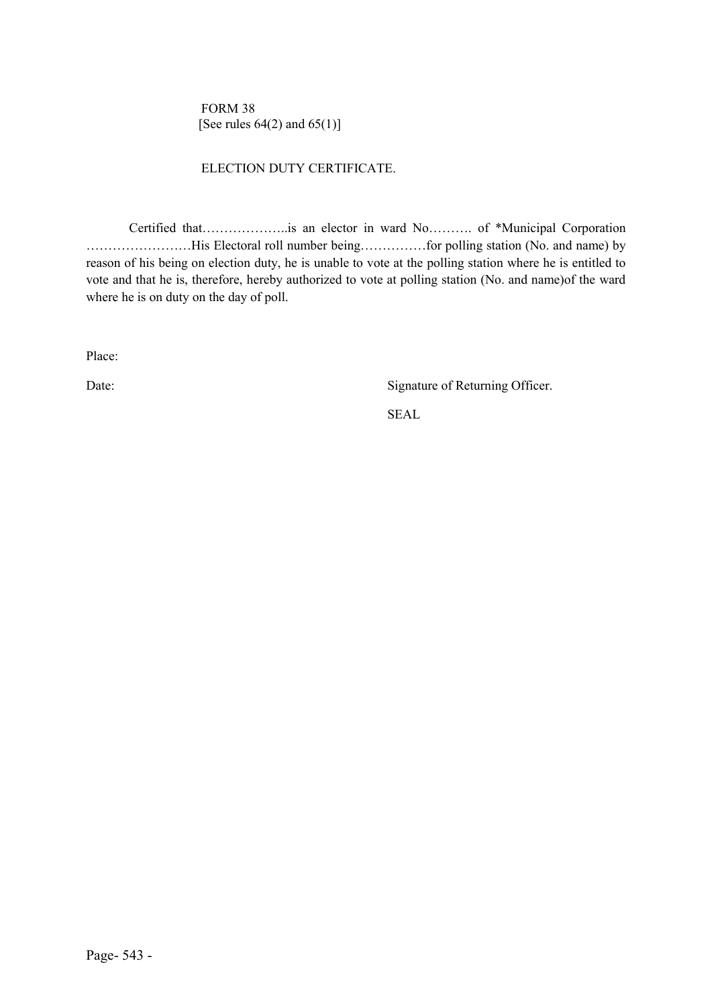FORM 38 [See rules  $64(2)$  and  $65(1)$ ]

#### ELECTION DUTY CERTIFICATE.

Certified that………………..is an elector in ward No………. of \*Municipal Corporation ……………………His Electoral roll number being……………for polling station (No. and name) by reason of his being on election duty, he is unable to vote at the polling station where he is entitled to vote and that he is, therefore, hereby authorized to vote at polling station (No. and name)of the ward where he is on duty on the day of poll.

Place:

Date: Signature of Returning Officer.

SEAL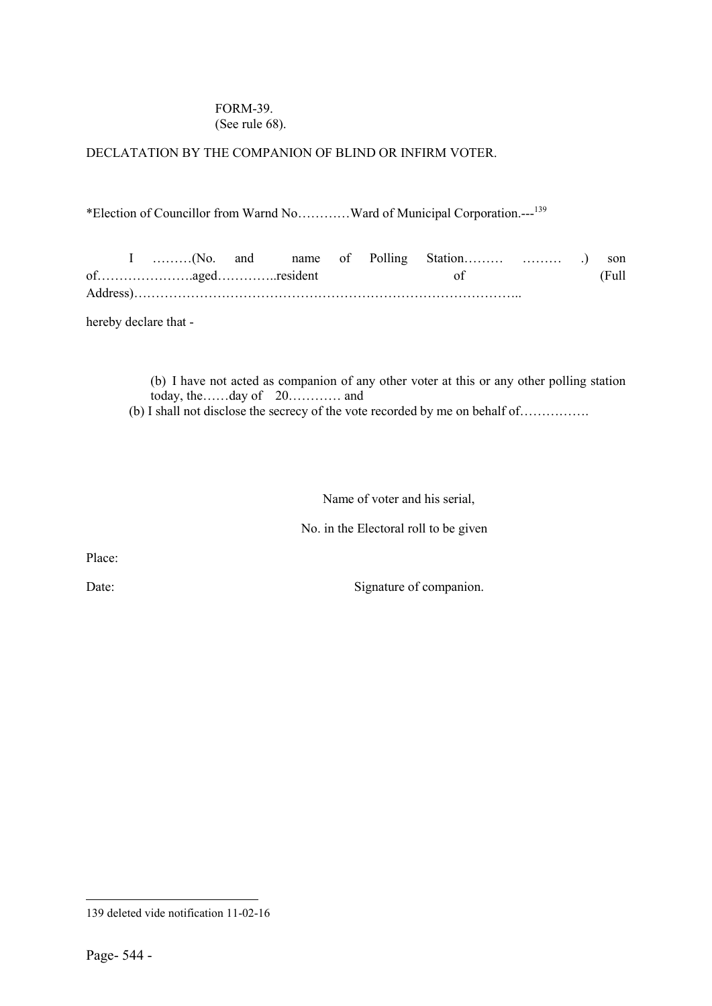## FORM-39. (See rule 68).

### DECLATATION BY THE COMPANION OF BLIND OR INFIRM VOTER.

\*Election of Councillor from Warnd No…………Ward of Municipal Corporation.---<sup>139</sup>

I ………(No. and name of Polling Station……… ……… .) son of………………….aged…………..resident of (Full Address)……………………………………………………………………………..

hereby declare that -

(b) I have not acted as companion of any other voter at this or any other polling station today, the……day of 20………… and

(b) I shall not disclose the secrecy of the vote recorded by me on behalf of…………….

Name of voter and his serial,

No. in the Electoral roll to be given

Place:

Date: Signature of companion.

 $\overline{a}$ 139 deleted vide notification 11-02-16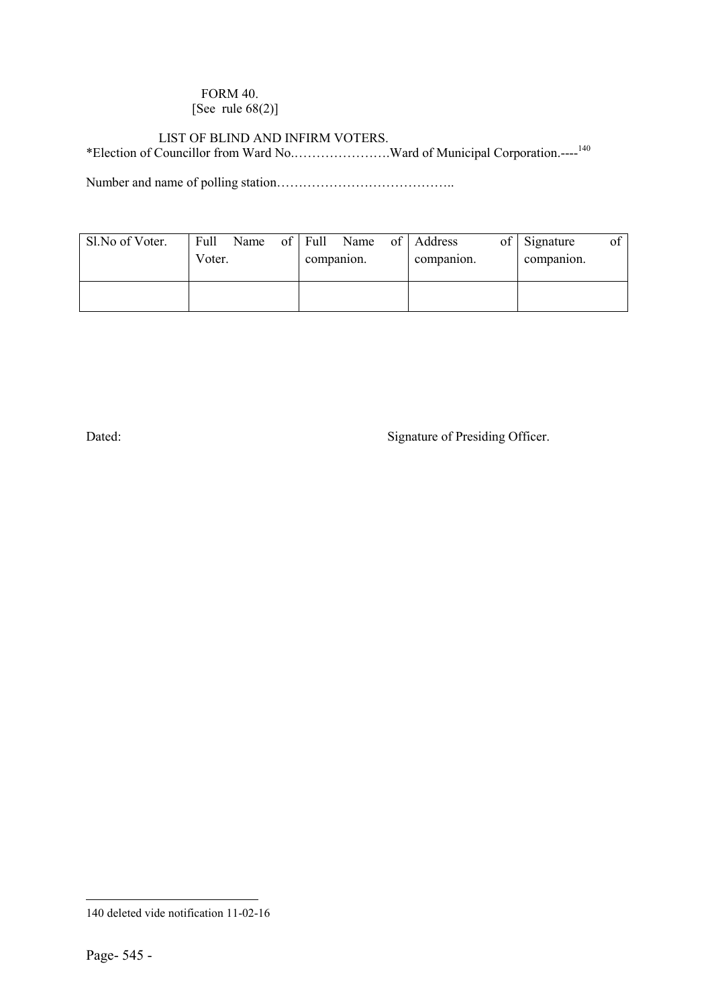### FORM 40. [See rule 68(2)]

### LIST OF BLIND AND INFIRM VOTERS.

\*Election of Councillor from Ward No.………………….Ward of Municipal Corporation.----140

Number and name of polling station…………………………………..

| Sl.No of Voter. | Full<br>Voter. | Name | of | Full<br>companion. | Name | of Address<br>companion. | of | Signature<br>companion. | Оİ |
|-----------------|----------------|------|----|--------------------|------|--------------------------|----|-------------------------|----|
|                 |                |      |    |                    |      |                          |    |                         |    |

Dated: Signature of Presiding Officer.

 $\overline{a}$ 140 deleted vide notification 11-02-16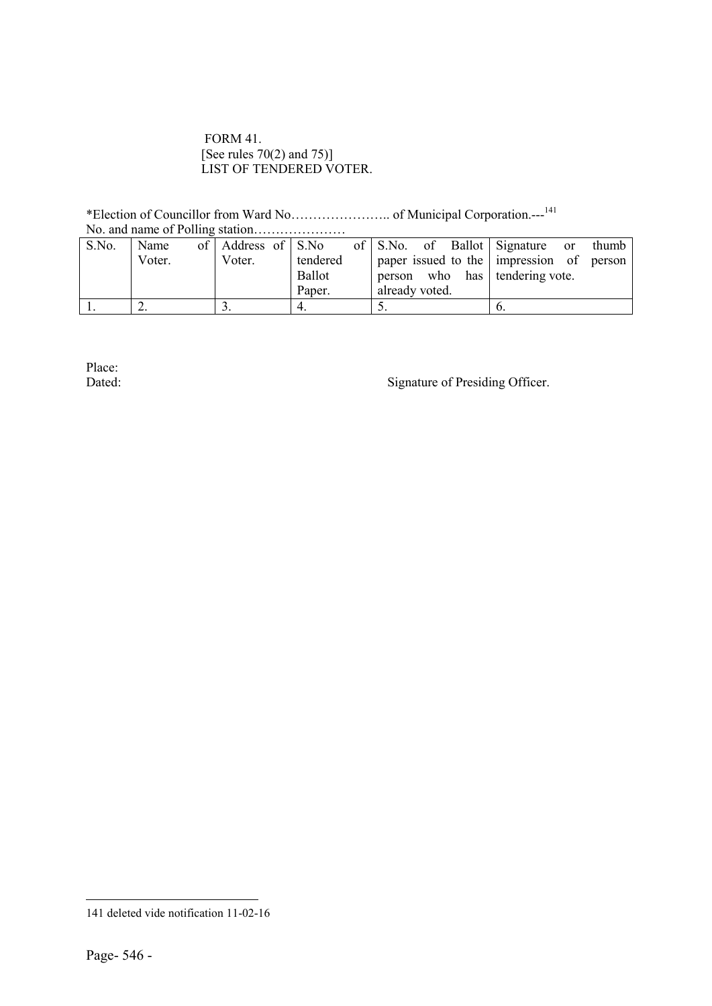#### FORM 41. [See rules 70(2) and 75)] LIST OF TENDERED VOTER.

\*Election of Councillor from Ward No………………….. of Municipal Corporation.---<sup>141</sup>

| S.No. | Name   | of Address of S.No |               | of S.No. of Ballot Signature or | thumb                                    |
|-------|--------|--------------------|---------------|---------------------------------|------------------------------------------|
|       | Voter. | Voter.             | tendered      |                                 | paper issued to the impression of person |
|       |        |                    | <b>Ballot</b> | person who has tendering vote.  |                                          |
|       |        |                    | Paper.        | already voted.                  |                                          |
|       |        |                    |               |                                 |                                          |

Place:<br>Dated:

Signature of Presiding Officer.

 $\overline{a}$ 141 deleted vide notification 11-02-16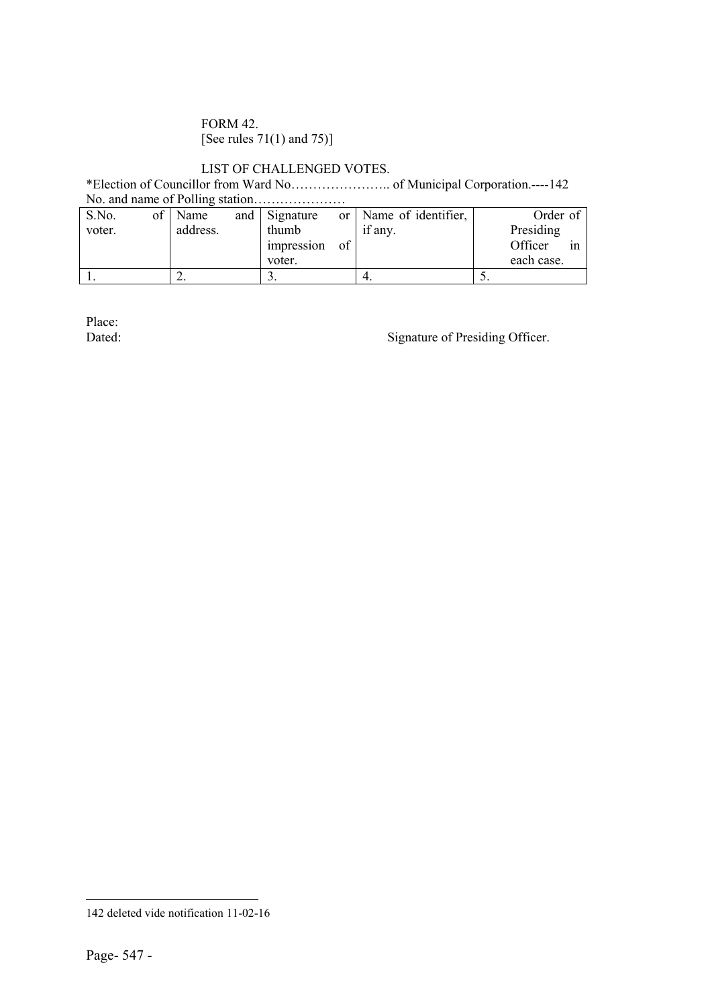## FORM 42. [See rules 71(1) and 75)]

# LIST OF CHALLENGED VOTES.

\*Election of Councillor from Ward No………………….. of Municipal Corporation.----142 No. and name of Polling station…………………

| S.No.  | $\sigma$ | Name     | and | Signature  | or | Name of identifier, |     | Order of      |
|--------|----------|----------|-----|------------|----|---------------------|-----|---------------|
| voter. |          | address. |     | thumb      |    | if any.             |     | Presiding     |
|        |          |          |     | impression | of |                     |     | Officer<br>1n |
|        |          |          |     | voter.     |    |                     |     | each case.    |
|        |          |          |     | J .        |    |                     | J . |               |

Place:<br>Dated:

Signature of Presiding Officer.

 $\overline{a}$ 142 deleted vide notification 11-02-16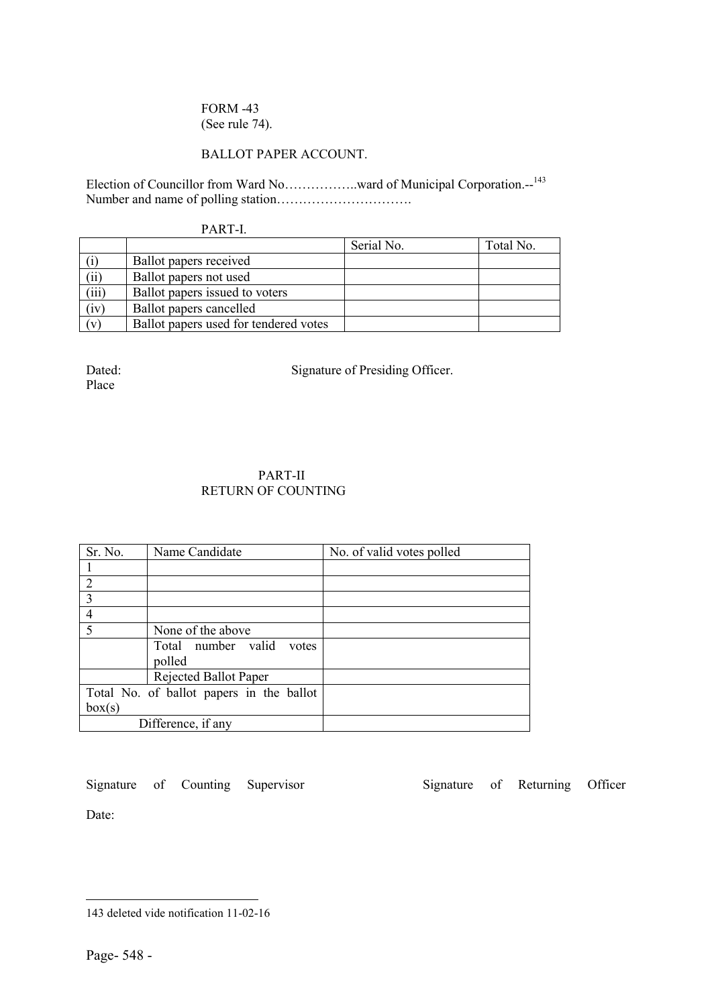### FORM -43 (See rule 74).

#### BALLOT PAPER ACCOUNT.

Election of Councillor from Ward No……………ward of Municipal Corporation.--<sup>143</sup> Number and name of polling station………………………….

#### PART-I.

|       |                                       | Serial No. | Total No. |
|-------|---------------------------------------|------------|-----------|
|       | Ballot papers received                |            |           |
| (ii)  | Ballot papers not used                |            |           |
| (iii) | Ballot papers issued to voters        |            |           |
| (iv)  | Ballot papers cancelled               |            |           |
| (v)   | Ballot papers used for tendered votes |            |           |

Place

Dated: Signature of Presiding Officer.

#### PART-II RETURN OF COUNTING

| Sr. No.        | Name Candidate                           | No. of valid votes polled |
|----------------|------------------------------------------|---------------------------|
|                |                                          |                           |
| $\overline{2}$ |                                          |                           |
| $\overline{3}$ |                                          |                           |
| $\overline{4}$ |                                          |                           |
| $\overline{5}$ | None of the above                        |                           |
|                | Total number valid<br>votes              |                           |
|                | polled                                   |                           |
|                | Rejected Ballot Paper                    |                           |
|                | Total No. of ballot papers in the ballot |                           |
| box(s)         |                                          |                           |
|                | Difference, if any                       |                           |

Signature of Counting Supervisor Signature of Returning Officer Date:

 $\overline{a}$ 143 deleted vide notification 11-02-16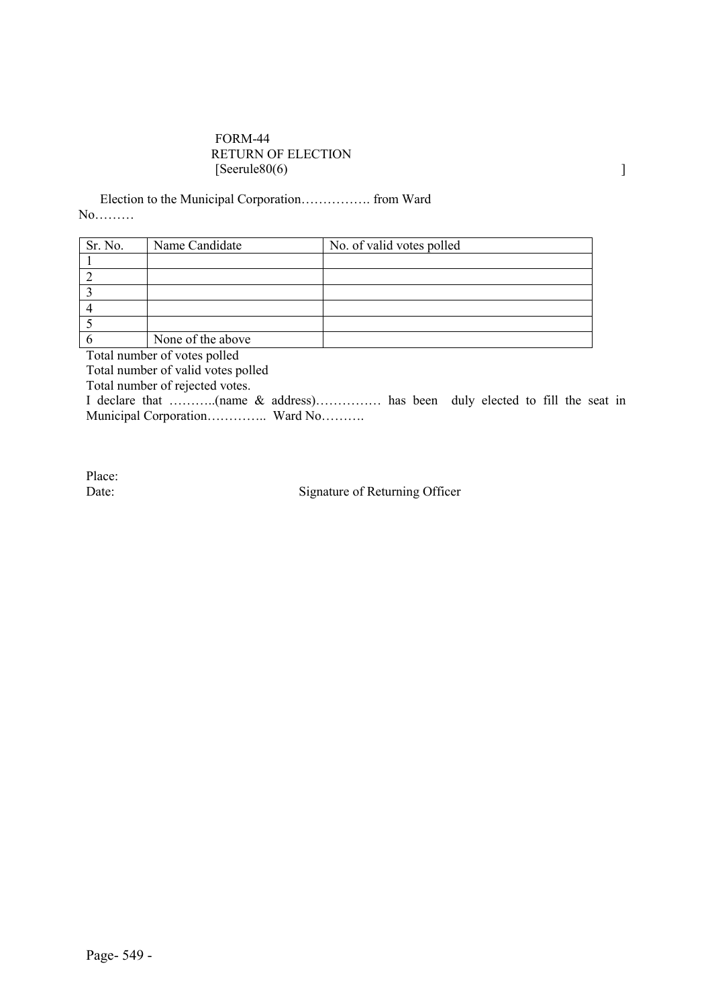#### FORM-44 RETURN OF ELECTION  $[Seerule80(6)$

Election to the Municipal Corporation……………. from Ward No………

| Sr. No. | Name Candidate    | No. of valid votes polled |
|---------|-------------------|---------------------------|
|         |                   |                           |
|         |                   |                           |
|         |                   |                           |
|         |                   |                           |
|         |                   |                           |
|         | None of the above |                           |

Total number of votes polled

Total number of valid votes polled

Total number of rejected votes.

I declare that ………..(name & address)…………… has been duly elected to fill the seat in Municipal Corporation……………. Ward No……….

Place:<br>Date:

Signature of Returning Officer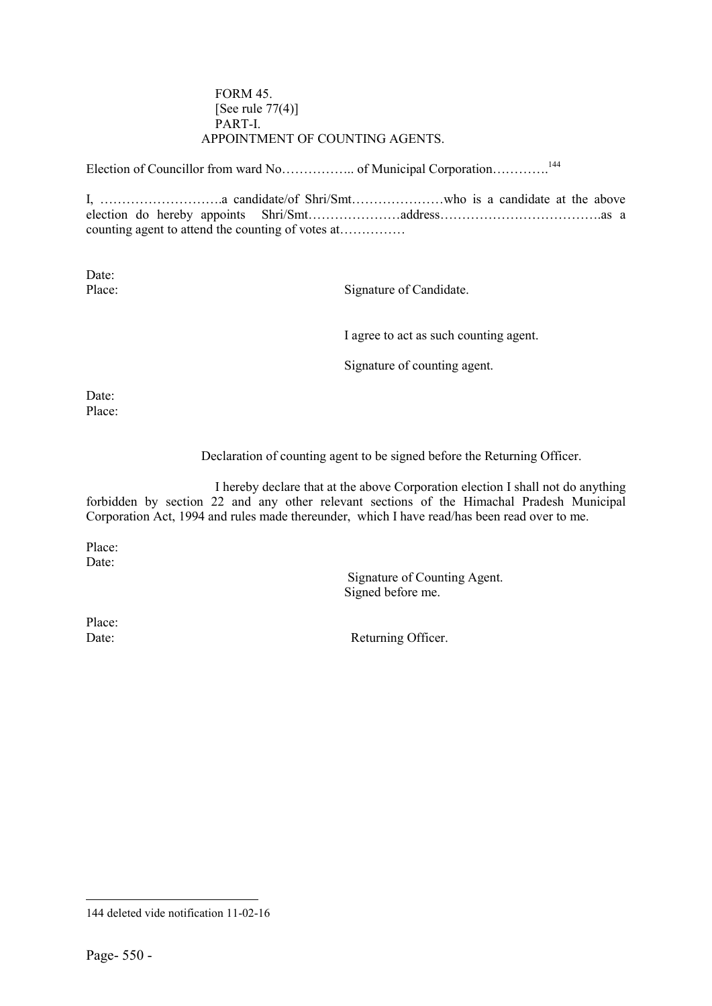#### FORM 45. [See rule  $77(4)$ ] PART-I. APPOINTMENT OF COUNTING AGENTS.

Election of Councillor from ward No………………….. of Municipal Corporation………….<sup>144</sup>

I, ……………………….a candidate/of Shri/Smt…………………who is a candidate at the above election do hereby appoints Shri/Smt…………………address……………………………….as a counting agent to attend the counting of votes at……………

Date:

Place: Signature of Candidate.

I agree to act as such counting agent.

Signature of counting agent.

Date: Place:

Declaration of counting agent to be signed before the Returning Officer.

I hereby declare that at the above Corporation election I shall not do anything forbidden by section 22 and any other relevant sections of the Himachal Pradesh Municipal Corporation Act, 1994 and rules made thereunder, which I have read/has been read over to me.

Place: Date:

> Signature of Counting Agent. Signed before me.

Place:

Date: Returning Officer.

 $\overline{a}$ 144 deleted vide notification 11-02-16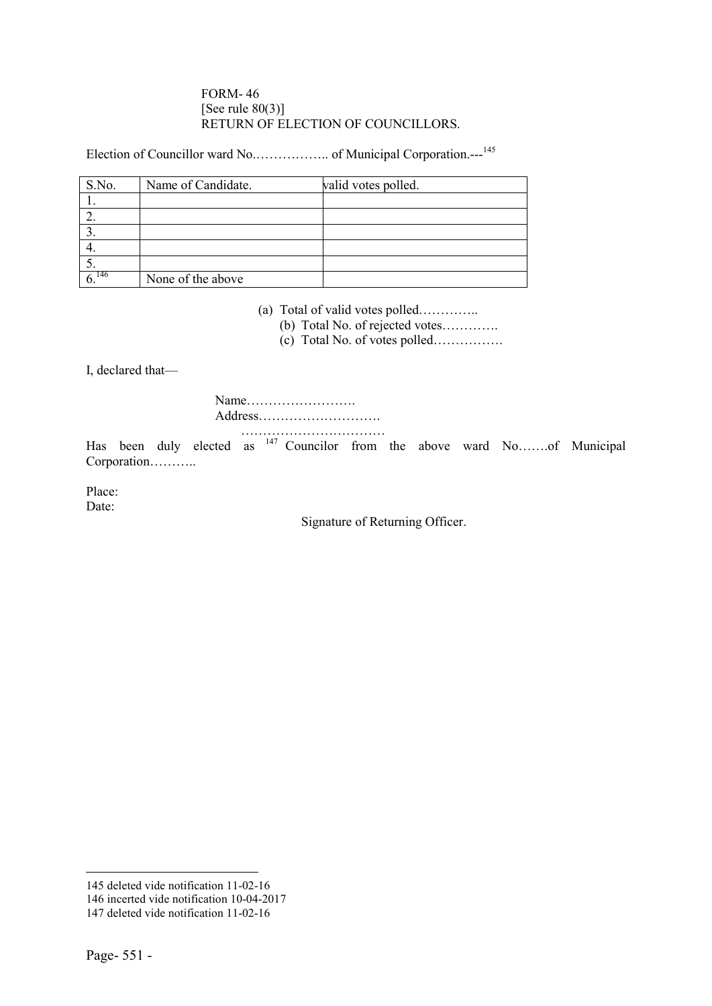#### FORM- 46 [See rule  $80(3)$ ] RETURN OF ELECTION OF COUNCILLORS.

Election of Councillor ward No.…………….. of Municipal Corporation.---<sup>145</sup>

| S.No. | Name of Candidate. | valid votes polled. |
|-------|--------------------|---------------------|
|       |                    |                     |
|       |                    |                     |
|       |                    |                     |
|       |                    |                     |
|       |                    |                     |
| - 146 | None of the above  |                     |

(a) Total of valid votes polled…………..

(b) Total No. of rejected votes………….

(c) Total No. of votes polled…………….

I, declared that—

Name……………………. Address………………………. ……………………………

Has been duly elected as <sup>147</sup> Councilor from the above ward No…….of Municipal Corporation………..

Place: Date:

Signature of Returning Officer.

**.** 

<sup>145</sup> deleted vide notification 11-02-16

<sup>146</sup> incerted vide notification 10-04-2017

<sup>147</sup> deleted vide notification 11-02-16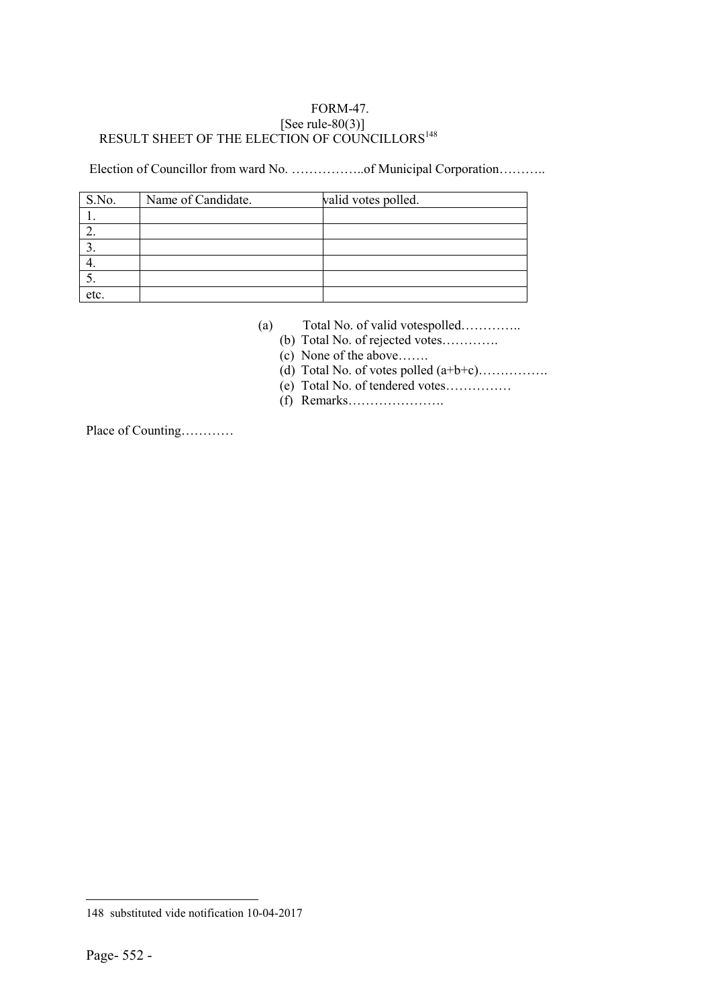## FORM-47. [See rule- $80(3)$ ] RESULT SHEET OF THE ELECTION OF COUNCILLORS<sup>148</sup>

Election of Councillor from ward No. ……………...of Municipal Corporation………..

| S.No. | Name of Candidate. | valid votes polled. |
|-------|--------------------|---------------------|
|       |                    |                     |
|       |                    |                     |
|       |                    |                     |
|       |                    |                     |
|       |                    |                     |
| etc.  |                    |                     |

- (a) Total No. of valid votespolled…………..
	- (b) Total No. of rejected votes………….
	- (c) None of the above…….
	- (d) Total No. of votes polled (a+b+c)…………….
	- (e) Total No. of tendered votes……………
	- (f) Remarks………………….

Place of Counting…………

 $\overline{a}$ 148 substituted vide notification 10-04-2017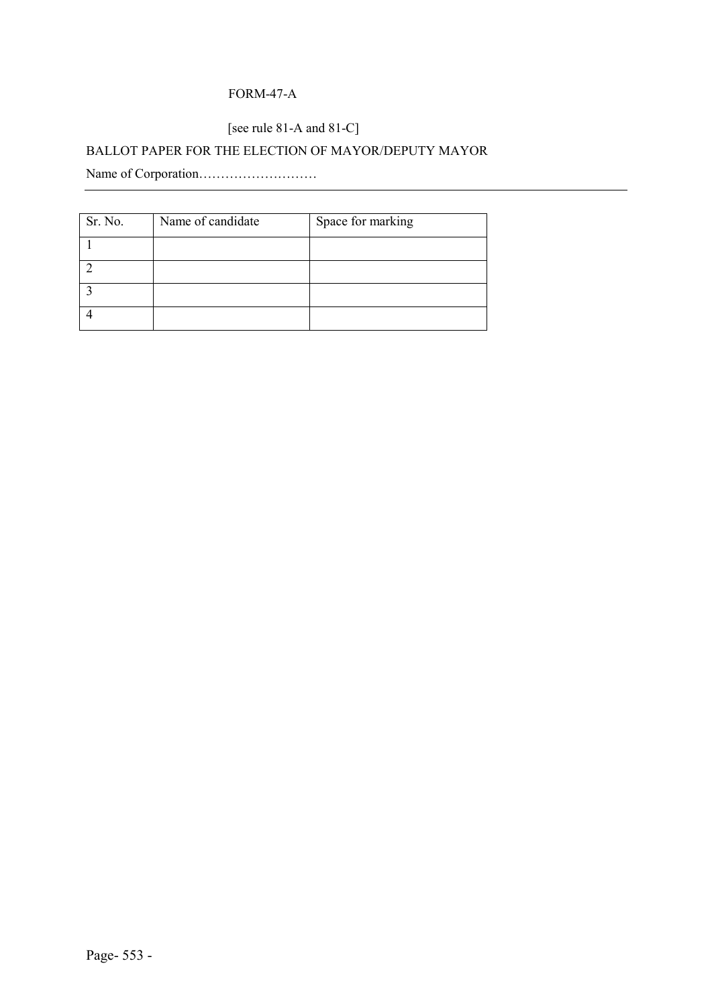# FORM-47-A

# [see rule 81-A and 81-C]

# BALLOT PAPER FOR THE ELECTION OF MAYOR/DEPUTY MAYOR

Name of Corporation………………………

| Sr. No. | Name of candidate | Space for marking |
|---------|-------------------|-------------------|
|         |                   |                   |
|         |                   |                   |
|         |                   |                   |
|         |                   |                   |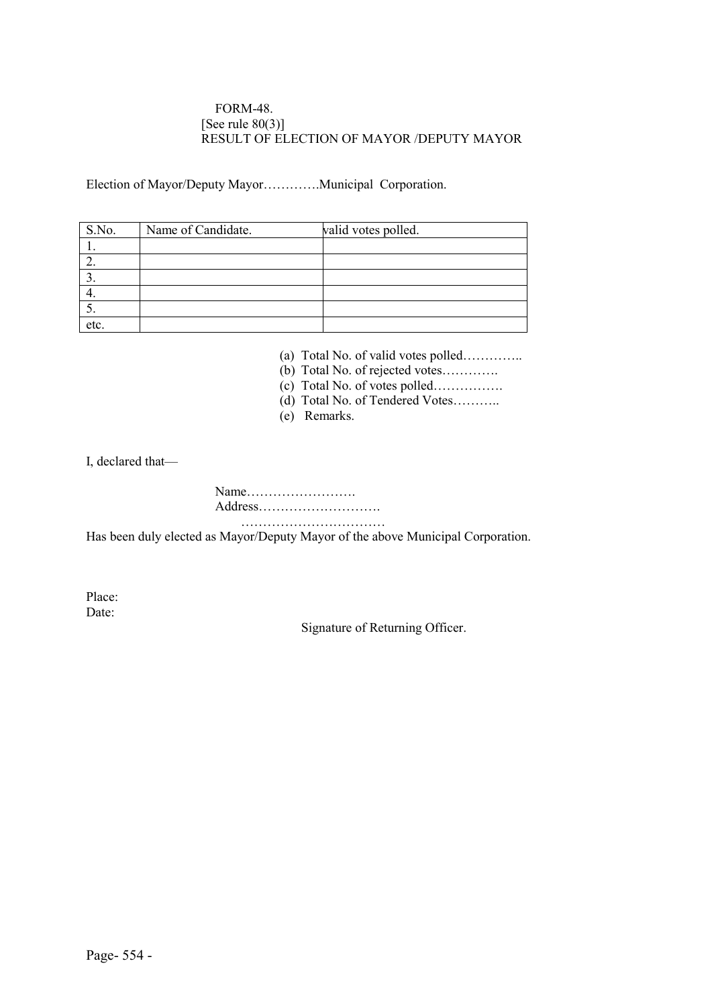#### FORM-48. [See rule  $80(3)$ ] RESULT OF ELECTION OF MAYOR /DEPUTY MAYOR

Election of Mayor/Deputy Mayor………….Municipal Corporation.

| S.No. | Name of Candidate. | valid votes polled. |
|-------|--------------------|---------------------|
|       |                    |                     |
|       |                    |                     |
|       |                    |                     |
|       |                    |                     |
|       |                    |                     |
| etc.  |                    |                     |

(a) Total No. of valid votes polled…………..

(b) Total No. of rejected votes………….

(c) Total No. of votes polled…………….

(d) Total No. of Tendered Votes………..

(e) Remarks.

I, declared that—

Name……………………. Address………………………. ……………………………

Has been duly elected as Mayor/Deputy Mayor of the above Municipal Corporation.

Place: Date:

Signature of Returning Officer.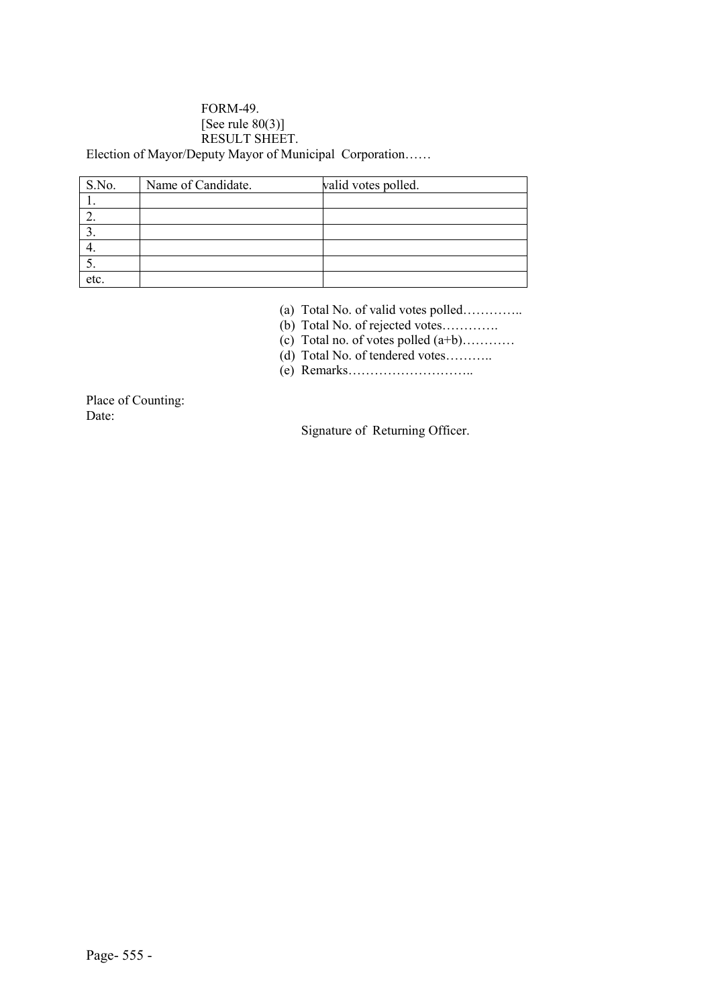#### FORM-49. [See rule  $80(3)$ ] RESULT SHEET. Election of Mayor/Deputy Mayor of Municipal Corporation……

| S.No. | Name of Candidate. | valid votes polled. |
|-------|--------------------|---------------------|
|       |                    |                     |
|       |                    |                     |
|       |                    |                     |
|       |                    |                     |
|       |                    |                     |
| etc.  |                    |                     |

(a) Total No. of valid votes polled…………..

- (b) Total No. of rejected votes………….
- (c) Total no. of votes polled  $(a+b)$ …………
- (d) Total No. of tendered votes……….
- (e) Remarks………………………..

Place of Counting: Date:

Signature of Returning Officer.